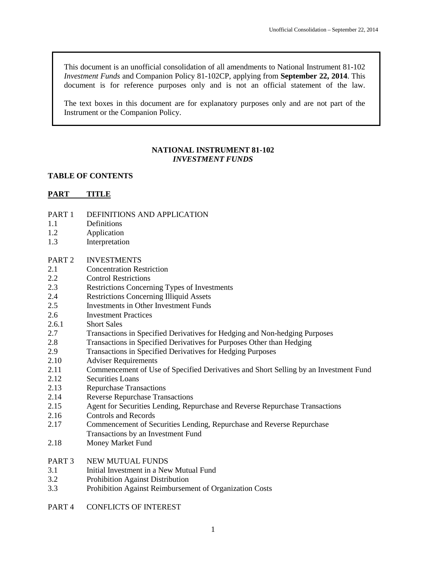This document is an unofficial consolidation of all amendments to National Instrument 81-102 *Investment Funds* and Companion Policy 81-102CP, applying from **September 22, 2014**. This document is for reference purposes only and is not an official statement of the law.

The text boxes in this document are for explanatory purposes only and are not part of the Instrument or the Companion Policy.

## **NATIONAL INSTRUMENT 81-102** *INVESTMENT FUNDS*

# **TABLE OF CONTENTS**

# **PART TITLE**

| PART <sub>1</sub> | DEFINITIONS AND APPLICATION                                                          |  |  |
|-------------------|--------------------------------------------------------------------------------------|--|--|
| $1.1\,$           | Definitions                                                                          |  |  |
| 1.2               | Application                                                                          |  |  |
| 1.3               | Interpretation                                                                       |  |  |
| PART <sub>2</sub> | <b>INVESTMENTS</b>                                                                   |  |  |
| 2.1               | <b>Concentration Restriction</b>                                                     |  |  |
| 2.2               | <b>Control Restrictions</b>                                                          |  |  |
| 2.3               | Restrictions Concerning Types of Investments                                         |  |  |
| 2.4               | <b>Restrictions Concerning Illiquid Assets</b>                                       |  |  |
| 2.5               | <b>Investments in Other Investment Funds</b>                                         |  |  |
| 2.6               | <b>Investment Practices</b>                                                          |  |  |
| 2.6.1             | <b>Short Sales</b>                                                                   |  |  |
| 2.7               | Transactions in Specified Derivatives for Hedging and Non-hedging Purposes           |  |  |
| 2.8               | Transactions in Specified Derivatives for Purposes Other than Hedging                |  |  |
| 2.9               | Transactions in Specified Derivatives for Hedging Purposes                           |  |  |
| 2.10              | <b>Adviser Requirements</b>                                                          |  |  |
| 2.11              | Commencement of Use of Specified Derivatives and Short Selling by an Investment Fund |  |  |
| 2.12              | <b>Securities Loans</b>                                                              |  |  |
| 2.13              | <b>Repurchase Transactions</b>                                                       |  |  |
| 2.14              | <b>Reverse Repurchase Transactions</b>                                               |  |  |
| 2.15              | Agent for Securities Lending, Repurchase and Reverse Repurchase Transactions         |  |  |
| 2.16              | <b>Controls and Records</b>                                                          |  |  |
| 2.17              | Commencement of Securities Lending, Repurchase and Reverse Repurchase                |  |  |
|                   | Transactions by an Investment Fund                                                   |  |  |
| 2.18              | Money Market Fund                                                                    |  |  |
| PART <sub>3</sub> | NEW MUTUAL FUNDS                                                                     |  |  |
| 3.1               | Initial Investment in a New Mutual Fund                                              |  |  |
| 3.2               | <b>Prohibition Against Distribution</b>                                              |  |  |
| 3.3               | Prohibition Against Reimbursement of Organization Costs                              |  |  |
| PART <sub>4</sub> | <b>CONFLICTS OF INTEREST</b>                                                         |  |  |
|                   | 1                                                                                    |  |  |
|                   |                                                                                      |  |  |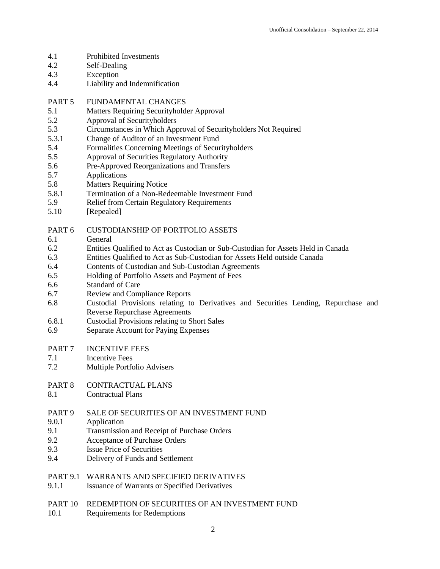- 4.1 Prohibited Investments
- 4.2 Self-Dealing
- 4.3 Exception
- 4.4 Liability and Indemnification

#### PART 5 FUNDAMENTAL CHANGES

- 5.1 Matters Requiring Securityholder Approval
- 5.2 Approval of Securityholders
- 5.3 Circumstances in Which Approval of Securityholders Not Required
- 5.3.1 Change of Auditor of an Investment Fund
- 5.4 Formalities Concerning Meetings of Securityholders
- 5.5 Approval of Securities Regulatory Authority
- 5.6 Pre-Approved Reorganizations and Transfers
- 5.7 Applications
- 5.8 Matters Requiring Notice
- 5.8.1 Termination of a Non-Redeemable Investment Fund
- 5.9 Relief from Certain Regulatory Requirements
- 5.10 [Repealed]

## PART 6 CUSTODIANSHIP OF PORTFOLIO ASSETS

- 6.1 General
- 6.2 Entities Qualified to Act as Custodian or Sub-Custodian for Assets Held in Canada
- 6.3 Entities Qualified to Act as Sub-Custodian for Assets Held outside Canada
- 6.4 Contents of Custodian and Sub-Custodian Agreements
- 6.5 Holding of Portfolio Assets and Payment of Fees
- 6.6 Standard of Care
- 6.7 Review and Compliance Reports
- 6.8 Custodial Provisions relating to Derivatives and Securities Lending, Repurchase and Reverse Repurchase Agreements
- 6.8.1 Custodial Provisions relating to Short Sales
- 6.9 Separate Account for Paying Expenses
- PART 7 INCENTIVE FEES
- 7.1 Incentive Fees
- 7.2 Multiple Portfolio Advisers
- PART 8 CONTRACTUAL PLANS
- 8.1 Contractual Plans

## PART 9 SALE OF SECURITIES OF AN INVESTMENT FUND

- 9.0.1 Application
- 9.1 Transmission and Receipt of Purchase Orders
- 9.2 Acceptance of Purchase Orders
- 9.3 Issue Price of Securities
- 9.4 Delivery of Funds and Settlement

## PART 9.1 WARRANTS AND SPECIFIED DERIVATIVES

9.1.1 Issuance of Warrants or Specified Derivatives

# PART 10 REDEMPTION OF SECURITIES OF AN INVESTMENT FUND

10.1 Requirements for Redemptions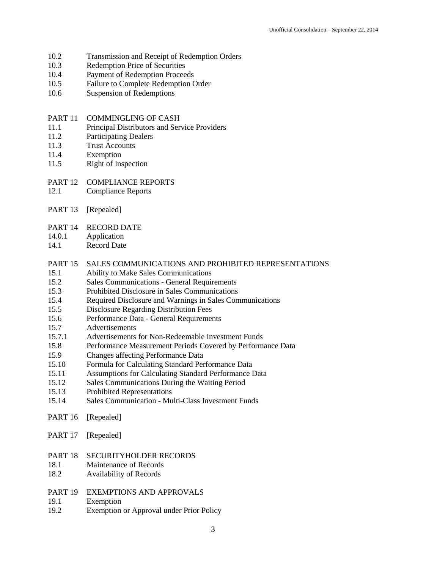- 10.2 Transmission and Receipt of Redemption Orders
- 10.3 Redemption Price of Securities
- 10.4 Payment of Redemption Proceeds
- 10.5 Failure to Complete Redemption Order
- 10.6 Suspension of Redemptions
- PART 11 COMMINGLING OF CASH
- 11.1 Principal Distributors and Service Providers
- 11.2 Participating Dealers
- 11.3 Trust Accounts
- 11.4 Exemption
- 11.5 Right of Inspection
- PART 12 COMPLIANCE REPORTS
- 12.1 Compliance Reports
- PART 13 [Repealed]
- PART 14 RECORD DATE
- 14.0.1 Application
- 14.1 Record Date

#### PART 15 SALES COMMUNICATIONS AND PROHIBITED REPRESENTATIONS

- 15.1 Ability to Make Sales Communications
- 15.2 Sales Communications General Requirements
- 15.3 Prohibited Disclosure in Sales Communications
- 15.4 Required Disclosure and Warnings in Sales Communications
- 15.5 Disclosure Regarding Distribution Fees
- 15.6 Performance Data General Requirements
- 15.7 Advertisements
- 15.7.1 Advertisements for Non-Redeemable Investment Funds
- 15.8 Performance Measurement Periods Covered by Performance Data
- 15.9 Changes affecting Performance Data
- 15.10 Formula for Calculating Standard Performance Data
- 15.11 Assumptions for Calculating Standard Performance Data
- 15.12 Sales Communications During the Waiting Period
- 15.13 Prohibited Representations
- 15.14 Sales Communication Multi-Class Investment Funds
- PART 16 [Repealed]
- PART 17 [Repealed]

#### PART 18 SECURITYHOLDER RECORDS

- 18.1 Maintenance of Records
- 18.2 Availability of Records
- PART 19 EXEMPTIONS AND APPROVALS
- 19.1 Exemption
- 19.2 Exemption or Approval under Prior Policy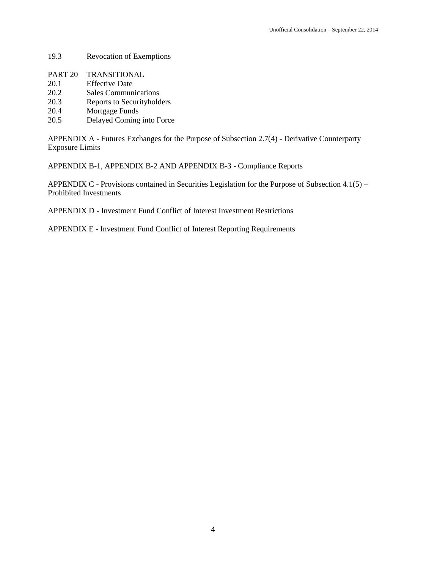- 19.3 Revocation of Exemptions
- PART 20 TRANSITIONAL
- 20.1 Effective Date
- 20.2 Sales Communications
- 20.3 Reports to Securityholders
- 20.4 Mortgage Funds
- 20.5 Delayed Coming into Force

APPENDIX A - Futures Exchanges for the Purpose of Subsection 2.7(4) - Derivative Counterparty Exposure Limits

APPENDIX B-1, APPENDIX B-2 AND APPENDIX B-3 - Compliance Reports

APPENDIX C - Provisions contained in Securities Legislation for the Purpose of Subsection 4.1(5) – Prohibited Investments

APPENDIX D - Investment Fund Conflict of Interest Investment Restrictions

APPENDIX E - Investment Fund Conflict of Interest Reporting Requirements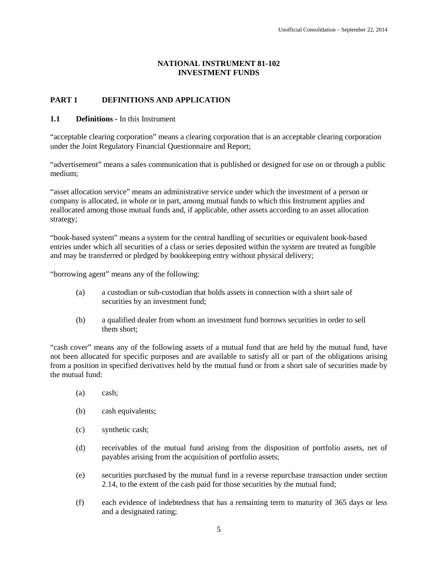### **NATIONAL INSTRUMENT 81-102 INVESTMENT FUNDS**

### **PART 1 DEFINITIONS AND APPLICATION**

#### **1.1 Definitions -** In this Instrument

"acceptable clearing corporation" means a clearing corporation that is an acceptable clearing corporation under the Joint Regulatory Financial Questionnaire and Report;

"advertisement" means a sales communication that is published or designed for use on or through a public medium;

"asset allocation service" means an administrative service under which the investment of a person or company is allocated, in whole or in part, among mutual funds to which this Instrument applies and reallocated among those mutual funds and, if applicable, other assets according to an asset allocation strategy;

"book-based system" means a system for the central handling of securities or equivalent book-based entries under which all securities of a class or series deposited within the system are treated as fungible and may be transferred or pledged by bookkeeping entry without physical delivery;

"borrowing agent" means any of the following:

- (a) a custodian or sub-custodian that holds assets in connection with a short sale of securities by an investment fund;
- (b) a qualified dealer from whom an investment fund borrows securities in order to sell them short;

"cash cover" means any of the following assets of a mutual fund that are held by the mutual fund, have not been allocated for specific purposes and are available to satisfy all or part of the obligations arising from a position in specified derivatives held by the mutual fund or from a short sale of securities made by the mutual fund:

- (a) cash;
- (b) cash equivalents;
- (c) synthetic cash;
- (d) receivables of the mutual fund arising from the disposition of portfolio assets, net of payables arising from the acquisition of portfolio assets;
- (e) securities purchased by the mutual fund in a reverse repurchase transaction under section 2.14, to the extent of the cash paid for those securities by the mutual fund;
- (f) each evidence of indebtedness that has a remaining term to maturity of 365 days or less and a designated rating;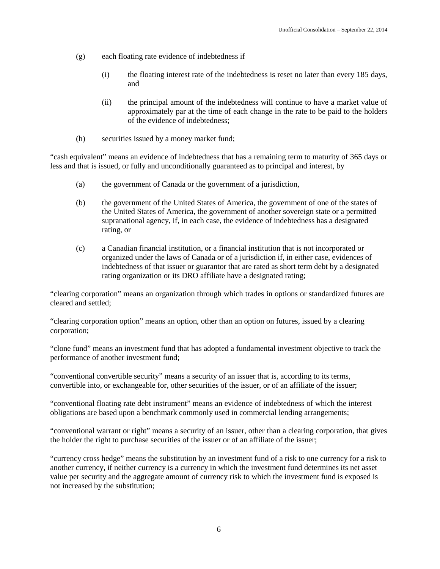- (g) each floating rate evidence of indebtedness if
	- (i) the floating interest rate of the indebtedness is reset no later than every 185 days, and
	- (ii) the principal amount of the indebtedness will continue to have a market value of approximately par at the time of each change in the rate to be paid to the holders of the evidence of indebtedness;
- (h) securities issued by a money market fund;

"cash equivalent" means an evidence of indebtedness that has a remaining term to maturity of 365 days or less and that is issued, or fully and unconditionally guaranteed as to principal and interest, by

- (a) the government of Canada or the government of a jurisdiction,
- (b) the government of the United States of America, the government of one of the states of the United States of America, the government of another sovereign state or a permitted supranational agency, if, in each case, the evidence of indebtedness has a designated rating, or
- (c) a Canadian financial institution, or a financial institution that is not incorporated or organized under the laws of Canada or of a jurisdiction if, in either case, evidences of indebtedness of that issuer or guarantor that are rated as short term debt by a designated rating organization or its DRO affiliate have a designated rating;

"clearing corporation" means an organization through which trades in options or standardized futures are cleared and settled;

"clearing corporation option" means an option, other than an option on futures, issued by a clearing corporation;

"clone fund" means an investment fund that has adopted a fundamental investment objective to track the performance of another investment fund;

"conventional convertible security" means a security of an issuer that is, according to its terms, convertible into, or exchangeable for, other securities of the issuer, or of an affiliate of the issuer;

"conventional floating rate debt instrument" means an evidence of indebtedness of which the interest obligations are based upon a benchmark commonly used in commercial lending arrangements;

"conventional warrant or right" means a security of an issuer, other than a clearing corporation, that gives the holder the right to purchase securities of the issuer or of an affiliate of the issuer;

"currency cross hedge" means the substitution by an investment fund of a risk to one currency for a risk to another currency, if neither currency is a currency in which the investment fund determines its net asset value per security and the aggregate amount of currency risk to which the investment fund is exposed is not increased by the substitution;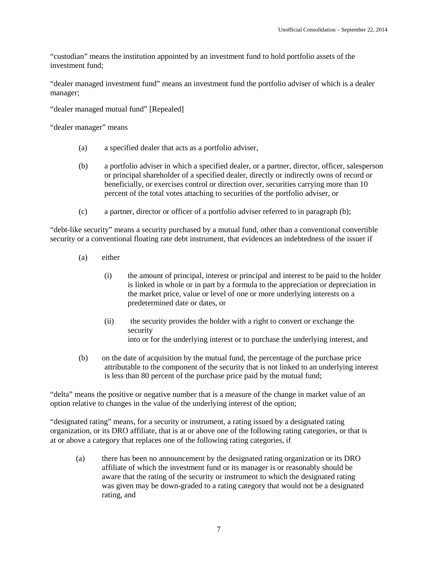"custodian" means the institution appointed by an investment fund to hold portfolio assets of the investment fund;

"dealer managed investment fund" means an investment fund the portfolio adviser of which is a dealer manager;

"dealer managed mutual fund" [Repealed]

"dealer manager" means

- (a) a specified dealer that acts as a portfolio adviser,
- (b) a portfolio adviser in which a specified dealer, or a partner, director, officer, salesperson or principal shareholder of a specified dealer, directly or indirectly owns of record or beneficially, or exercises control or direction over, securities carrying more than 10 percent of the total votes attaching to securities of the portfolio adviser, or
- (c) a partner, director or officer of a portfolio adviser referred to in paragraph (b);

"debt-like security" means a security purchased by a mutual fund, other than a conventional convertible security or a conventional floating rate debt instrument, that evidences an indebtedness of the issuer if

- (a) either
	- (i) the amount of principal, interest or principal and interest to be paid to the holder is linked in whole or in part by a formula to the appreciation or depreciation in the market price, value or level of one or more underlying interests on a predetermined date or dates, or
	- (ii) the security provides the holder with a right to convert or exchange the security into or for the underlying interest or to purchase the underlying interest, and
- (b) on the date of acquisition by the mutual fund, the percentage of the purchase price attributable to the component of the security that is not linked to an underlying interest is less than 80 percent of the purchase price paid by the mutual fund;

"delta" means the positive or negative number that is a measure of the change in market value of an option relative to changes in the value of the underlying interest of the option;

"designated rating" means, for a security or instrument, a rating issued by a designated rating organization, or its DRO affiliate, that is at or above one of the following rating categories, or that is at or above a category that replaces one of the following rating categories, if

(a) there has been no announcement by the designated rating organization or its DRO affiliate of which the investment fund or its manager is or reasonably should be aware that the rating of the security or instrument to which the designated rating was given may be down-graded to a rating category that would not be a designated rating, and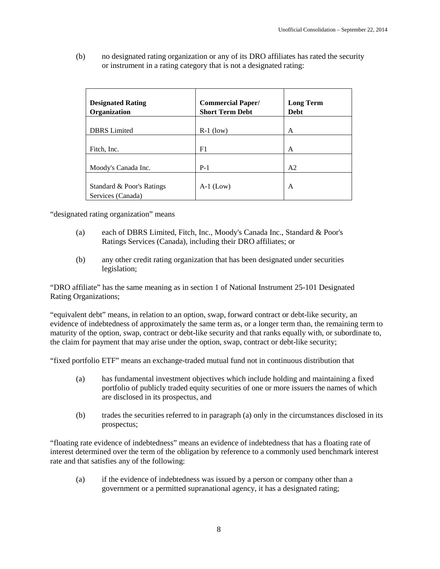(b) no designated rating organization or any of its DRO affiliates has rated the security or instrument in a rating category that is not a designated rating:

| <b>Designated Rating</b><br>Organization | <b>Commercial Paper/</b><br><b>Short Term Debt</b> | <b>Long Term</b><br><b>Debt</b> |
|------------------------------------------|----------------------------------------------------|---------------------------------|
|                                          |                                                    |                                 |
| <b>DBRS</b> Limited                      | $R-1$ (low)                                        | A                               |
|                                          |                                                    |                                 |
| Fitch, Inc.                              | F1                                                 | A                               |
|                                          |                                                    |                                 |
| Moody's Canada Inc.                      | $P-1$                                              | A <sub>2</sub>                  |
|                                          |                                                    |                                 |
| Standard & Poor's Ratings                | $A-1$ (Low)                                        | A                               |
| Services (Canada)                        |                                                    |                                 |

"designated rating organization" means

- (a) each of DBRS Limited, Fitch, Inc., Moody's Canada Inc., Standard & Poor's Ratings Services (Canada), including their DRO affiliates; or
- (b) any other credit rating organization that has been designated under securities legislation;

"DRO affiliate" has the same meaning as in section 1 of National Instrument 25-101 Designated Rating Organizations;

"equivalent debt" means, in relation to an option, swap, forward contract or debt-like security, an evidence of indebtedness of approximately the same term as, or a longer term than, the remaining term to maturity of the option, swap, contract or debt-like security and that ranks equally with, or subordinate to, the claim for payment that may arise under the option, swap, contract or debt-like security;

"fixed portfolio ETF" means an exchange-traded mutual fund not in continuous distribution that

- (a) has fundamental investment objectives which include holding and maintaining a fixed portfolio of publicly traded equity securities of one or more issuers the names of which are disclosed in its prospectus, and
- (b) trades the securities referred to in paragraph (a) only in the circumstances disclosed in its prospectus;

"floating rate evidence of indebtedness" means an evidence of indebtedness that has a floating rate of interest determined over the term of the obligation by reference to a commonly used benchmark interest rate and that satisfies any of the following:

(a) if the evidence of indebtedness was issued by a person or company other than a government or a permitted supranational agency, it has a designated rating;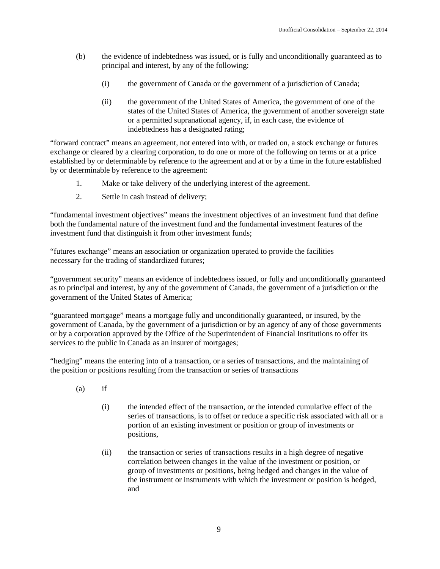- (b) the evidence of indebtedness was issued, or is fully and unconditionally guaranteed as to principal and interest, by any of the following:
	- (i) the government of Canada or the government of a jurisdiction of Canada;
	- (ii) the government of the United States of America, the government of one of the states of the United States of America, the government of another sovereign state or a permitted supranational agency, if, in each case, the evidence of indebtedness has a designated rating;

"forward contract" means an agreement, not entered into with, or traded on, a stock exchange or futures exchange or cleared by a clearing corporation, to do one or more of the following on terms or at a price established by or determinable by reference to the agreement and at or by a time in the future established by or determinable by reference to the agreement:

- 1. Make or take delivery of the underlying interest of the agreement.
- 2. Settle in cash instead of delivery;

"fundamental investment objectives" means the investment objectives of an investment fund that define both the fundamental nature of the investment fund and the fundamental investment features of the investment fund that distinguish it from other investment funds;

"futures exchange" means an association or organization operated to provide the facilities necessary for the trading of standardized futures;

"government security" means an evidence of indebtedness issued, or fully and unconditionally guaranteed as to principal and interest, by any of the government of Canada, the government of a jurisdiction or the government of the United States of America;

"guaranteed mortgage" means a mortgage fully and unconditionally guaranteed, or insured, by the government of Canada, by the government of a jurisdiction or by an agency of any of those governments or by a corporation approved by the Office of the Superintendent of Financial Institutions to offer its services to the public in Canada as an insurer of mortgages;

"hedging" means the entering into of a transaction, or a series of transactions, and the maintaining of the position or positions resulting from the transaction or series of transactions

- (a) if
	- (i) the intended effect of the transaction, or the intended cumulative effect of the series of transactions, is to offset or reduce a specific risk associated with all or a portion of an existing investment or position or group of investments or positions,
	- (ii) the transaction or series of transactions results in a high degree of negative correlation between changes in the value of the investment or position, or group of investments or positions, being hedged and changes in the value of the instrument or instruments with which the investment or position is hedged, and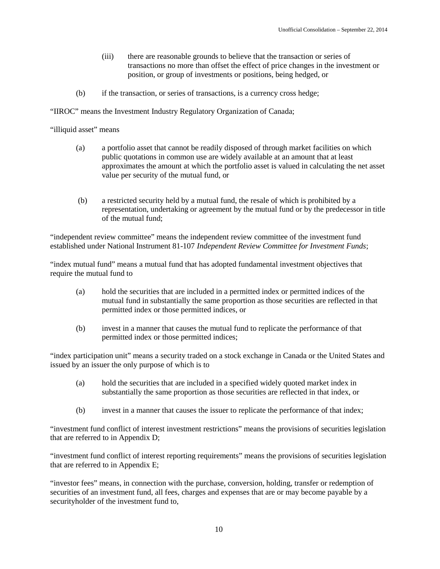- (iii) there are reasonable grounds to believe that the transaction or series of transactions no more than offset the effect of price changes in the investment or position, or group of investments or positions, being hedged, or
- (b) if the transaction, or series of transactions, is a currency cross hedge;

"IIROC" means the Investment Industry Regulatory Organization of Canada;

"illiquid asset" means

- (a) a portfolio asset that cannot be readily disposed of through market facilities on which public quotations in common use are widely available at an amount that at least approximates the amount at which the portfolio asset is valued in calculating the net asset value per security of the mutual fund, or
- (b) a restricted security held by a mutual fund, the resale of which is prohibited by a representation, undertaking or agreement by the mutual fund or by the predecessor in title of the mutual fund;

"independent review committee" means the independent review committee of the investment fund established under National Instrument 81-107 *Independent Review Committee for Investment Funds*;

"index mutual fund" means a mutual fund that has adopted fundamental investment objectives that require the mutual fund to

- (a) hold the securities that are included in a permitted index or permitted indices of the mutual fund in substantially the same proportion as those securities are reflected in that permitted index or those permitted indices, or
- (b) invest in a manner that causes the mutual fund to replicate the performance of that permitted index or those permitted indices;

"index participation unit" means a security traded on a stock exchange in Canada or the United States and issued by an issuer the only purpose of which is to

- (a) hold the securities that are included in a specified widely quoted market index in substantially the same proportion as those securities are reflected in that index, or
- (b) invest in a manner that causes the issuer to replicate the performance of that index;

"investment fund conflict of interest investment restrictions" means the provisions of securities legislation that are referred to in Appendix D;

"investment fund conflict of interest reporting requirements" means the provisions of securities legislation that are referred to in Appendix E;

"investor fees" means, in connection with the purchase, conversion, holding, transfer or redemption of securities of an investment fund, all fees, charges and expenses that are or may become payable by a securityholder of the investment fund to,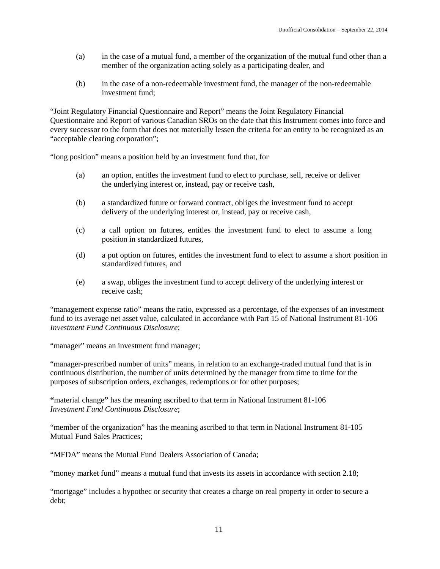- (a) in the case of a mutual fund, a member of the organization of the mutual fund other than a member of the organization acting solely as a participating dealer, and
- (b) in the case of a non-redeemable investment fund, the manager of the non-redeemable investment fund;

"Joint Regulatory Financial Questionnaire and Report" means the Joint Regulatory Financial Questionnaire and Report of various Canadian SROs on the date that this Instrument comes into force and every successor to the form that does not materially lessen the criteria for an entity to be recognized as an "acceptable clearing corporation";

"long position" means a position held by an investment fund that, for

- (a) an option, entitles the investment fund to elect to purchase, sell, receive or deliver the underlying interest or, instead, pay or receive cash,
- (b) a standardized future or forward contract, obliges the investment fund to accept delivery of the underlying interest or, instead, pay or receive cash,
- (c) a call option on futures, entitles the investment fund to elect to assume a long position in standardized futures,
- (d) a put option on futures, entitles the investment fund to elect to assume a short position in standardized futures, and
- (e) a swap, obliges the investment fund to accept delivery of the underlying interest or receive cash;

"management expense ratio" means the ratio, expressed as a percentage, of the expenses of an investment fund to its average net asset value, calculated in accordance with Part 15 of National Instrument 81-106 *Investment Fund Continuous Disclosure*;

"manager" means an investment fund manager;

"manager-prescribed number of units" means, in relation to an exchange-traded mutual fund that is in continuous distribution, the number of units determined by the manager from time to time for the purposes of subscription orders, exchanges, redemptions or for other purposes;

**"**material change**"** has the meaning ascribed to that term in National Instrument 81-106 *Investment Fund Continuous Disclosure*;

"member of the organization" has the meaning ascribed to that term in National Instrument 81-105 Mutual Fund Sales Practices;

"MFDA" means the Mutual Fund Dealers Association of Canada;

"money market fund" means a mutual fund that invests its assets in accordance with section 2.18;

"mortgage" includes a hypothec or security that creates a charge on real property in order to secure a debt;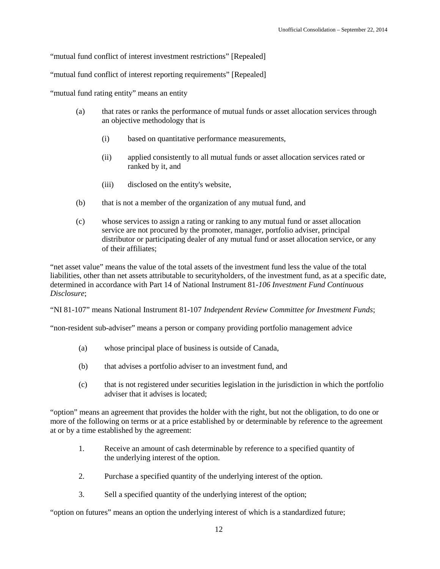"mutual fund conflict of interest investment restrictions" [Repealed]

"mutual fund conflict of interest reporting requirements" [Repealed]

"mutual fund rating entity" means an entity

- (a) that rates or ranks the performance of mutual funds or asset allocation services through an objective methodology that is
	- (i) based on quantitative performance measurements,
	- (ii) applied consistently to all mutual funds or asset allocation services rated or ranked by it, and
	- (iii) disclosed on the entity's website,
- (b) that is not a member of the organization of any mutual fund, and
- (c) whose services to assign a rating or ranking to any mutual fund or asset allocation service are not procured by the promoter, manager, portfolio adviser, principal distributor or participating dealer of any mutual fund or asset allocation service, or any of their affiliates;

"net asset value" means the value of the total assets of the investment fund less the value of the total liabilities, other than net assets attributable to securityholders, of the investment fund, as at a specific date, determined in accordance with Part 14 of National Instrument 81-*106 Investment Fund Continuous Disclosure*;

"NI 81-107" means National Instrument 81-107 *Independent Review Committee for Investment Funds*;

"non-resident sub-adviser" means a person or company providing portfolio management advice

- (a) whose principal place of business is outside of Canada,
- (b) that advises a portfolio adviser to an investment fund, and
- (c) that is not registered under securities legislation in the jurisdiction in which the portfolio adviser that it advises is located;

"option" means an agreement that provides the holder with the right, but not the obligation, to do one or more of the following on terms or at a price established by or determinable by reference to the agreement at or by a time established by the agreement:

- 1. Receive an amount of cash determinable by reference to a specified quantity of the underlying interest of the option.
- 2. Purchase a specified quantity of the underlying interest of the option.
- 3. Sell a specified quantity of the underlying interest of the option;

"option on futures" means an option the underlying interest of which is a standardized future;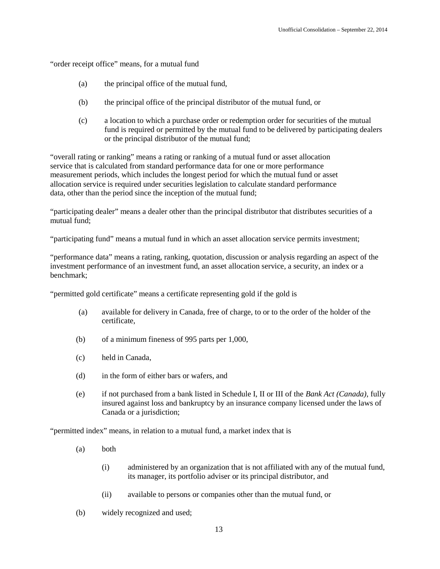"order receipt office" means, for a mutual fund

- (a) the principal office of the mutual fund,
- (b) the principal office of the principal distributor of the mutual fund, or
- (c) a location to which a purchase order or redemption order for securities of the mutual fund is required or permitted by the mutual fund to be delivered by participating dealers or the principal distributor of the mutual fund;

"overall rating or ranking" means a rating or ranking of a mutual fund or asset allocation service that is calculated from standard performance data for one or more performance measurement periods, which includes the longest period for which the mutual fund or asset allocation service is required under securities legislation to calculate standard performance data, other than the period since the inception of the mutual fund;

"participating dealer" means a dealer other than the principal distributor that distributes securities of a mutual fund;

"participating fund" means a mutual fund in which an asset allocation service permits investment;

"performance data" means a rating, ranking, quotation, discussion or analysis regarding an aspect of the investment performance of an investment fund, an asset allocation service, a security, an index or a benchmark;

"permitted gold certificate" means a certificate representing gold if the gold is

- (a) available for delivery in Canada, free of charge, to or to the order of the holder of the certificate,
- (b) of a minimum fineness of 995 parts per 1,000,
- (c) held in Canada,
- (d) in the form of either bars or wafers, and
- (e) if not purchased from a bank listed in Schedule I, II or III of the *Bank Act (Canada)*, fully insured against loss and bankruptcy by an insurance company licensed under the laws of Canada or a jurisdiction;

"permitted index" means, in relation to a mutual fund, a market index that is

- (a) both
	- (i) administered by an organization that is not affiliated with any of the mutual fund, its manager, its portfolio adviser or its principal distributor, and
	- (ii) available to persons or companies other than the mutual fund, or
- (b) widely recognized and used;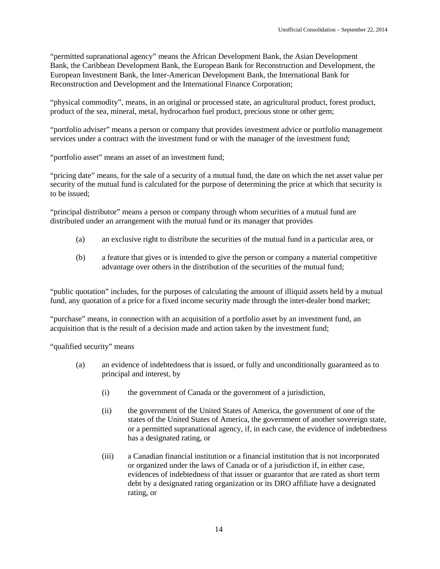"permitted supranational agency" means the African Development Bank, the Asian Development Bank, the Caribbean Development Bank, the European Bank for Reconstruction and Development, the European Investment Bank, the Inter-American Development Bank, the International Bank for Reconstruction and Development and the International Finance Corporation;

"physical commodity", means, in an original or processed state, an agricultural product, forest product, product of the sea, mineral, metal, hydrocarbon fuel product, precious stone or other gem;

"portfolio adviser" means a person or company that provides investment advice or portfolio management services under a contract with the investment fund or with the manager of the investment fund;

"portfolio asset" means an asset of an investment fund;

"pricing date" means, for the sale of a security of a mutual fund, the date on which the net asset value per security of the mutual fund is calculated for the purpose of determining the price at which that security is to be issued;

"principal distributor" means a person or company through whom securities of a mutual fund are distributed under an arrangement with the mutual fund or its manager that provides

- (a) an exclusive right to distribute the securities of the mutual fund in a particular area, or
- (b) a feature that gives or is intended to give the person or company a material competitive advantage over others in the distribution of the securities of the mutual fund;

"public quotation" includes, for the purposes of calculating the amount of illiquid assets held by a mutual fund, any quotation of a price for a fixed income security made through the inter-dealer bond market;

"purchase" means, in connection with an acquisition of a portfolio asset by an investment fund, an acquisition that is the result of a decision made and action taken by the investment fund;

"qualified security" means

- (a) an evidence of indebtedness that is issued, or fully and unconditionally guaranteed as to principal and interest, by
	- (i) the government of Canada or the government of a jurisdiction,
	- (ii) the government of the United States of America, the government of one of the states of the United States of America, the government of another sovereign state, or a permitted supranational agency, if, in each case, the evidence of indebtedness has a designated rating, or
	- (iii) a Canadian financial institution or a financial institution that is not incorporated or organized under the laws of Canada or of a jurisdiction if, in either case, evidences of indebtedness of that issuer or guarantor that are rated as short term debt by a designated rating organization or its DRO affiliate have a designated rating, or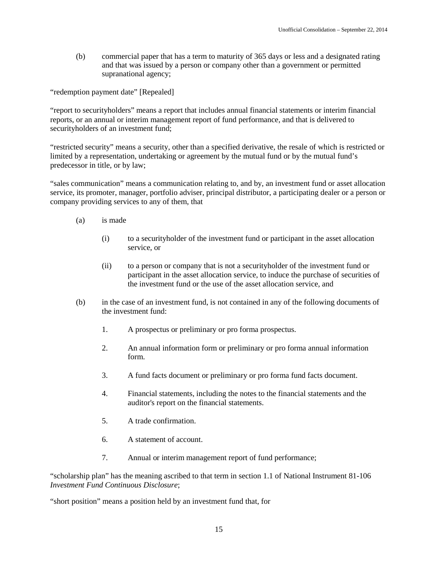(b) commercial paper that has a term to maturity of 365 days or less and a designated rating and that was issued by a person or company other than a government or permitted supranational agency;

"redemption payment date" [Repealed]

"report to securityholders" means a report that includes annual financial statements or interim financial reports, or an annual or interim management report of fund performance, and that is delivered to securityholders of an investment fund;

"restricted security" means a security, other than a specified derivative, the resale of which is restricted or limited by a representation, undertaking or agreement by the mutual fund or by the mutual fund's predecessor in title, or by law;

"sales communication" means a communication relating to, and by, an investment fund or asset allocation service, its promoter, manager, portfolio adviser, principal distributor, a participating dealer or a person or company providing services to any of them, that

- (a) is made
	- (i) to a securityholder of the investment fund or participant in the asset allocation service, or
	- (ii) to a person or company that is not a securityholder of the investment fund or participant in the asset allocation service, to induce the purchase of securities of the investment fund or the use of the asset allocation service, and
- (b) in the case of an investment fund, is not contained in any of the following documents of the investment fund:
	- 1. A prospectus or preliminary or pro forma prospectus.
	- 2. An annual information form or preliminary or pro forma annual information form.
	- 3. A fund facts document or preliminary or pro forma fund facts document.
	- 4. Financial statements, including the notes to the financial statements and the auditor's report on the financial statements.
	- 5. A trade confirmation.
	- 6. A statement of account.
	- 7. Annual or interim management report of fund performance;

"scholarship plan" has the meaning ascribed to that term in section 1.1 of National Instrument 81-106 *Investment Fund Continuous Disclosure*;

"short position" means a position held by an investment fund that, for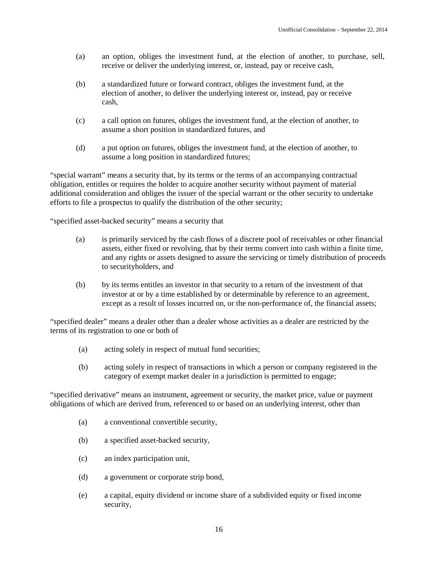- (a) an option, obliges the investment fund, at the election of another, to purchase, sell, receive or deliver the underlying interest, or, instead, pay or receive cash,
- (b) a standardized future or forward contract, obliges the investment fund, at the election of another, to deliver the underlying interest or, instead, pay or receive cash,
- (c) a call option on futures, obliges the investment fund, at the election of another, to assume a short position in standardized futures, and
- (d) a put option on futures, obliges the investment fund, at the election of another, to assume a long position in standardized futures;

"special warrant" means a security that, by its terms or the terms of an accompanying contractual obligation, entitles or requires the holder to acquire another security without payment of material additional consideration and obliges the issuer of the special warrant or the other security to undertake efforts to file a prospectus to qualify the distribution of the other security;

"specified asset-backed security" means a security that

- (a) is primarily serviced by the cash flows of a discrete pool of receivables or other financial assets, either fixed or revolving, that by their terms convert into cash within a finite time, and any rights or assets designed to assure the servicing or timely distribution of proceeds to securityholders, and
- (b) by its terms entitles an investor in that security to a return of the investment of that investor at or by a time established by or determinable by reference to an agreement, except as a result of losses incurred on, or the non-performance of, the financial assets;

"specified dealer" means a dealer other than a dealer whose activities as a dealer are restricted by the terms of its registration to one or both of

- (a) acting solely in respect of mutual fund securities;
- (b) acting solely in respect of transactions in which a person or company registered in the category of exempt market dealer in a jurisdiction is permitted to engage;

"specified derivative" means an instrument, agreement or security, the market price, value or payment obligations of which are derived from, referenced to or based on an underlying interest, other than

- (a) a conventional convertible security,
- (b) a specified asset-backed security,
- (c) an index participation unit,
- (d) a government or corporate strip bond,
- (e) a capital, equity dividend or income share of a subdivided equity or fixed income security,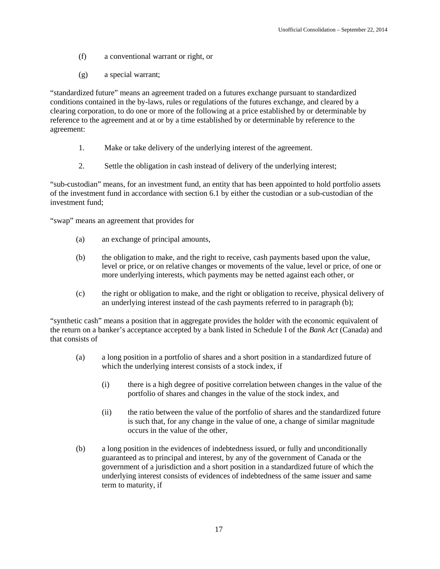- (f) a conventional warrant or right, or
- (g) a special warrant;

"standardized future" means an agreement traded on a futures exchange pursuant to standardized conditions contained in the by-laws, rules or regulations of the futures exchange, and cleared by a clearing corporation, to do one or more of the following at a price established by or determinable by reference to the agreement and at or by a time established by or determinable by reference to the agreement:

- 1. Make or take delivery of the underlying interest of the agreement.
- 2. Settle the obligation in cash instead of delivery of the underlying interest;

"sub-custodian" means, for an investment fund, an entity that has been appointed to hold portfolio assets of the investment fund in accordance with section 6.1 by either the custodian or a sub-custodian of the investment fund;

"swap" means an agreement that provides for

- (a) an exchange of principal amounts,
- (b) the obligation to make, and the right to receive, cash payments based upon the value, level or price, or on relative changes or movements of the value, level or price, of one or more underlying interests, which payments may be netted against each other, or
- (c) the right or obligation to make, and the right or obligation to receive, physical delivery of an underlying interest instead of the cash payments referred to in paragraph (b);

"synthetic cash" means a position that in aggregate provides the holder with the economic equivalent of the return on a banker's acceptance accepted by a bank listed in Schedule I of the *Bank Act* (Canada) and that consists of

- (a) a long position in a portfolio of shares and a short position in a standardized future of which the underlying interest consists of a stock index, if
	- (i) there is a high degree of positive correlation between changes in the value of the portfolio of shares and changes in the value of the stock index, and
	- (ii) the ratio between the value of the portfolio of shares and the standardized future is such that, for any change in the value of one, a change of similar magnitude occurs in the value of the other,
- (b) a long position in the evidences of indebtedness issued, or fully and unconditionally guaranteed as to principal and interest, by any of the government of Canada or the government of a jurisdiction and a short position in a standardized future of which the underlying interest consists of evidences of indebtedness of the same issuer and same term to maturity, if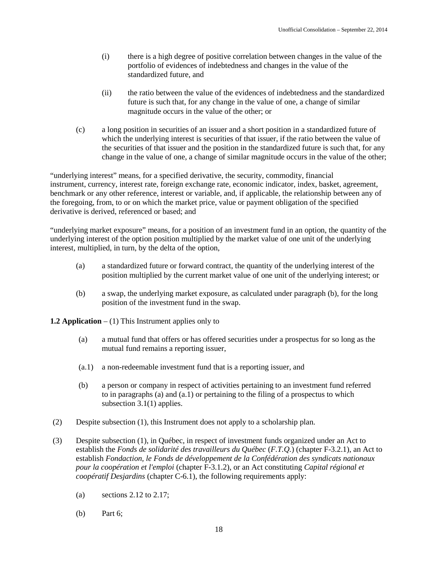- (i) there is a high degree of positive correlation between changes in the value of the portfolio of evidences of indebtedness and changes in the value of the standardized future, and
- (ii) the ratio between the value of the evidences of indebtedness and the standardized future is such that, for any change in the value of one, a change of similar magnitude occurs in the value of the other; or
- (c) a long position in securities of an issuer and a short position in a standardized future of which the underlying interest is securities of that issuer, if the ratio between the value of the securities of that issuer and the position in the standardized future is such that, for any change in the value of one, a change of similar magnitude occurs in the value of the other;

"underlying interest" means, for a specified derivative, the security, commodity, financial instrument, currency, interest rate, foreign exchange rate, economic indicator, index, basket, agreement, benchmark or any other reference, interest or variable, and, if applicable, the relationship between any of the foregoing, from, to or on which the market price, value or payment obligation of the specified derivative is derived, referenced or based; and

"underlying market exposure" means, for a position of an investment fund in an option, the quantity of the underlying interest of the option position multiplied by the market value of one unit of the underlying interest, multiplied, in turn, by the delta of the option,

- (a) a standardized future or forward contract, the quantity of the underlying interest of the position multiplied by the current market value of one unit of the underlying interest; or
- (b) a swap, the underlying market exposure, as calculated under paragraph (b), for the long position of the investment fund in the swap.

**1.2 Application** – (1) This Instrument applies only to

- (a) a mutual fund that offers or has offered securities under a prospectus for so long as the mutual fund remains a reporting issuer,
- (a.1) a non-redeemable investment fund that is a reporting issuer, and
- (b) a person or company in respect of activities pertaining to an investment fund referred to in paragraphs (a) and (a.1) or pertaining to the filing of a prospectus to which subsection 3.1(1) applies.
- (2) Despite subsection (1), this Instrument does not apply to a scholarship plan.
- (3) Despite subsection (1), in Québec, in respect of investment funds organized under an Act to establish the *Fonds de solidarité des travailleurs du Québec* (*F.T.Q.*) (chapter F-3.2.1), an Act to establish *Fondaction, le Fonds de développement de la Confédération des syndicats nationaux pour la coopération et l'emploi* (chapter F-3.1.2), or an Act constituting *Capital régional et coopératif Desjardins* (chapter C-6.1), the following requirements apply:
	- (a) sections 2.12 to 2.17;
	- (b) Part 6;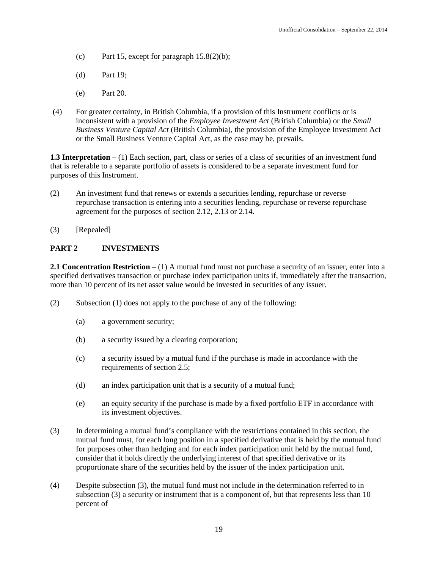- (c) Part 15, except for paragraph  $15.8(2)(b)$ ;
- (d) Part 19;
- (e) Part 20.
- (4) For greater certainty, in British Columbia, if a provision of this Instrument conflicts or is inconsistent with a provision of the *Employee Investment Act* (British Columbia) or the *Small Business Venture Capital Act* (British Columbia), the provision of the Employee Investment Act or the Small Business Venture Capital Act, as the case may be, prevails.

**1.3 Interpretation** – (1) Each section, part, class or series of a class of securities of an investment fund that is referable to a separate portfolio of assets is considered to be a separate investment fund for purposes of this Instrument.

- (2) An investment fund that renews or extends a securities lending, repurchase or reverse repurchase transaction is entering into a securities lending, repurchase or reverse repurchase agreement for the purposes of section 2.12, 2.13 or 2.14.
- (3) [Repealed]

# **PART 2 INVESTMENTS**

**2.1 Concentration Restriction** – (1) A mutual fund must not purchase a security of an issuer, enter into a specified derivatives transaction or purchase index participation units if, immediately after the transaction, more than 10 percent of its net asset value would be invested in securities of any issuer.

- (2) Subsection (1) does not apply to the purchase of any of the following:
	- (a) a government security;
	- (b) a security issued by a clearing corporation;
	- (c) a security issued by a mutual fund if the purchase is made in accordance with the requirements of section 2.5;
	- (d) an index participation unit that is a security of a mutual fund;
	- (e) an equity security if the purchase is made by a fixed portfolio ETF in accordance with its investment objectives.
- (3) In determining a mutual fund's compliance with the restrictions contained in this section, the mutual fund must, for each long position in a specified derivative that is held by the mutual fund for purposes other than hedging and for each index participation unit held by the mutual fund, consider that it holds directly the underlying interest of that specified derivative or its proportionate share of the securities held by the issuer of the index participation unit.
- (4) Despite subsection (3), the mutual fund must not include in the determination referred to in subsection (3) a security or instrument that is a component of, but that represents less than 10 percent of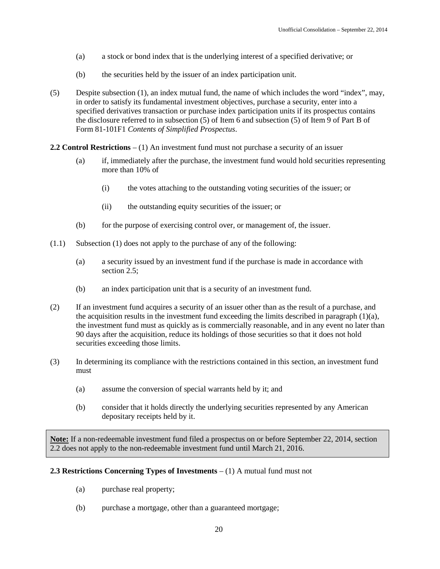- (a) a stock or bond index that is the underlying interest of a specified derivative; or
- (b) the securities held by the issuer of an index participation unit.
- (5) Despite subsection (1), an index mutual fund, the name of which includes the word "index", may, in order to satisfy its fundamental investment objectives, purchase a security, enter into a specified derivatives transaction or purchase index participation units if its prospectus contains the disclosure referred to in subsection (5) of Item 6 and subsection (5) of Item 9 of Part B of Form 81-101F1 *Contents of Simplified Prospectus*.
- **2.2 Control Restrictions** (1) An investment fund must not purchase a security of an issuer
	- (a) if, immediately after the purchase, the investment fund would hold securities representing more than 10% of
		- (i) the votes attaching to the outstanding voting securities of the issuer; or
		- (ii) the outstanding equity securities of the issuer; or
	- (b) for the purpose of exercising control over, or management of, the issuer.
- (1.1) Subsection (1) does not apply to the purchase of any of the following:
	- (a) a security issued by an investment fund if the purchase is made in accordance with section 2.5:
	- (b) an index participation unit that is a security of an investment fund.
- (2) If an investment fund acquires a security of an issuer other than as the result of a purchase, and the acquisition results in the investment fund exceeding the limits described in paragraph (1)(a), the investment fund must as quickly as is commercially reasonable, and in any event no later than 90 days after the acquisition, reduce its holdings of those securities so that it does not hold securities exceeding those limits.
- (3) In determining its compliance with the restrictions contained in this section, an investment fund must
	- (a) assume the conversion of special warrants held by it; and
	- (b) consider that it holds directly the underlying securities represented by any American depositary receipts held by it.

**Note:** If a non-redeemable investment fund filed a prospectus on or before September 22, 2014, section 2.2 does not apply to the non-redeemable investment fund until March 21, 2016.

#### **2.3 Restrictions Concerning Types of Investments** – (1) A mutual fund must not

- (a) purchase real property;
- (b) purchase a mortgage, other than a guaranteed mortgage;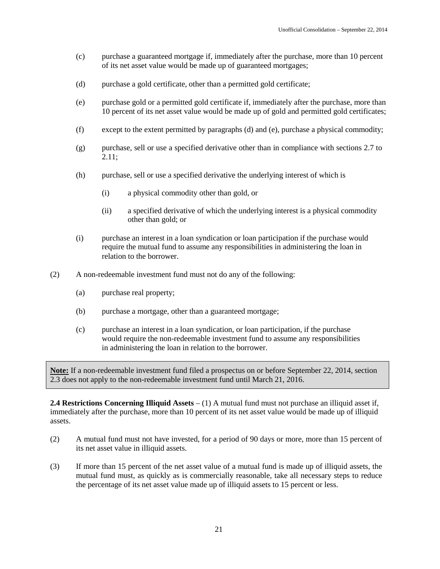- (c) purchase a guaranteed mortgage if, immediately after the purchase, more than 10 percent of its net asset value would be made up of guaranteed mortgages;
- (d) purchase a gold certificate, other than a permitted gold certificate;
- (e) purchase gold or a permitted gold certificate if, immediately after the purchase, more than 10 percent of its net asset value would be made up of gold and permitted gold certificates;
- (f) except to the extent permitted by paragraphs (d) and (e), purchase a physical commodity;
- (g) purchase, sell or use a specified derivative other than in compliance with sections 2.7 to 2.11;
- (h) purchase, sell or use a specified derivative the underlying interest of which is
	- (i) a physical commodity other than gold, or
	- (ii) a specified derivative of which the underlying interest is a physical commodity other than gold; or
- (i) purchase an interest in a loan syndication or loan participation if the purchase would require the mutual fund to assume any responsibilities in administering the loan in relation to the borrower.
- (2) A non-redeemable investment fund must not do any of the following:
	- (a) purchase real property;
	- (b) purchase a mortgage, other than a guaranteed mortgage;
	- (c) purchase an interest in a loan syndication, or loan participation, if the purchase would require the non-redeemable investment fund to assume any responsibilities in administering the loan in relation to the borrower.

**Note:** If a non-redeemable investment fund filed a prospectus on or before September 22, 2014, section 2.3 does not apply to the non-redeemable investment fund until March 21, 2016.

**2.4 Restrictions Concerning Illiquid Assets** – (1) A mutual fund must not purchase an illiquid asset if, immediately after the purchase, more than 10 percent of its net asset value would be made up of illiquid assets.

- (2) A mutual fund must not have invested, for a period of 90 days or more, more than 15 percent of its net asset value in illiquid assets.
- (3) If more than 15 percent of the net asset value of a mutual fund is made up of illiquid assets, the mutual fund must, as quickly as is commercially reasonable, take all necessary steps to reduce the percentage of its net asset value made up of illiquid assets to 15 percent or less.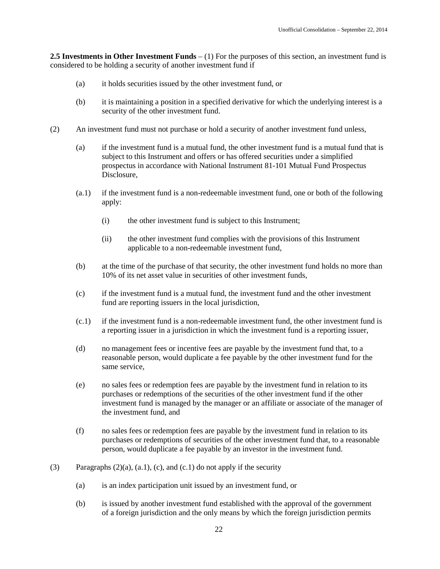**2.5 Investments in Other Investment Funds** – (1) For the purposes of this section, an investment fund is considered to be holding a security of another investment fund if

- (a) it holds securities issued by the other investment fund, or
- (b) it is maintaining a position in a specified derivative for which the underlying interest is a security of the other investment fund.
- (2) An investment fund must not purchase or hold a security of another investment fund unless,
	- (a) if the investment fund is a mutual fund, the other investment fund is a mutual fund that is subject to this Instrument and offers or has offered securities under a simplified prospectus in accordance with National Instrument 81-101 Mutual Fund Prospectus Disclosure,
	- (a.1) if the investment fund is a non-redeemable investment fund, one or both of the following apply:
		- (i) the other investment fund is subject to this Instrument;
		- (ii) the other investment fund complies with the provisions of this Instrument applicable to a non-redeemable investment fund,
	- (b) at the time of the purchase of that security, the other investment fund holds no more than 10% of its net asset value in securities of other investment funds,
	- (c) if the investment fund is a mutual fund, the investment fund and the other investment fund are reporting issuers in the local jurisdiction,
	- (c.1) if the investment fund is a non-redeemable investment fund, the other investment fund is a reporting issuer in a jurisdiction in which the investment fund is a reporting issuer,
	- (d) no management fees or incentive fees are payable by the investment fund that, to a reasonable person, would duplicate a fee payable by the other investment fund for the same service,
	- (e) no sales fees or redemption fees are payable by the investment fund in relation to its purchases or redemptions of the securities of the other investment fund if the other investment fund is managed by the manager or an affiliate or associate of the manager of the investment fund, and
	- (f) no sales fees or redemption fees are payable by the investment fund in relation to its purchases or redemptions of securities of the other investment fund that, to a reasonable person, would duplicate a fee payable by an investor in the investment fund.
- (3) Paragraphs  $(2)(a)$ ,  $(a.1)$ ,  $(c)$ , and  $(c.1)$  do not apply if the security
	- (a) is an index participation unit issued by an investment fund, or
	- (b) is issued by another investment fund established with the approval of the government of a foreign jurisdiction and the only means by which the foreign jurisdiction permits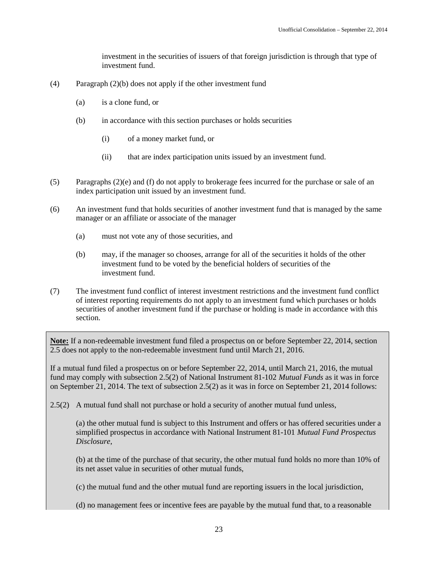investment in the securities of issuers of that foreign jurisdiction is through that type of investment fund.

- (4) Paragraph (2)(b) does not apply if the other investment fund
	- (a) is a clone fund, or
	- (b) in accordance with this section purchases or holds securities
		- (i) of a money market fund, or
		- (ii) that are index participation units issued by an investment fund.
- (5) Paragraphs (2)(e) and (f) do not apply to brokerage fees incurred for the purchase or sale of an index participation unit issued by an investment fund.
- (6) An investment fund that holds securities of another investment fund that is managed by the same manager or an affiliate or associate of the manager
	- (a) must not vote any of those securities, and
	- (b) may, if the manager so chooses, arrange for all of the securities it holds of the other investment fund to be voted by the beneficial holders of securities of the investment fund.
- (7) The investment fund conflict of interest investment restrictions and the investment fund conflict of interest reporting requirements do not apply to an investment fund which purchases or holds securities of another investment fund if the purchase or holding is made in accordance with this section.

**Note:** If a non-redeemable investment fund filed a prospectus on or before September 22, 2014, section 2.5 does not apply to the non-redeemable investment fund until March 21, 2016.

If a mutual fund filed a prospectus on or before September 22, 2014, until March 21, 2016, the mutual fund may comply with subsection 2.5(2) of National Instrument 81-102 *Mutual Funds* as it was in force on September 21, 2014. The text of subsection 2.5(2) as it was in force on September 21, 2014 follows:

2.5(2) A mutual fund shall not purchase or hold a security of another mutual fund unless,

(a) the other mutual fund is subject to this Instrument and offers or has offered securities under a simplified prospectus in accordance with National Instrument 81-101 *Mutual Fund Prospectus Disclosure*,

(b) at the time of the purchase of that security, the other mutual fund holds no more than 10% of its net asset value in securities of other mutual funds,

(c) the mutual fund and the other mutual fund are reporting issuers in the local jurisdiction,

(d) no management fees or incentive fees are payable by the mutual fund that, to a reasonable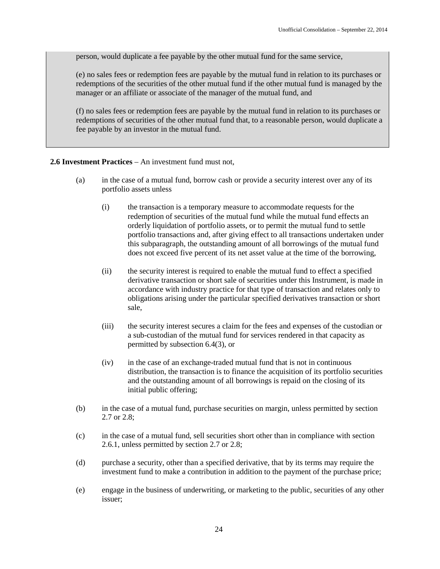person, would duplicate a fee payable by the other mutual fund for the same service,

(e) no sales fees or redemption fees are payable by the mutual fund in relation to its purchases or redemptions of the securities of the other mutual fund if the other mutual fund is managed by the manager or an affiliate or associate of the manager of the mutual fund, and

(f) no sales fees or redemption fees are payable by the mutual fund in relation to its purchases or redemptions of securities of the other mutual fund that, to a reasonable person, would duplicate a fee payable by an investor in the mutual fund.

## **2.6 Investment Practices** – An investment fund must not,

- (a) in the case of a mutual fund, borrow cash or provide a security interest over any of its portfolio assets unless
	- (i) the transaction is a temporary measure to accommodate requests for the redemption of securities of the mutual fund while the mutual fund effects an orderly liquidation of portfolio assets, or to permit the mutual fund to settle portfolio transactions and, after giving effect to all transactions undertaken under this subparagraph, the outstanding amount of all borrowings of the mutual fund does not exceed five percent of its net asset value at the time of the borrowing,
	- (ii) the security interest is required to enable the mutual fund to effect a specified derivative transaction or short sale of securities under this Instrument, is made in accordance with industry practice for that type of transaction and relates only to obligations arising under the particular specified derivatives transaction or short sale,
	- (iii) the security interest secures a claim for the fees and expenses of the custodian or a sub-custodian of the mutual fund for services rendered in that capacity as permitted by subsection 6.4(3), or
	- (iv) in the case of an exchange-traded mutual fund that is not in continuous distribution, the transaction is to finance the acquisition of its portfolio securities and the outstanding amount of all borrowings is repaid on the closing of its initial public offering;
- (b) in the case of a mutual fund, purchase securities on margin, unless permitted by section 2.7 or 2.8;
- (c) in the case of a mutual fund, sell securities short other than in compliance with section 2.6.1, unless permitted by section 2.7 or 2.8;
- (d) purchase a security, other than a specified derivative, that by its terms may require the investment fund to make a contribution in addition to the payment of the purchase price;
- (e) engage in the business of underwriting, or marketing to the public, securities of any other issuer;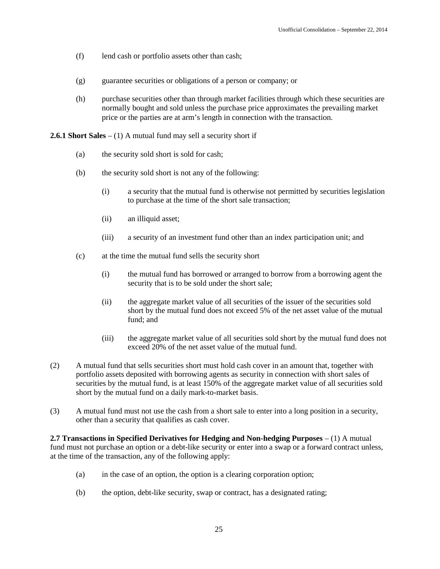- (f) lend cash or portfolio assets other than cash;
- (g) guarantee securities or obligations of a person or company; or
- (h) purchase securities other than through market facilities through which these securities are normally bought and sold unless the purchase price approximates the prevailing market price or the parties are at arm's length in connection with the transaction.

**2.6.1 Short Sales** – (1) A mutual fund may sell a security short if

- (a) the security sold short is sold for cash;
- (b) the security sold short is not any of the following:
	- (i) a security that the mutual fund is otherwise not permitted by securities legislation to purchase at the time of the short sale transaction;
	- (ii) an illiquid asset;
	- (iii) a security of an investment fund other than an index participation unit; and
- (c) at the time the mutual fund sells the security short
	- (i) the mutual fund has borrowed or arranged to borrow from a borrowing agent the security that is to be sold under the short sale;
	- (ii) the aggregate market value of all securities of the issuer of the securities sold short by the mutual fund does not exceed 5% of the net asset value of the mutual fund; and
	- (iii) the aggregate market value of all securities sold short by the mutual fund does not exceed 20% of the net asset value of the mutual fund.
- (2) A mutual fund that sells securities short must hold cash cover in an amount that, together with portfolio assets deposited with borrowing agents as security in connection with short sales of securities by the mutual fund, is at least 150% of the aggregate market value of all securities sold short by the mutual fund on a daily mark-to-market basis.
- (3) A mutual fund must not use the cash from a short sale to enter into a long position in a security, other than a security that qualifies as cash cover.

**2.7 Transactions in Specified Derivatives for Hedging and Non-hedging Purposes** – (1) A mutual fund must not purchase an option or a debt-like security or enter into a swap or a forward contract unless, at the time of the transaction, any of the following apply:

- (a) in the case of an option, the option is a clearing corporation option;
- (b) the option, debt-like security, swap or contract, has a designated rating;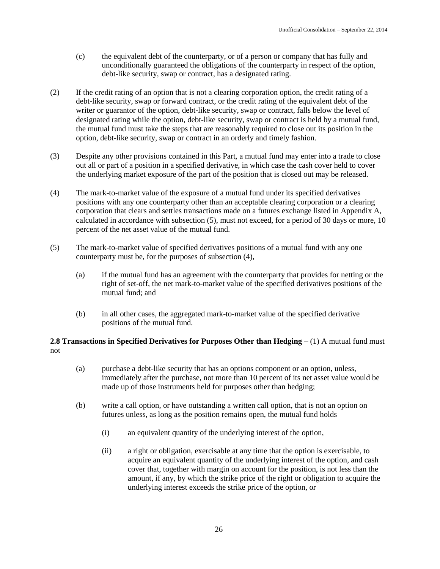- (c) the equivalent debt of the counterparty, or of a person or company that has fully and unconditionally guaranteed the obligations of the counterparty in respect of the option, debt-like security, swap or contract, has a designated rating.
- (2) If the credit rating of an option that is not a clearing corporation option, the credit rating of a debt-like security, swap or forward contract, or the credit rating of the equivalent debt of the writer or guarantor of the option, debt-like security, swap or contract, falls below the level of designated rating while the option, debt-like security, swap or contract is held by a mutual fund, the mutual fund must take the steps that are reasonably required to close out its position in the option, debt-like security, swap or contract in an orderly and timely fashion.
- (3) Despite any other provisions contained in this Part, a mutual fund may enter into a trade to close out all or part of a position in a specified derivative, in which case the cash cover held to cover the underlying market exposure of the part of the position that is closed out may be released.
- (4) The mark-to-market value of the exposure of a mutual fund under its specified derivatives positions with any one counterparty other than an acceptable clearing corporation or a clearing corporation that clears and settles transactions made on a futures exchange listed in Appendix A, calculated in accordance with subsection (5), must not exceed, for a period of 30 days or more, 10 percent of the net asset value of the mutual fund.
- (5) The mark-to-market value of specified derivatives positions of a mutual fund with any one counterparty must be, for the purposes of subsection (4),
	- (a) if the mutual fund has an agreement with the counterparty that provides for netting or the right of set-off, the net mark-to-market value of the specified derivatives positions of the mutual fund; and
	- (b) in all other cases, the aggregated mark-to-market value of the specified derivative positions of the mutual fund.

# **2.8 Transactions in Specified Derivatives for Purposes Other than Hedging** – (1) A mutual fund must not

- (a) purchase a debt-like security that has an options component or an option, unless, immediately after the purchase, not more than 10 percent of its net asset value would be made up of those instruments held for purposes other than hedging;
- (b) write a call option, or have outstanding a written call option, that is not an option on futures unless, as long as the position remains open, the mutual fund holds
	- (i) an equivalent quantity of the underlying interest of the option,
	- (ii) a right or obligation, exercisable at any time that the option is exercisable, to acquire an equivalent quantity of the underlying interest of the option, and cash cover that, together with margin on account for the position, is not less than the amount, if any, by which the strike price of the right or obligation to acquire the underlying interest exceeds the strike price of the option, or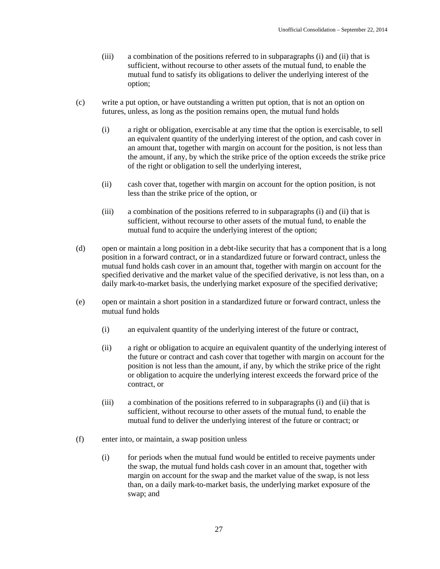- (iii) a combination of the positions referred to in subparagraphs (i) and (ii) that is sufficient, without recourse to other assets of the mutual fund, to enable the mutual fund to satisfy its obligations to deliver the underlying interest of the option;
- (c) write a put option, or have outstanding a written put option, that is not an option on futures, unless, as long as the position remains open, the mutual fund holds
	- (i) a right or obligation, exercisable at any time that the option is exercisable, to sell an equivalent quantity of the underlying interest of the option, and cash cover in an amount that, together with margin on account for the position, is not less than the amount, if any, by which the strike price of the option exceeds the strike price of the right or obligation to sell the underlying interest,
	- (ii) cash cover that, together with margin on account for the option position, is not less than the strike price of the option, or
	- (iii) a combination of the positions referred to in subparagraphs (i) and (ii) that is sufficient, without recourse to other assets of the mutual fund, to enable the mutual fund to acquire the underlying interest of the option;
- (d) open or maintain a long position in a debt-like security that has a component that is a long position in a forward contract, or in a standardized future or forward contract, unless the mutual fund holds cash cover in an amount that, together with margin on account for the specified derivative and the market value of the specified derivative, is not less than, on a daily mark-to-market basis, the underlying market exposure of the specified derivative;
- (e) open or maintain a short position in a standardized future or forward contract, unless the mutual fund holds
	- (i) an equivalent quantity of the underlying interest of the future or contract,
	- (ii) a right or obligation to acquire an equivalent quantity of the underlying interest of the future or contract and cash cover that together with margin on account for the position is not less than the amount, if any, by which the strike price of the right or obligation to acquire the underlying interest exceeds the forward price of the contract, or
	- (iii) a combination of the positions referred to in subparagraphs (i) and (ii) that is sufficient, without recourse to other assets of the mutual fund, to enable the mutual fund to deliver the underlying interest of the future or contract; or
- (f) enter into, or maintain, a swap position unless
	- (i) for periods when the mutual fund would be entitled to receive payments under the swap, the mutual fund holds cash cover in an amount that, together with margin on account for the swap and the market value of the swap, is not less than, on a daily mark-to-market basis, the underlying market exposure of the swap; and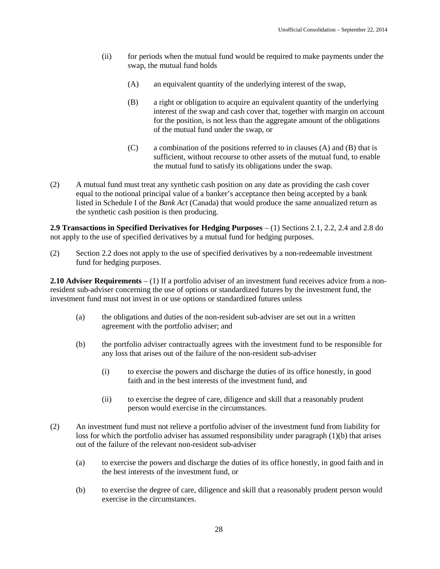- (ii) for periods when the mutual fund would be required to make payments under the swap, the mutual fund holds
	- (A) an equivalent quantity of the underlying interest of the swap,
	- (B) a right or obligation to acquire an equivalent quantity of the underlying interest of the swap and cash cover that, together with margin on account for the position, is not less than the aggregate amount of the obligations of the mutual fund under the swap, or
	- (C) a combination of the positions referred to in clauses (A) and (B) that is sufficient, without recourse to other assets of the mutual fund, to enable the mutual fund to satisfy its obligations under the swap.
- (2) A mutual fund must treat any synthetic cash position on any date as providing the cash cover equal to the notional principal value of a banker's acceptance then being accepted by a bank listed in Schedule I of the *Bank Act* (Canada) that would produce the same annualized return as the synthetic cash position is then producing.

**2.9 Transactions in Specified Derivatives for Hedging Purposes** – (1) Sections 2.1, 2.2, 2.4 and 2.8 do not apply to the use of specified derivatives by a mutual fund for hedging purposes.

(2) Section 2.2 does not apply to the use of specified derivatives by a non-redeemable investment fund for hedging purposes.

**2.10 Adviser Requirements** – (1) If a portfolio adviser of an investment fund receives advice from a nonresident sub-adviser concerning the use of options or standardized futures by the investment fund, the investment fund must not invest in or use options or standardized futures unless

- (a) the obligations and duties of the non-resident sub-adviser are set out in a written agreement with the portfolio adviser; and
- (b) the portfolio adviser contractually agrees with the investment fund to be responsible for any loss that arises out of the failure of the non-resident sub-adviser
	- (i) to exercise the powers and discharge the duties of its office honestly, in good faith and in the best interests of the investment fund, and
	- (ii) to exercise the degree of care, diligence and skill that a reasonably prudent person would exercise in the circumstances.
- (2) An investment fund must not relieve a portfolio adviser of the investment fund from liability for loss for which the portfolio adviser has assumed responsibility under paragraph (1)(b) that arises out of the failure of the relevant non-resident sub-adviser
	- (a) to exercise the powers and discharge the duties of its office honestly, in good faith and in the best interests of the investment fund, or
	- (b) to exercise the degree of care, diligence and skill that a reasonably prudent person would exercise in the circumstances.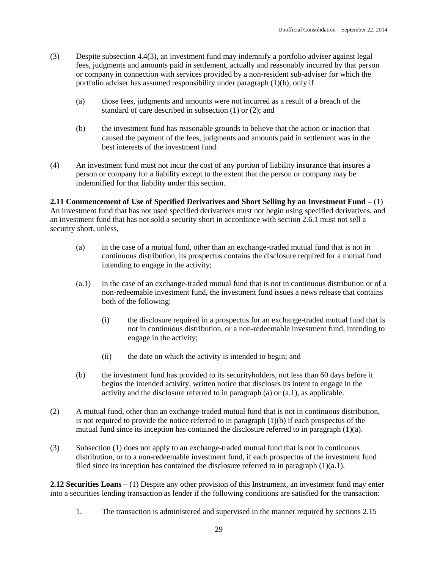- (3) Despite subsection 4.4(3), an investment fund may indemnify a portfolio adviser against legal fees, judgments and amounts paid in settlement, actually and reasonably incurred by that person or company in connection with services provided by a non-resident sub-adviser for which the portfolio adviser has assumed responsibility under paragraph (1)(b), only if
	- (a) those fees, judgments and amounts were not incurred as a result of a breach of the standard of care described in subsection (1) or (2); and
	- (b) the investment fund has reasonable grounds to believe that the action or inaction that caused the payment of the fees, judgments and amounts paid in settlement was in the best interests of the investment fund.
- (4) An investment fund must not incur the cost of any portion of liability insurance that insures a person or company for a liability except to the extent that the person or company may be indemnified for that liability under this section.

**2.11 Commencement of Use of Specified Derivatives and Short Selling by an Investment Fund** – (1) An investment fund that has not used specified derivatives must not begin using specified derivatives, and an investment fund that has not sold a security short in accordance with section 2.6.1 must not sell a security short, unless,

- (a) in the case of a mutual fund, other than an exchange-traded mutual fund that is not in continuous distribution, its prospectus contains the disclosure required for a mutual fund intending to engage in the activity;
- (a.1) in the case of an exchange-traded mutual fund that is not in continuous distribution or of a non-redeemable investment fund, the investment fund issues a news release that contains both of the following:
	- (i) the disclosure required in a prospectus for an exchange-traded mutual fund that is not in continuous distribution, or a non-redeemable investment fund, intending to engage in the activity;
	- (ii) the date on which the activity is intended to begin; and
- (b) the investment fund has provided to its securityholders, not less than 60 days before it begins the intended activity, written notice that discloses its intent to engage in the activity and the disclosure referred to in paragraph (a) or (a.1), as applicable.
- (2) A mutual fund, other than an exchange-traded mutual fund that is not in continuous distribution, is not required to provide the notice referred to in paragraph  $(1)(b)$  if each prospectus of the mutual fund since its inception has contained the disclosure referred to in paragraph  $(1)(a)$ .
- (3) Subsection (1) does not apply to an exchange-traded mutual fund that is not in continuous distribution, or to a non-redeemable investment fund, if each prospectus of the investment fund filed since its inception has contained the disclosure referred to in paragraph (1)(a.1).

**2.12 Securities Loans** – (1) Despite any other provision of this Instrument, an investment fund may enter into a securities lending transaction as lender if the following conditions are satisfied for the transaction:

1. The transaction is administered and supervised in the manner required by sections 2.15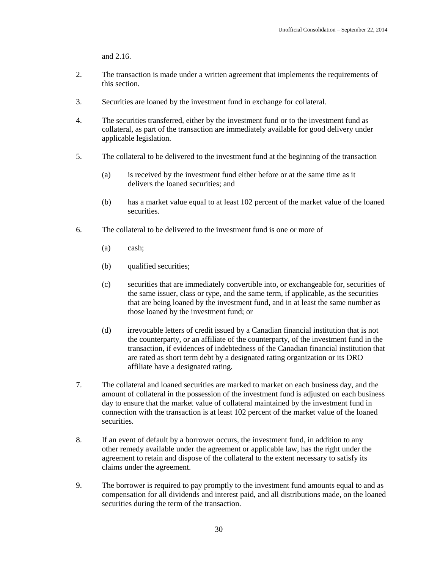and 2.16.

- 2. The transaction is made under a written agreement that implements the requirements of this section.
- 3. Securities are loaned by the investment fund in exchange for collateral.
- 4. The securities transferred, either by the investment fund or to the investment fund as collateral, as part of the transaction are immediately available for good delivery under applicable legislation.
- 5. The collateral to be delivered to the investment fund at the beginning of the transaction
	- (a) is received by the investment fund either before or at the same time as it delivers the loaned securities; and
	- (b) has a market value equal to at least 102 percent of the market value of the loaned securities.
- 6. The collateral to be delivered to the investment fund is one or more of
	- (a) cash;
	- (b) qualified securities;
	- (c) securities that are immediately convertible into, or exchangeable for, securities of the same issuer, class or type, and the same term, if applicable, as the securities that are being loaned by the investment fund, and in at least the same number as those loaned by the investment fund; or
	- (d) irrevocable letters of credit issued by a Canadian financial institution that is not the counterparty, or an affiliate of the counterparty, of the investment fund in the transaction, if evidences of indebtedness of the Canadian financial institution that are rated as short term debt by a designated rating organization or its DRO affiliate have a designated rating.
- 7. The collateral and loaned securities are marked to market on each business day, and the amount of collateral in the possession of the investment fund is adjusted on each business day to ensure that the market value of collateral maintained by the investment fund in connection with the transaction is at least 102 percent of the market value of the loaned securities.
- 8. If an event of default by a borrower occurs, the investment fund, in addition to any other remedy available under the agreement or applicable law, has the right under the agreement to retain and dispose of the collateral to the extent necessary to satisfy its claims under the agreement.
- 9. The borrower is required to pay promptly to the investment fund amounts equal to and as compensation for all dividends and interest paid, and all distributions made, on the loaned securities during the term of the transaction.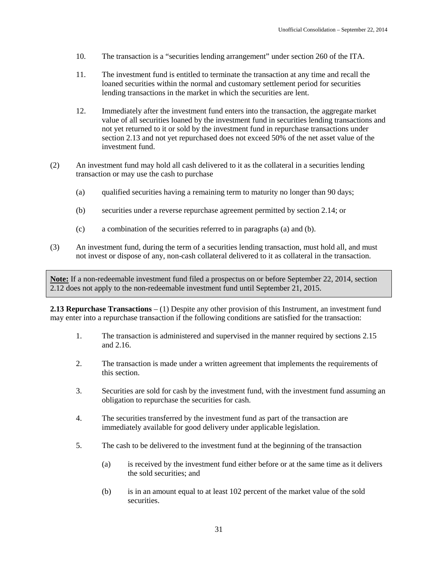- 10. The transaction is a "securities lending arrangement" under section 260 of the ITA.
- 11. The investment fund is entitled to terminate the transaction at any time and recall the loaned securities within the normal and customary settlement period for securities lending transactions in the market in which the securities are lent.
- 12. Immediately after the investment fund enters into the transaction, the aggregate market value of all securities loaned by the investment fund in securities lending transactions and not yet returned to it or sold by the investment fund in repurchase transactions under section 2.13 and not yet repurchased does not exceed 50% of the net asset value of the investment fund.
- (2) An investment fund may hold all cash delivered to it as the collateral in a securities lending transaction or may use the cash to purchase
	- (a) qualified securities having a remaining term to maturity no longer than 90 days;
	- (b) securities under a reverse repurchase agreement permitted by section 2.14; or
	- (c) a combination of the securities referred to in paragraphs (a) and (b).
- (3) An investment fund, during the term of a securities lending transaction, must hold all, and must not invest or dispose of any, non-cash collateral delivered to it as collateral in the transaction.

**Note:** If a non-redeemable investment fund filed a prospectus on or before September 22, 2014, section 2.12 does not apply to the non-redeemable investment fund until September 21, 2015.

**2.13 Repurchase Transactions** – (1) Despite any other provision of this Instrument, an investment fund may enter into a repurchase transaction if the following conditions are satisfied for the transaction:

- 1. The transaction is administered and supervised in the manner required by sections 2.15 and 2.16.
- 2. The transaction is made under a written agreement that implements the requirements of this section.
- 3. Securities are sold for cash by the investment fund, with the investment fund assuming an obligation to repurchase the securities for cash.
- 4. The securities transferred by the investment fund as part of the transaction are immediately available for good delivery under applicable legislation.
- 5. The cash to be delivered to the investment fund at the beginning of the transaction
	- (a) is received by the investment fund either before or at the same time as it delivers the sold securities; and
	- (b) is in an amount equal to at least 102 percent of the market value of the sold securities.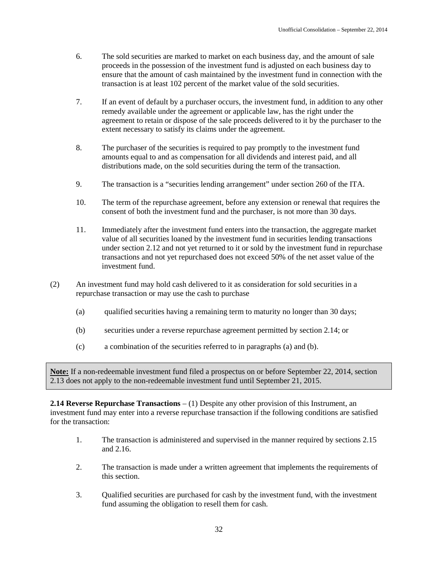- 6. The sold securities are marked to market on each business day, and the amount of sale proceeds in the possession of the investment fund is adjusted on each business day to ensure that the amount of cash maintained by the investment fund in connection with the transaction is at least 102 percent of the market value of the sold securities.
- 7. If an event of default by a purchaser occurs, the investment fund, in addition to any other remedy available under the agreement or applicable law, has the right under the agreement to retain or dispose of the sale proceeds delivered to it by the purchaser to the extent necessary to satisfy its claims under the agreement.
- 8. The purchaser of the securities is required to pay promptly to the investment fund amounts equal to and as compensation for all dividends and interest paid, and all distributions made, on the sold securities during the term of the transaction.
- 9. The transaction is a "securities lending arrangement" under section 260 of the ITA.
- 10. The term of the repurchase agreement, before any extension or renewal that requires the consent of both the investment fund and the purchaser, is not more than 30 days.
- 11. Immediately after the investment fund enters into the transaction, the aggregate market value of all securities loaned by the investment fund in securities lending transactions under section 2.12 and not yet returned to it or sold by the investment fund in repurchase transactions and not yet repurchased does not exceed 50% of the net asset value of the investment fund.
- (2) An investment fund may hold cash delivered to it as consideration for sold securities in a repurchase transaction or may use the cash to purchase
	- (a) qualified securities having a remaining term to maturity no longer than 30 days;
	- (b) securities under a reverse repurchase agreement permitted by section 2.14; or
	- (c) a combination of the securities referred to in paragraphs (a) and (b).

**Note:** If a non-redeemable investment fund filed a prospectus on or before September 22, 2014, section 2.13 does not apply to the non-redeemable investment fund until September 21, 2015.

**2.14 Reverse Repurchase Transactions** – (1) Despite any other provision of this Instrument, an investment fund may enter into a reverse repurchase transaction if the following conditions are satisfied for the transaction:

- 1. The transaction is administered and supervised in the manner required by sections 2.15 and 2.16.
- 2. The transaction is made under a written agreement that implements the requirements of this section.
- 3. Qualified securities are purchased for cash by the investment fund, with the investment fund assuming the obligation to resell them for cash.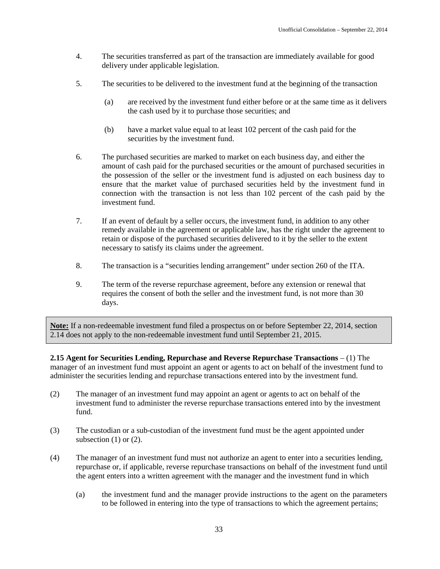- 4. The securities transferred as part of the transaction are immediately available for good delivery under applicable legislation.
- 5. The securities to be delivered to the investment fund at the beginning of the transaction
	- (a) are received by the investment fund either before or at the same time as it delivers the cash used by it to purchase those securities; and
	- (b) have a market value equal to at least 102 percent of the cash paid for the securities by the investment fund.
- 6. The purchased securities are marked to market on each business day, and either the amount of cash paid for the purchased securities or the amount of purchased securities in the possession of the seller or the investment fund is adjusted on each business day to ensure that the market value of purchased securities held by the investment fund in connection with the transaction is not less than 102 percent of the cash paid by the investment fund.
- 7. If an event of default by a seller occurs, the investment fund, in addition to any other remedy available in the agreement or applicable law, has the right under the agreement to retain or dispose of the purchased securities delivered to it by the seller to the extent necessary to satisfy its claims under the agreement.
- 8. The transaction is a "securities lending arrangement" under section 260 of the ITA.
- 9. The term of the reverse repurchase agreement, before any extension or renewal that requires the consent of both the seller and the investment fund, is not more than 30 days.

**Note:** If a non-redeemable investment fund filed a prospectus on or before September 22, 2014, section 2.14 does not apply to the non-redeemable investment fund until September 21, 2015.

**2.15 Agent for Securities Lending, Repurchase and Reverse Repurchase Transactions** – (1) The manager of an investment fund must appoint an agent or agents to act on behalf of the investment fund to administer the securities lending and repurchase transactions entered into by the investment fund.

- (2) The manager of an investment fund may appoint an agent or agents to act on behalf of the investment fund to administer the reverse repurchase transactions entered into by the investment fund.
- (3) The custodian or a sub-custodian of the investment fund must be the agent appointed under subsection  $(1)$  or  $(2)$ .
- (4) The manager of an investment fund must not authorize an agent to enter into a securities lending, repurchase or, if applicable, reverse repurchase transactions on behalf of the investment fund until the agent enters into a written agreement with the manager and the investment fund in which
	- (a) the investment fund and the manager provide instructions to the agent on the parameters to be followed in entering into the type of transactions to which the agreement pertains;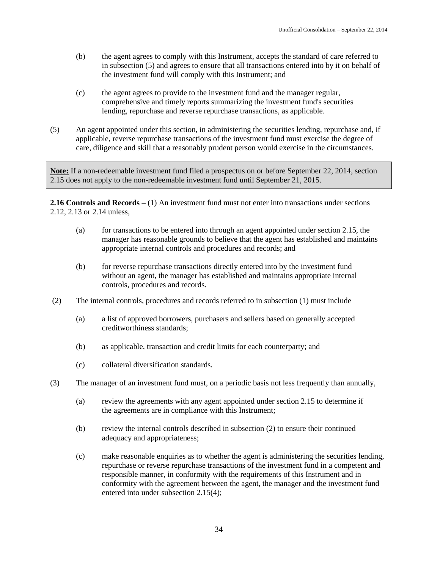- (b) the agent agrees to comply with this Instrument, accepts the standard of care referred to in subsection (5) and agrees to ensure that all transactions entered into by it on behalf of the investment fund will comply with this Instrument; and
- (c) the agent agrees to provide to the investment fund and the manager regular, comprehensive and timely reports summarizing the investment fund's securities lending, repurchase and reverse repurchase transactions, as applicable.
- (5) An agent appointed under this section, in administering the securities lending, repurchase and, if applicable, reverse repurchase transactions of the investment fund must exercise the degree of care, diligence and skill that a reasonably prudent person would exercise in the circumstances.

**Note:** If a non-redeemable investment fund filed a prospectus on or before September 22, 2014, section 2.15 does not apply to the non-redeemable investment fund until September 21, 2015.

**2.16 Controls and Records** – (1) An investment fund must not enter into transactions under sections 2.12, 2.13 or 2.14 unless,

- (a) for transactions to be entered into through an agent appointed under section 2.15, the manager has reasonable grounds to believe that the agent has established and maintains appropriate internal controls and procedures and records; and
- (b) for reverse repurchase transactions directly entered into by the investment fund without an agent, the manager has established and maintains appropriate internal controls, procedures and records.
- (2) The internal controls, procedures and records referred to in subsection (1) must include
	- (a) a list of approved borrowers, purchasers and sellers based on generally accepted creditworthiness standards;
	- (b) as applicable, transaction and credit limits for each counterparty; and
	- (c) collateral diversification standards.
- (3) The manager of an investment fund must, on a periodic basis not less frequently than annually,
	- (a) review the agreements with any agent appointed under section 2.15 to determine if the agreements are in compliance with this Instrument;
	- (b) review the internal controls described in subsection (2) to ensure their continued adequacy and appropriateness;
	- (c) make reasonable enquiries as to whether the agent is administering the securities lending, repurchase or reverse repurchase transactions of the investment fund in a competent and responsible manner, in conformity with the requirements of this Instrument and in conformity with the agreement between the agent, the manager and the investment fund entered into under subsection 2.15(4);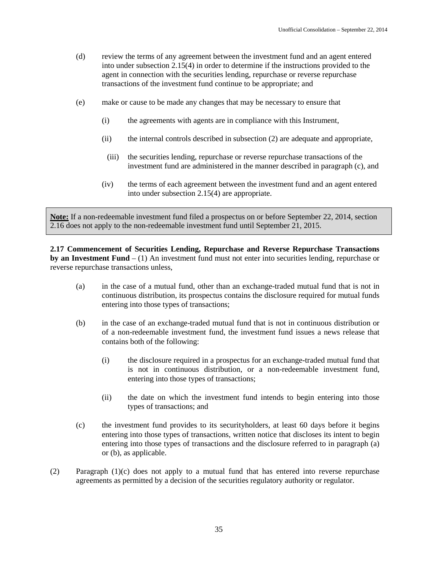- (d) review the terms of any agreement between the investment fund and an agent entered into under subsection 2.15(4) in order to determine if the instructions provided to the agent in connection with the securities lending, repurchase or reverse repurchase transactions of the investment fund continue to be appropriate; and
- (e) make or cause to be made any changes that may be necessary to ensure that
	- (i) the agreements with agents are in compliance with this Instrument,
	- (ii) the internal controls described in subsection (2) are adequate and appropriate,
	- (iii) the securities lending, repurchase or reverse repurchase transactions of the investment fund are administered in the manner described in paragraph (c), and
	- (iv) the terms of each agreement between the investment fund and an agent entered into under subsection 2.15(4) are appropriate.

**Note:** If a non-redeemable investment fund filed a prospectus on or before September 22, 2014, section 2.16 does not apply to the non-redeemable investment fund until September 21, 2015.

**2.17 Commencement of Securities Lending, Repurchase and Reverse Repurchase Transactions by an Investment Fund** – (1) An investment fund must not enter into securities lending, repurchase or reverse repurchase transactions unless,

- (a) in the case of a mutual fund, other than an exchange-traded mutual fund that is not in continuous distribution, its prospectus contains the disclosure required for mutual funds entering into those types of transactions;
- (b) in the case of an exchange-traded mutual fund that is not in continuous distribution or of a non-redeemable investment fund, the investment fund issues a news release that contains both of the following:
	- (i) the disclosure required in a prospectus for an exchange-traded mutual fund that is not in continuous distribution, or a non-redeemable investment fund, entering into those types of transactions;
	- (ii) the date on which the investment fund intends to begin entering into those types of transactions; and
- (c) the investment fund provides to its securityholders, at least 60 days before it begins entering into those types of transactions, written notice that discloses its intent to begin entering into those types of transactions and the disclosure referred to in paragraph (a) or (b), as applicable.
- (2) Paragraph (1)(c) does not apply to a mutual fund that has entered into reverse repurchase agreements as permitted by a decision of the securities regulatory authority or regulator.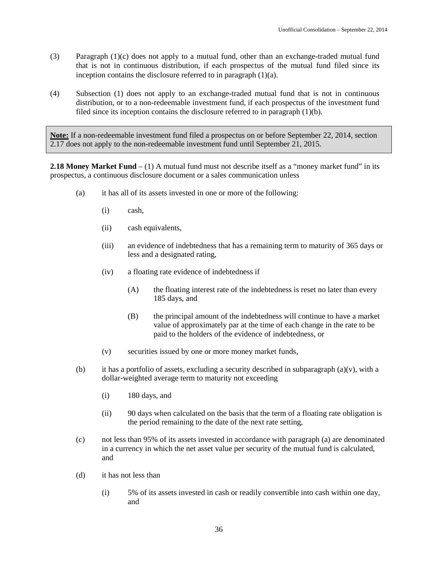- (3) Paragraph (1)(c) does not apply to a mutual fund, other than an exchange-traded mutual fund that is not in continuous distribution, if each prospectus of the mutual fund filed since its inception contains the disclosure referred to in paragraph (1)(a).
- (4) Subsection (1) does not apply to an exchange-traded mutual fund that is not in continuous distribution, or to a non-redeemable investment fund, if each prospectus of the investment fund filed since its inception contains the disclosure referred to in paragraph (1)(b).

**Note:** If a non-redeemable investment fund filed a prospectus on or before September 22, 2014, section 2.17 does not apply to the non-redeemable investment fund until September 21, 2015.

**2.18 Money Market Fund** – (1) A mutual fund must not describe itself as a "money market fund" in its prospectus, a continuous disclosure document or a sales communication unless

- (a) it has all of its assets invested in one or more of the following:
	- (i) cash,
	- (ii) cash equivalents,
	- (iii) an evidence of indebtedness that has a remaining term to maturity of 365 days or less and a designated rating,
	- (iv) a floating rate evidence of indebtedness if
		- (A) the floating interest rate of the indebtedness is reset no later than every 185 days, and
		- (B) the principal amount of the indebtedness will continue to have a market value of approximately par at the time of each change in the rate to be paid to the holders of the evidence of indebtedness, or
	- (v) securities issued by one or more money market funds,
- (b) it has a portfolio of assets, excluding a security described in subparagraph (a)(v), with a dollar-weighted average term to maturity not exceeding
	- (i) 180 days, and
	- (ii) 90 days when calculated on the basis that the term of a floating rate obligation is the period remaining to the date of the next rate setting,
- (c) not less than 95% of its assets invested in accordance with paragraph (a) are denominated in a currency in which the net asset value per security of the mutual fund is calculated, and
- (d) it has not less than
	- (i) 5% of its assets invested in cash or readily convertible into cash within one day, and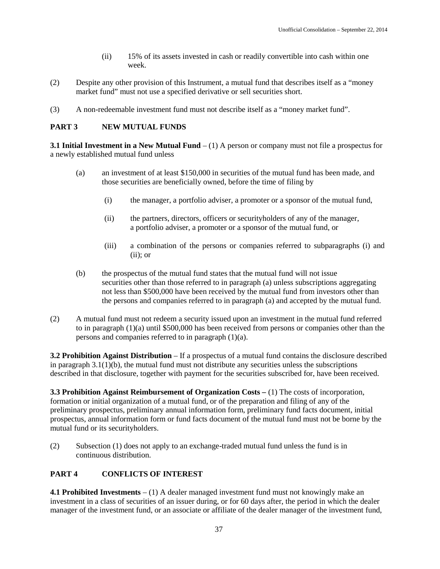- (ii) 15% of its assets invested in cash or readily convertible into cash within one week.
- (2) Despite any other provision of this Instrument, a mutual fund that describes itself as a "money market fund" must not use a specified derivative or sell securities short.
- (3) A non-redeemable investment fund must not describe itself as a "money market fund".

## **PART 3 NEW MUTUAL FUNDS**

**3.1 Initial Investment in a New Mutual Fund** – (1) A person or company must not file a prospectus for a newly established mutual fund unless

- (a) an investment of at least \$150,000 in securities of the mutual fund has been made, and those securities are beneficially owned, before the time of filing by
	- (i) the manager, a portfolio adviser, a promoter or a sponsor of the mutual fund,
	- (ii) the partners, directors, officers or securityholders of any of the manager, a portfolio adviser, a promoter or a sponsor of the mutual fund, or
	- (iii) a combination of the persons or companies referred to subparagraphs (i) and  $(ii)$ ; or
- (b) the prospectus of the mutual fund states that the mutual fund will not issue securities other than those referred to in paragraph (a) unless subscriptions aggregating not less than \$500,000 have been received by the mutual fund from investors other than the persons and companies referred to in paragraph (a) and accepted by the mutual fund.
- (2) A mutual fund must not redeem a security issued upon an investment in the mutual fund referred to in paragraph (1)(a) until \$500,000 has been received from persons or companies other than the persons and companies referred to in paragraph (1)(a).

**3.2 Prohibition Against Distribution** – If a prospectus of a mutual fund contains the disclosure described in paragraph  $3.1(1)(b)$ , the mutual fund must not distribute any securities unless the subscriptions described in that disclosure, together with payment for the securities subscribed for, have been received.

**3.3 Prohibition Against Reimbursement of Organization Costs –** (1) The costs of incorporation, formation or initial organization of a mutual fund, or of the preparation and filing of any of the preliminary prospectus, preliminary annual information form, preliminary fund facts document, initial prospectus, annual information form or fund facts document of the mutual fund must not be borne by the mutual fund or its securityholders.

(2) Subsection (1) does not apply to an exchange-traded mutual fund unless the fund is in continuous distribution.

### **PART 4 CONFLICTS OF INTEREST**

**4.1 Prohibited Investments** – (1) A dealer managed investment fund must not knowingly make an investment in a class of securities of an issuer during, or for 60 days after, the period in which the dealer manager of the investment fund, or an associate or affiliate of the dealer manager of the investment fund,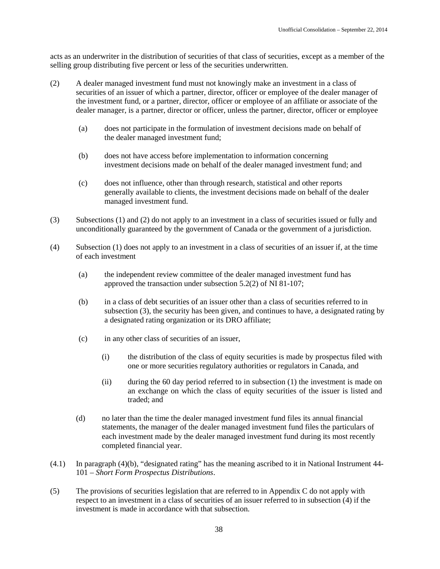acts as an underwriter in the distribution of securities of that class of securities, except as a member of the selling group distributing five percent or less of the securities underwritten.

- (2) A dealer managed investment fund must not knowingly make an investment in a class of securities of an issuer of which a partner, director, officer or employee of the dealer manager of the investment fund, or a partner, director, officer or employee of an affiliate or associate of the dealer manager, is a partner, director or officer, unless the partner, director, officer or employee
	- (a) does not participate in the formulation of investment decisions made on behalf of the dealer managed investment fund;
	- (b) does not have access before implementation to information concerning investment decisions made on behalf of the dealer managed investment fund; and
	- (c) does not influence, other than through research, statistical and other reports generally available to clients, the investment decisions made on behalf of the dealer managed investment fund.
- (3) Subsections (1) and (2) do not apply to an investment in a class of securities issued or fully and unconditionally guaranteed by the government of Canada or the government of a jurisdiction.
- (4) Subsection (1) does not apply to an investment in a class of securities of an issuer if, at the time of each investment
	- (a) the independent review committee of the dealer managed investment fund has approved the transaction under subsection 5.2(2) of NI 81-107;
	- (b) in a class of debt securities of an issuer other than a class of securities referred to in subsection (3), the security has been given, and continues to have, a designated rating by a designated rating organization or its DRO affiliate;
	- (c) in any other class of securities of an issuer,
		- (i) the distribution of the class of equity securities is made by prospectus filed with one or more securities regulatory authorities or regulators in Canada, and
		- (ii) during the 60 day period referred to in subsection (1) the investment is made on an exchange on which the class of equity securities of the issuer is listed and traded; and
	- (d) no later than the time the dealer managed investment fund files its annual financial statements, the manager of the dealer managed investment fund files the particulars of each investment made by the dealer managed investment fund during its most recently completed financial year.
- (4.1) In paragraph (4)(b), "designated rating" has the meaning ascribed to it in National Instrument 44- 101 – *Short Form Prospectus Distributions*.
- (5) The provisions of securities legislation that are referred to in Appendix C do not apply with respect to an investment in a class of securities of an issuer referred to in subsection (4) if the investment is made in accordance with that subsection.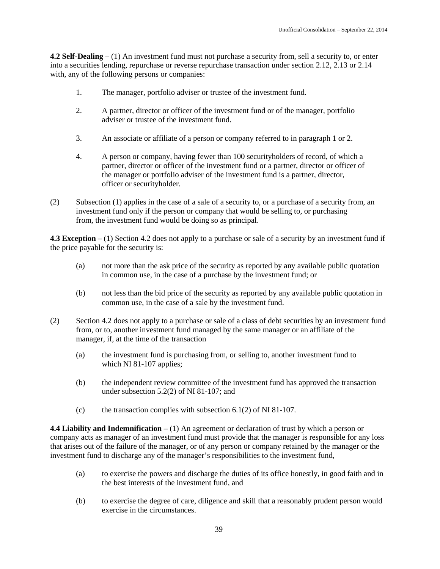**4.2 Self-Dealing** – (1) An investment fund must not purchase a security from, sell a security to, or enter into a securities lending, repurchase or reverse repurchase transaction under section 2.12, 2.13 or 2.14 with, any of the following persons or companies:

- 1. The manager, portfolio adviser or trustee of the investment fund.
- 2. A partner, director or officer of the investment fund or of the manager, portfolio adviser or trustee of the investment fund.
- 3. An associate or affiliate of a person or company referred to in paragraph 1 or 2.
- 4. A person or company, having fewer than 100 securityholders of record, of which a partner, director or officer of the investment fund or a partner, director or officer of the manager or portfolio adviser of the investment fund is a partner, director, officer or securityholder.
- (2) Subsection (1) applies in the case of a sale of a security to, or a purchase of a security from, an investment fund only if the person or company that would be selling to, or purchasing from, the investment fund would be doing so as principal.

**4.3 Exception** – (1) Section 4.2 does not apply to a purchase or sale of a security by an investment fund if the price payable for the security is:

- (a) not more than the ask price of the security as reported by any available public quotation in common use, in the case of a purchase by the investment fund; or
- (b) not less than the bid price of the security as reported by any available public quotation in common use, in the case of a sale by the investment fund.
- (2) Section 4.2 does not apply to a purchase or sale of a class of debt securities by an investment fund from, or to, another investment fund managed by the same manager or an affiliate of the manager, if, at the time of the transaction
	- (a) the investment fund is purchasing from, or selling to, another investment fund to which NI 81-107 applies;
	- (b) the independent review committee of the investment fund has approved the transaction under subsection 5.2(2) of NI 81-107; and
	- (c) the transaction complies with subsection  $6.1(2)$  of NI 81-107.

**4.4 Liability and Indemnification** – (1) An agreement or declaration of trust by which a person or company acts as manager of an investment fund must provide that the manager is responsible for any loss that arises out of the failure of the manager, or of any person or company retained by the manager or the investment fund to discharge any of the manager's responsibilities to the investment fund,

- (a) to exercise the powers and discharge the duties of its office honestly, in good faith and in the best interests of the investment fund, and
- (b) to exercise the degree of care, diligence and skill that a reasonably prudent person would exercise in the circumstances.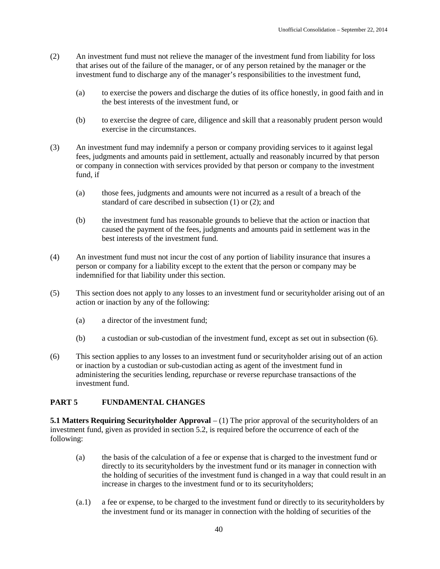- (2) An investment fund must not relieve the manager of the investment fund from liability for loss that arises out of the failure of the manager, or of any person retained by the manager or the investment fund to discharge any of the manager's responsibilities to the investment fund,
	- (a) to exercise the powers and discharge the duties of its office honestly, in good faith and in the best interests of the investment fund, or
	- (b) to exercise the degree of care, diligence and skill that a reasonably prudent person would exercise in the circumstances.
- (3) An investment fund may indemnify a person or company providing services to it against legal fees, judgments and amounts paid in settlement, actually and reasonably incurred by that person or company in connection with services provided by that person or company to the investment fund, if
	- (a) those fees, judgments and amounts were not incurred as a result of a breach of the standard of care described in subsection (1) or (2); and
	- (b) the investment fund has reasonable grounds to believe that the action or inaction that caused the payment of the fees, judgments and amounts paid in settlement was in the best interests of the investment fund.
- (4) An investment fund must not incur the cost of any portion of liability insurance that insures a person or company for a liability except to the extent that the person or company may be indemnified for that liability under this section.
- (5) This section does not apply to any losses to an investment fund or securityholder arising out of an action or inaction by any of the following:
	- (a) a director of the investment fund;
	- (b) a custodian or sub-custodian of the investment fund, except as set out in subsection (6).
- (6) This section applies to any losses to an investment fund or securityholder arising out of an action or inaction by a custodian or sub-custodian acting as agent of the investment fund in administering the securities lending, repurchase or reverse repurchase transactions of the investment fund.

#### **PART 5 FUNDAMENTAL CHANGES**

**5.1 Matters Requiring Securityholder Approval** – (1) The prior approval of the securityholders of an investment fund, given as provided in section 5.2, is required before the occurrence of each of the following:

- (a) the basis of the calculation of a fee or expense that is charged to the investment fund or directly to its securityholders by the investment fund or its manager in connection with the holding of securities of the investment fund is changed in a way that could result in an increase in charges to the investment fund or to its securityholders;
- (a.1) a fee or expense, to be charged to the investment fund or directly to its securityholders by the investment fund or its manager in connection with the holding of securities of the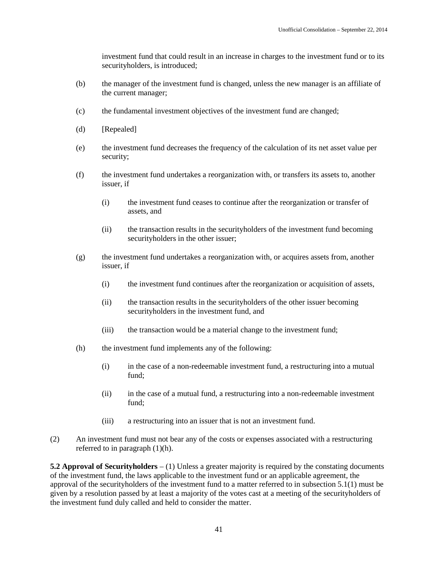investment fund that could result in an increase in charges to the investment fund or to its securityholders, is introduced;

- (b) the manager of the investment fund is changed, unless the new manager is an affiliate of the current manager;
- (c) the fundamental investment objectives of the investment fund are changed;
- (d) [Repealed]
- (e) the investment fund decreases the frequency of the calculation of its net asset value per security;
- (f) the investment fund undertakes a reorganization with, or transfers its assets to, another issuer, if
	- (i) the investment fund ceases to continue after the reorganization or transfer of assets, and
	- (ii) the transaction results in the securityholders of the investment fund becoming securityholders in the other issuer;
- (g) the investment fund undertakes a reorganization with, or acquires assets from, another issuer, if
	- (i) the investment fund continues after the reorganization or acquisition of assets,
	- (ii) the transaction results in the securityholders of the other issuer becoming securityholders in the investment fund, and
	- (iii) the transaction would be a material change to the investment fund;
- (h) the investment fund implements any of the following:
	- (i) in the case of a non-redeemable investment fund, a restructuring into a mutual fund;
	- (ii) in the case of a mutual fund, a restructuring into a non-redeemable investment fund;
	- (iii) a restructuring into an issuer that is not an investment fund.
- (2) An investment fund must not bear any of the costs or expenses associated with a restructuring referred to in paragraph (1)(h).

**5.2 Approval of Securityholders** – (1) Unless a greater majority is required by the constating documents of the investment fund, the laws applicable to the investment fund or an applicable agreement, the approval of the securityholders of the investment fund to a matter referred to in subsection 5.1(1) must be given by a resolution passed by at least a majority of the votes cast at a meeting of the securityholders of the investment fund duly called and held to consider the matter.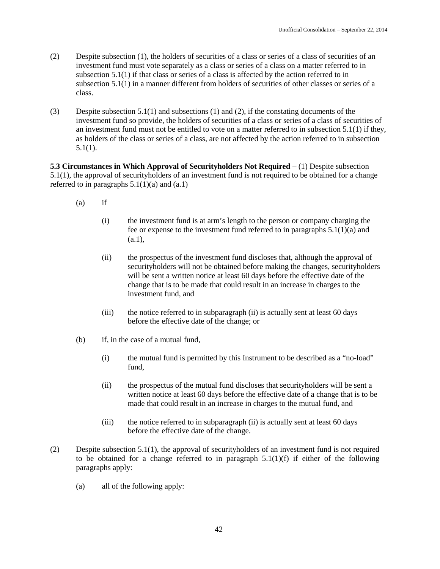- (2) Despite subsection (1), the holders of securities of a class or series of a class of securities of an investment fund must vote separately as a class or series of a class on a matter referred to in subsection 5.1(1) if that class or series of a class is affected by the action referred to in subsection 5.1(1) in a manner different from holders of securities of other classes or series of a class.
- (3) Despite subsection  $5.1(1)$  and subsections (1) and (2), if the constating documents of the investment fund so provide, the holders of securities of a class or series of a class of securities of an investment fund must not be entitled to vote on a matter referred to in subsection  $5.1(1)$  if they, as holders of the class or series of a class, are not affected by the action referred to in subsection  $5.1(1)$ .

**5.3 Circumstances in Which Approval of Securityholders Not Required** – (1) Despite subsection 5.1(1), the approval of securityholders of an investment fund is not required to be obtained for a change referred to in paragraphs  $5.1(1)(a)$  and  $(a.1)$ 

- (a) if
	- (i) the investment fund is at arm's length to the person or company charging the fee or expense to the investment fund referred to in paragraphs 5.1(1)(a) and (a.1),
	- (ii) the prospectus of the investment fund discloses that, although the approval of securityholders will not be obtained before making the changes, securityholders will be sent a written notice at least 60 days before the effective date of the change that is to be made that could result in an increase in charges to the investment fund, and
	- (iii) the notice referred to in subparagraph (ii) is actually sent at least 60 days before the effective date of the change; or
- (b) if, in the case of a mutual fund,
	- (i) the mutual fund is permitted by this Instrument to be described as a "no-load" fund,
	- (ii) the prospectus of the mutual fund discloses that securityholders will be sent a written notice at least 60 days before the effective date of a change that is to be made that could result in an increase in charges to the mutual fund, and
	- (iii) the notice referred to in subparagraph (ii) is actually sent at least 60 days before the effective date of the change.
- (2) Despite subsection 5.1(1), the approval of securityholders of an investment fund is not required to be obtained for a change referred to in paragraph  $5.1(1)(f)$  if either of the following paragraphs apply:
	- (a) all of the following apply: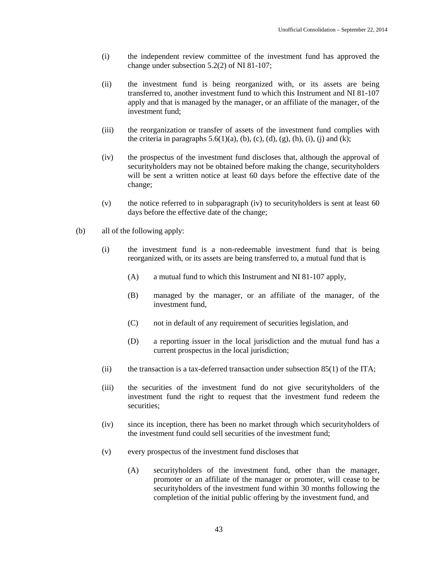- (i) the independent review committee of the investment fund has approved the change under subsection 5.2(2) of NI 81-107;
- (ii) the investment fund is being reorganized with, or its assets are being transferred to, another investment fund to which this Instrument and NI 81-107 apply and that is managed by the manager, or an affiliate of the manager, of the investment fund;
- (iii) the reorganization or transfer of assets of the investment fund complies with the criteria in paragraphs  $5.6(1)(a)$ , (b), (c), (d), (g), (h), (i), (j) and (k);
- (iv) the prospectus of the investment fund discloses that, although the approval of securityholders may not be obtained before making the change, securityholders will be sent a written notice at least 60 days before the effective date of the change;
- (v) the notice referred to in subparagraph (iv) to securityholders is sent at least 60 days before the effective date of the change;
- (b) all of the following apply:
	- (i) the investment fund is a non-redeemable investment fund that is being reorganized with, or its assets are being transferred to, a mutual fund that is
		- (A) a mutual fund to which this Instrument and NI 81-107 apply,
		- (B) managed by the manager, or an affiliate of the manager, of the investment fund,
		- (C) not in default of any requirement of securities legislation, and
		- (D) a reporting issuer in the local jurisdiction and the mutual fund has a current prospectus in the local jurisdiction;
	- (ii) the transaction is a tax-deferred transaction under subsection  $85(1)$  of the ITA;
	- (iii) the securities of the investment fund do not give securityholders of the investment fund the right to request that the investment fund redeem the securities;
	- (iv) since its inception, there has been no market through which securityholders of the investment fund could sell securities of the investment fund;
	- (v) every prospectus of the investment fund discloses that
		- (A) securityholders of the investment fund, other than the manager, promoter or an affiliate of the manager or promoter, will cease to be securityholders of the investment fund within 30 months following the completion of the initial public offering by the investment fund, and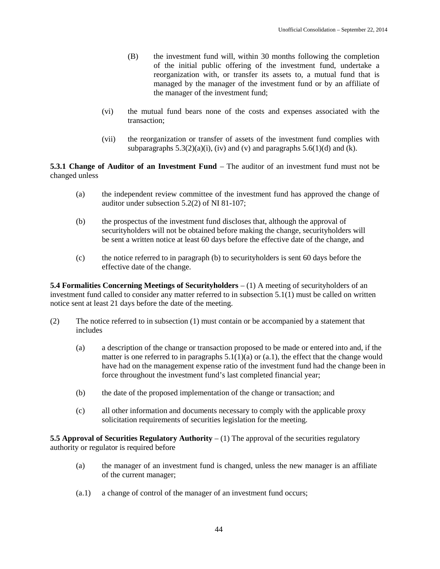- (B) the investment fund will, within 30 months following the completion of the initial public offering of the investment fund, undertake a reorganization with, or transfer its assets to, a mutual fund that is managed by the manager of the investment fund or by an affiliate of the manager of the investment fund;
- (vi) the mutual fund bears none of the costs and expenses associated with the transaction;
- (vii) the reorganization or transfer of assets of the investment fund complies with subparagraphs  $5.3(2)(a)(i)$ , (iv) and (v) and paragraphs  $5.6(1)(d)$  and (k).

**5.3.1 Change of Auditor of an Investment Fund** – The auditor of an investment fund must not be changed unless

- (a) the independent review committee of the investment fund has approved the change of auditor under subsection 5.2(2) of NI 81-107;
- (b) the prospectus of the investment fund discloses that, although the approval of securityholders will not be obtained before making the change, securityholders will be sent a written notice at least 60 days before the effective date of the change, and
- (c) the notice referred to in paragraph (b) to securityholders is sent 60 days before the effective date of the change.

**5.4 Formalities Concerning Meetings of Securityholders** – (1) A meeting of securityholders of an investment fund called to consider any matter referred to in subsection 5.1(1) must be called on written notice sent at least 21 days before the date of the meeting.

- (2) The notice referred to in subsection (1) must contain or be accompanied by a statement that includes
	- (a) a description of the change or transaction proposed to be made or entered into and, if the matter is one referred to in paragraphs  $5.1(1)(a)$  or (a.1), the effect that the change would have had on the management expense ratio of the investment fund had the change been in force throughout the investment fund's last completed financial year;
	- (b) the date of the proposed implementation of the change or transaction; and
	- (c) all other information and documents necessary to comply with the applicable proxy solicitation requirements of securities legislation for the meeting.

**5.5 Approval of Securities Regulatory Authority** – (1) The approval of the securities regulatory authority or regulator is required before

- (a) the manager of an investment fund is changed, unless the new manager is an affiliate of the current manager;
- (a.1) a change of control of the manager of an investment fund occurs;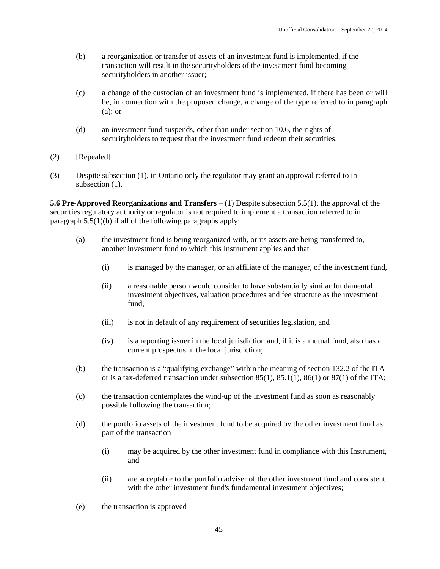- (b) a reorganization or transfer of assets of an investment fund is implemented, if the transaction will result in the securityholders of the investment fund becoming securityholders in another issuer;
- (c) a change of the custodian of an investment fund is implemented, if there has been or will be, in connection with the proposed change, a change of the type referred to in paragraph (a); or
- (d) an investment fund suspends, other than under section 10.6, the rights of securityholders to request that the investment fund redeem their securities.
- (2) [Repealed]
- (3) Despite subsection (1), in Ontario only the regulator may grant an approval referred to in subsection  $(1)$ .

**5.6 Pre-Approved Reorganizations and Transfers** – (1) Despite subsection 5.5(1), the approval of the securities regulatory authority or regulator is not required to implement a transaction referred to in paragraph 5.5(1)(b) if all of the following paragraphs apply:

- (a) the investment fund is being reorganized with, or its assets are being transferred to, another investment fund to which this Instrument applies and that
	- (i) is managed by the manager, or an affiliate of the manager, of the investment fund,
	- (ii) a reasonable person would consider to have substantially similar fundamental investment objectives, valuation procedures and fee structure as the investment fund,
	- (iii) is not in default of any requirement of securities legislation, and
	- (iv) is a reporting issuer in the local jurisdiction and, if it is a mutual fund, also has a current prospectus in the local jurisdiction;
- (b) the transaction is a "qualifying exchange" within the meaning of section 132.2 of the ITA or is a tax-deferred transaction under subsection  $85(1)$ ,  $85(1)$ ,  $86(1)$  or  $87(1)$  of the ITA;
- (c) the transaction contemplates the wind-up of the investment fund as soon as reasonably possible following the transaction;
- (d) the portfolio assets of the investment fund to be acquired by the other investment fund as part of the transaction
	- (i) may be acquired by the other investment fund in compliance with this Instrument, and
	- (ii) are acceptable to the portfolio adviser of the other investment fund and consistent with the other investment fund's fundamental investment objectives;
- (e) the transaction is approved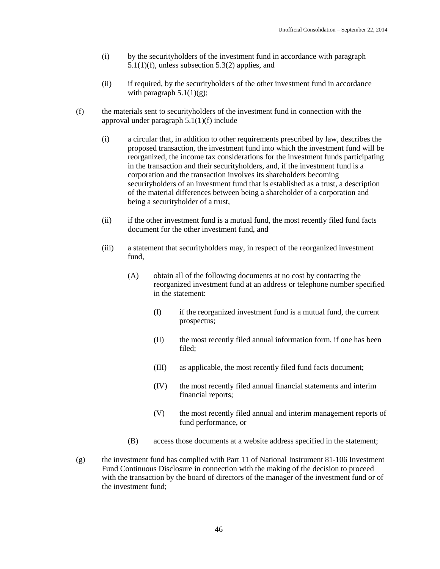- (i) by the securityholders of the investment fund in accordance with paragraph 5.1(1)(f), unless subsection 5.3(2) applies, and
- (ii) if required, by the securityholders of the other investment fund in accordance with paragraph  $5.1(1)(g)$ ;
- (f) the materials sent to securityholders of the investment fund in connection with the approval under paragraph 5.1(1)(f) include
	- (i) a circular that, in addition to other requirements prescribed by law, describes the proposed transaction, the investment fund into which the investment fund will be reorganized, the income tax considerations for the investment funds participating in the transaction and their securityholders, and, if the investment fund is a corporation and the transaction involves its shareholders becoming securityholders of an investment fund that is established as a trust, a description of the material differences between being a shareholder of a corporation and being a securityholder of a trust,
	- (ii) if the other investment fund is a mutual fund, the most recently filed fund facts document for the other investment fund, and
	- (iii) a statement that securityholders may, in respect of the reorganized investment fund,
		- (A) obtain all of the following documents at no cost by contacting the reorganized investment fund at an address or telephone number specified in the statement:
			- (I) if the reorganized investment fund is a mutual fund, the current prospectus;
			- (II) the most recently filed annual information form, if one has been filed;
			- (III) as applicable, the most recently filed fund facts document;
			- (IV) the most recently filed annual financial statements and interim financial reports;
			- (V) the most recently filed annual and interim management reports of fund performance, or
		- (B) access those documents at a website address specified in the statement;
- (g) the investment fund has complied with Part 11 of National Instrument 81-106 Investment Fund Continuous Disclosure in connection with the making of the decision to proceed with the transaction by the board of directors of the manager of the investment fund or of the investment fund;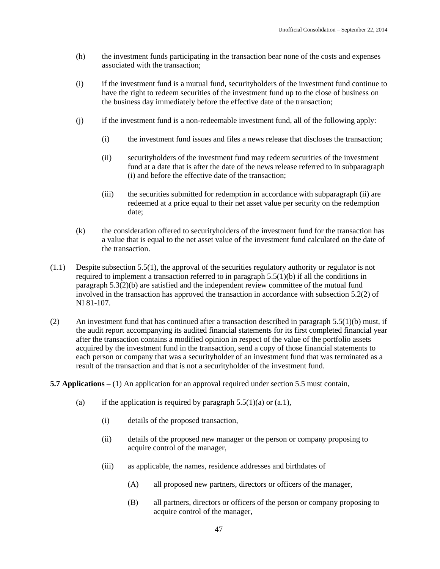- (h) the investment funds participating in the transaction bear none of the costs and expenses associated with the transaction;
- (i) if the investment fund is a mutual fund, securityholders of the investment fund continue to have the right to redeem securities of the investment fund up to the close of business on the business day immediately before the effective date of the transaction;
- (j) if the investment fund is a non-redeemable investment fund, all of the following apply:
	- (i) the investment fund issues and files a news release that discloses the transaction;
	- (ii) securityholders of the investment fund may redeem securities of the investment fund at a date that is after the date of the news release referred to in subparagraph (i) and before the effective date of the transaction;
	- (iii) the securities submitted for redemption in accordance with subparagraph (ii) are redeemed at a price equal to their net asset value per security on the redemption date;
- (k) the consideration offered to securityholders of the investment fund for the transaction has a value that is equal to the net asset value of the investment fund calculated on the date of the transaction.
- (1.1) Despite subsection 5.5(1), the approval of the securities regulatory authority or regulator is not required to implement a transaction referred to in paragraph  $5.5(1)(b)$  if all the conditions in paragraph 5.3(2)(b) are satisfied and the independent review committee of the mutual fund involved in the transaction has approved the transaction in accordance with subsection 5.2(2) of NI 81-107.
- (2) An investment fund that has continued after a transaction described in paragraph 5.5(1)(b) must, if the audit report accompanying its audited financial statements for its first completed financial year after the transaction contains a modified opinion in respect of the value of the portfolio assets acquired by the investment fund in the transaction, send a copy of those financial statements to each person or company that was a securityholder of an investment fund that was terminated as a result of the transaction and that is not a securityholder of the investment fund.
- **5.7 Applications** (1) An application for an approval required under section 5.5 must contain,
	- (a) if the application is required by paragraph  $5.5(1)(a)$  or  $(a.1)$ ,
		- (i) details of the proposed transaction,
		- (ii) details of the proposed new manager or the person or company proposing to acquire control of the manager,
		- (iii) as applicable, the names, residence addresses and birthdates of
			- (A) all proposed new partners, directors or officers of the manager,
			- (B) all partners, directors or officers of the person or company proposing to acquire control of the manager,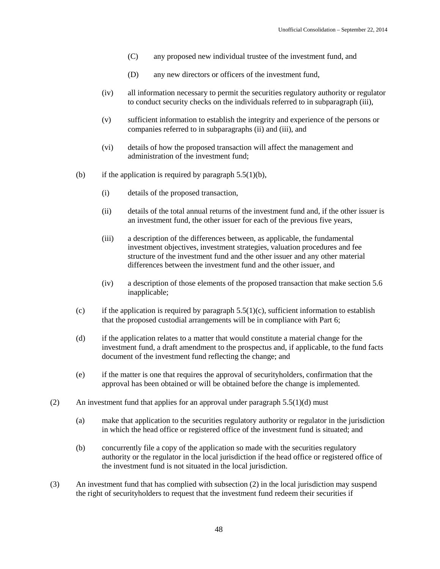- (C) any proposed new individual trustee of the investment fund, and
- (D) any new directors or officers of the investment fund,
- (iv) all information necessary to permit the securities regulatory authority or regulator to conduct security checks on the individuals referred to in subparagraph (iii),
- (v) sufficient information to establish the integrity and experience of the persons or companies referred to in subparagraphs (ii) and (iii), and
- (vi) details of how the proposed transaction will affect the management and administration of the investment fund;
- (b) if the application is required by paragraph  $5.5(1)(b)$ ,
	- (i) details of the proposed transaction,
	- (ii) details of the total annual returns of the investment fund and, if the other issuer is an investment fund, the other issuer for each of the previous five years,
	- (iii) a description of the differences between, as applicable, the fundamental investment objectives, investment strategies, valuation procedures and fee structure of the investment fund and the other issuer and any other material differences between the investment fund and the other issuer, and
	- (iv) a description of those elements of the proposed transaction that make section 5.6 inapplicable;
- (c) if the application is required by paragraph  $5.5(1)(c)$ , sufficient information to establish that the proposed custodial arrangements will be in compliance with Part 6;
- (d) if the application relates to a matter that would constitute a material change for the investment fund, a draft amendment to the prospectus and, if applicable, to the fund facts document of the investment fund reflecting the change; and
- (e) if the matter is one that requires the approval of securityholders, confirmation that the approval has been obtained or will be obtained before the change is implemented.
- (2) An investment fund that applies for an approval under paragraph  $5.5(1)(d)$  must
	- (a) make that application to the securities regulatory authority or regulator in the jurisdiction in which the head office or registered office of the investment fund is situated; and
	- (b) concurrently file a copy of the application so made with the securities regulatory authority or the regulator in the local jurisdiction if the head office or registered office of the investment fund is not situated in the local jurisdiction.
- (3) An investment fund that has complied with subsection (2) in the local jurisdiction may suspend the right of securityholders to request that the investment fund redeem their securities if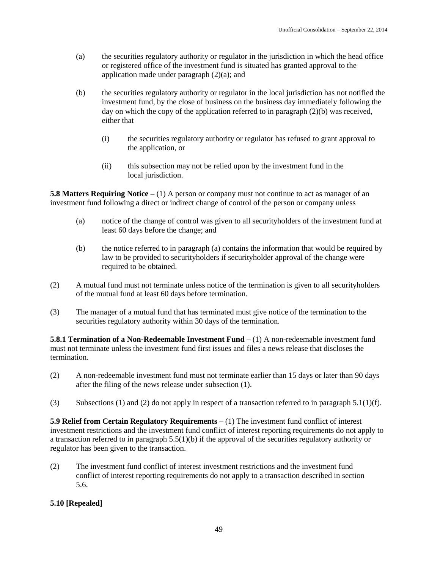- (a) the securities regulatory authority or regulator in the jurisdiction in which the head office or registered office of the investment fund is situated has granted approval to the application made under paragraph (2)(a); and
- (b) the securities regulatory authority or regulator in the local jurisdiction has not notified the investment fund, by the close of business on the business day immediately following the day on which the copy of the application referred to in paragraph (2)(b) was received, either that
	- (i) the securities regulatory authority or regulator has refused to grant approval to the application, or
	- (ii) this subsection may not be relied upon by the investment fund in the local jurisdiction.

**5.8 Matters Requiring Notice** – (1) A person or company must not continue to act as manager of an investment fund following a direct or indirect change of control of the person or company unless

- (a) notice of the change of control was given to all securityholders of the investment fund at least 60 days before the change; and
- (b) the notice referred to in paragraph (a) contains the information that would be required by law to be provided to securityholders if securityholder approval of the change were required to be obtained.
- (2) A mutual fund must not terminate unless notice of the termination is given to all securityholders of the mutual fund at least 60 days before termination.
- (3) The manager of a mutual fund that has terminated must give notice of the termination to the securities regulatory authority within 30 days of the termination.

**5.8.1 Termination of a Non-Redeemable Investment Fund** – (1) A non-redeemable investment fund must not terminate unless the investment fund first issues and files a news release that discloses the termination.

- (2) A non-redeemable investment fund must not terminate earlier than 15 days or later than 90 days after the filing of the news release under subsection (1).
- (3) Subsections (1) and (2) do not apply in respect of a transaction referred to in paragraph  $5.1(1)(f)$ .

**5.9 Relief from Certain Regulatory Requirements** – (1) The investment fund conflict of interest investment restrictions and the investment fund conflict of interest reporting requirements do not apply to a transaction referred to in paragraph 5.5(1)(b) if the approval of the securities regulatory authority or regulator has been given to the transaction.

(2) The investment fund conflict of interest investment restrictions and the investment fund conflict of interest reporting requirements do not apply to a transaction described in section 5.6.

# **5.10 [Repealed]**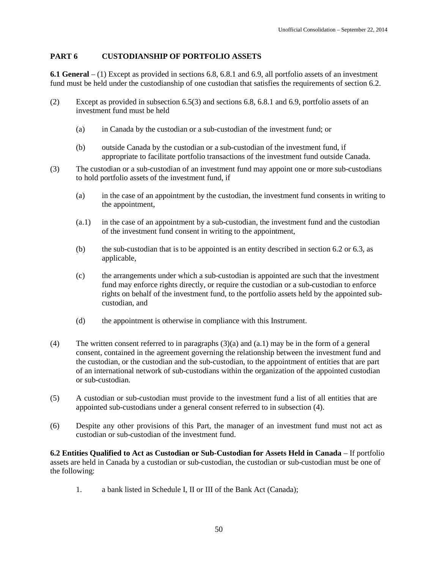# **PART 6 CUSTODIANSHIP OF PORTFOLIO ASSETS**

**6.1 General** – (1) Except as provided in sections 6.8, 6.8.1 and 6.9, all portfolio assets of an investment fund must be held under the custodianship of one custodian that satisfies the requirements of section 6.2.

- (2) Except as provided in subsection 6.5(3) and sections 6.8, 6.8.1 and 6.9, portfolio assets of an investment fund must be held
	- (a) in Canada by the custodian or a sub-custodian of the investment fund; or
	- (b) outside Canada by the custodian or a sub-custodian of the investment fund, if appropriate to facilitate portfolio transactions of the investment fund outside Canada.
- (3) The custodian or a sub-custodian of an investment fund may appoint one or more sub-custodians to hold portfolio assets of the investment fund, if
	- (a) in the case of an appointment by the custodian, the investment fund consents in writing to the appointment,
	- (a.1) in the case of an appointment by a sub-custodian, the investment fund and the custodian of the investment fund consent in writing to the appointment,
	- (b) the sub-custodian that is to be appointed is an entity described in section 6.2 or 6.3, as applicable,
	- (c) the arrangements under which a sub-custodian is appointed are such that the investment fund may enforce rights directly, or require the custodian or a sub-custodian to enforce rights on behalf of the investment fund, to the portfolio assets held by the appointed subcustodian, and
	- (d) the appointment is otherwise in compliance with this Instrument.
- (4) The written consent referred to in paragraphs (3)(a) and (a.1) may be in the form of a general consent, contained in the agreement governing the relationship between the investment fund and the custodian, or the custodian and the sub-custodian, to the appointment of entities that are part of an international network of sub-custodians within the organization of the appointed custodian or sub-custodian.
- (5) A custodian or sub-custodian must provide to the investment fund a list of all entities that are appointed sub-custodians under a general consent referred to in subsection (4).
- (6) Despite any other provisions of this Part, the manager of an investment fund must not act as custodian or sub-custodian of the investment fund.

**6.2 Entities Qualified to Act as Custodian or Sub-Custodian for Assets Held in Canada** – If portfolio assets are held in Canada by a custodian or sub-custodian, the custodian or sub-custodian must be one of the following:

1. a bank listed in Schedule I, II or III of the Bank Act (Canada);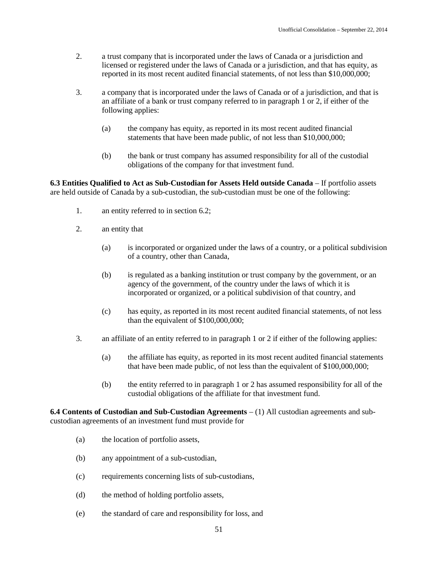- 2. a trust company that is incorporated under the laws of Canada or a jurisdiction and licensed or registered under the laws of Canada or a jurisdiction, and that has equity, as reported in its most recent audited financial statements, of not less than \$10,000,000;
- 3. a company that is incorporated under the laws of Canada or of a jurisdiction, and that is an affiliate of a bank or trust company referred to in paragraph 1 or 2, if either of the following applies:
	- (a) the company has equity, as reported in its most recent audited financial statements that have been made public, of not less than \$10,000,000;
	- (b) the bank or trust company has assumed responsibility for all of the custodial obligations of the company for that investment fund.

**6.3 Entities Qualified to Act as Sub-Custodian for Assets Held outside Canada** – If portfolio assets are held outside of Canada by a sub-custodian, the sub-custodian must be one of the following:

- 1. an entity referred to in section 6.2;
- 2. an entity that
	- (a) is incorporated or organized under the laws of a country, or a political subdivision of a country, other than Canada,
	- (b) is regulated as a banking institution or trust company by the government, or an agency of the government, of the country under the laws of which it is incorporated or organized, or a political subdivision of that country, and
	- (c) has equity, as reported in its most recent audited financial statements, of not less than the equivalent of \$100,000,000;
- 3. an affiliate of an entity referred to in paragraph 1 or 2 if either of the following applies:
	- (a) the affiliate has equity, as reported in its most recent audited financial statements that have been made public, of not less than the equivalent of \$100,000,000;
	- (b) the entity referred to in paragraph 1 or 2 has assumed responsibility for all of the custodial obligations of the affiliate for that investment fund.

**6.4 Contents of Custodian and Sub-Custodian Agreements** – (1) All custodian agreements and subcustodian agreements of an investment fund must provide for

- (a) the location of portfolio assets,
- (b) any appointment of a sub-custodian,
- (c) requirements concerning lists of sub-custodians,
- (d) the method of holding portfolio assets,
- (e) the standard of care and responsibility for loss, and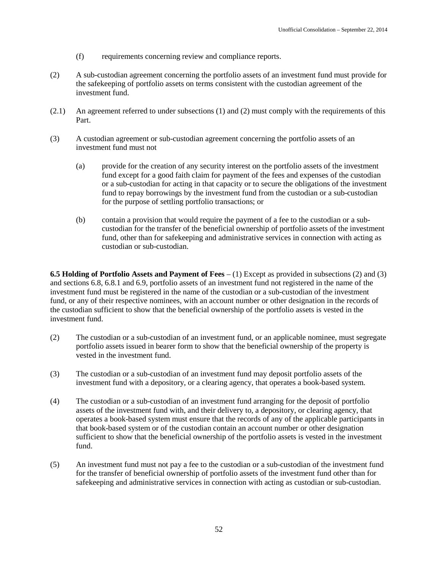- (f) requirements concerning review and compliance reports.
- (2) A sub-custodian agreement concerning the portfolio assets of an investment fund must provide for the safekeeping of portfolio assets on terms consistent with the custodian agreement of the investment fund.
- (2.1) An agreement referred to under subsections (1) and (2) must comply with the requirements of this Part.
- (3) A custodian agreement or sub-custodian agreement concerning the portfolio assets of an investment fund must not
	- (a) provide for the creation of any security interest on the portfolio assets of the investment fund except for a good faith claim for payment of the fees and expenses of the custodian or a sub-custodian for acting in that capacity or to secure the obligations of the investment fund to repay borrowings by the investment fund from the custodian or a sub-custodian for the purpose of settling portfolio transactions; or
	- (b) contain a provision that would require the payment of a fee to the custodian or a subcustodian for the transfer of the beneficial ownership of portfolio assets of the investment fund, other than for safekeeping and administrative services in connection with acting as custodian or sub-custodian.

**6.5 Holding of Portfolio Assets and Payment of Fees** – (1) Except as provided in subsections (2) and (3) and sections 6.8, 6.8.1 and 6.9, portfolio assets of an investment fund not registered in the name of the investment fund must be registered in the name of the custodian or a sub-custodian of the investment fund, or any of their respective nominees, with an account number or other designation in the records of the custodian sufficient to show that the beneficial ownership of the portfolio assets is vested in the investment fund.

- (2) The custodian or a sub-custodian of an investment fund, or an applicable nominee, must segregate portfolio assets issued in bearer form to show that the beneficial ownership of the property is vested in the investment fund.
- (3) The custodian or a sub-custodian of an investment fund may deposit portfolio assets of the investment fund with a depository, or a clearing agency, that operates a book-based system.
- (4) The custodian or a sub-custodian of an investment fund arranging for the deposit of portfolio assets of the investment fund with, and their delivery to, a depository, or clearing agency, that operates a book-based system must ensure that the records of any of the applicable participants in that book-based system or of the custodian contain an account number or other designation sufficient to show that the beneficial ownership of the portfolio assets is vested in the investment fund.
- (5) An investment fund must not pay a fee to the custodian or a sub-custodian of the investment fund for the transfer of beneficial ownership of portfolio assets of the investment fund other than for safekeeping and administrative services in connection with acting as custodian or sub-custodian.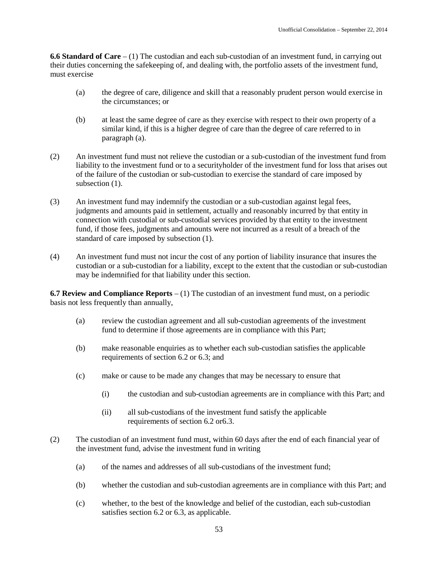**6.6 Standard of Care** – (1) The custodian and each sub-custodian of an investment fund, in carrying out their duties concerning the safekeeping of, and dealing with, the portfolio assets of the investment fund, must exercise

- (a) the degree of care, diligence and skill that a reasonably prudent person would exercise in the circumstances; or
- (b) at least the same degree of care as they exercise with respect to their own property of a similar kind, if this is a higher degree of care than the degree of care referred to in paragraph (a).
- (2) An investment fund must not relieve the custodian or a sub-custodian of the investment fund from liability to the investment fund or to a securityholder of the investment fund for loss that arises out of the failure of the custodian or sub-custodian to exercise the standard of care imposed by subsection  $(1)$ .
- (3) An investment fund may indemnify the custodian or a sub-custodian against legal fees, judgments and amounts paid in settlement, actually and reasonably incurred by that entity in connection with custodial or sub-custodial services provided by that entity to the investment fund, if those fees, judgments and amounts were not incurred as a result of a breach of the standard of care imposed by subsection (1).
- (4) An investment fund must not incur the cost of any portion of liability insurance that insures the custodian or a sub-custodian for a liability, except to the extent that the custodian or sub-custodian may be indemnified for that liability under this section.

**6.7 Review and Compliance Reports** – (1) The custodian of an investment fund must, on a periodic basis not less frequently than annually,

- (a) review the custodian agreement and all sub-custodian agreements of the investment fund to determine if those agreements are in compliance with this Part;
- (b) make reasonable enquiries as to whether each sub-custodian satisfies the applicable requirements of section 6.2 or 6.3; and
- (c) make or cause to be made any changes that may be necessary to ensure that
	- (i) the custodian and sub-custodian agreements are in compliance with this Part; and
	- (ii) all sub-custodians of the investment fund satisfy the applicable requirements of section 6.2 or6.3.
- (2) The custodian of an investment fund must, within 60 days after the end of each financial year of the investment fund, advise the investment fund in writing
	- (a) of the names and addresses of all sub-custodians of the investment fund;
	- (b) whether the custodian and sub-custodian agreements are in compliance with this Part; and
	- (c) whether, to the best of the knowledge and belief of the custodian, each sub-custodian satisfies section 6.2 or 6.3, as applicable.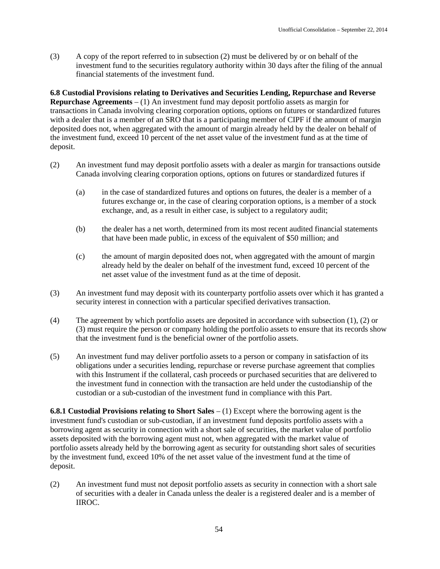(3) A copy of the report referred to in subsection (2) must be delivered by or on behalf of the investment fund to the securities regulatory authority within 30 days after the filing of the annual financial statements of the investment fund.

**6.8 Custodial Provisions relating to Derivatives and Securities Lending, Repurchase and Reverse Repurchase Agreements** – (1) An investment fund may deposit portfolio assets as margin for transactions in Canada involving clearing corporation options, options on futures or standardized futures with a dealer that is a member of an SRO that is a participating member of CIPF if the amount of margin deposited does not, when aggregated with the amount of margin already held by the dealer on behalf of the investment fund, exceed 10 percent of the net asset value of the investment fund as at the time of deposit.

- (2) An investment fund may deposit portfolio assets with a dealer as margin for transactions outside Canada involving clearing corporation options, options on futures or standardized futures if
	- (a) in the case of standardized futures and options on futures, the dealer is a member of a futures exchange or, in the case of clearing corporation options, is a member of a stock exchange, and, as a result in either case, is subject to a regulatory audit;
	- (b) the dealer has a net worth, determined from its most recent audited financial statements that have been made public, in excess of the equivalent of \$50 million; and
	- (c) the amount of margin deposited does not, when aggregated with the amount of margin already held by the dealer on behalf of the investment fund, exceed 10 percent of the net asset value of the investment fund as at the time of deposit.
- (3) An investment fund may deposit with its counterparty portfolio assets over which it has granted a security interest in connection with a particular specified derivatives transaction.
- (4) The agreement by which portfolio assets are deposited in accordance with subsection (1), (2) or (3) must require the person or company holding the portfolio assets to ensure that its records show that the investment fund is the beneficial owner of the portfolio assets.
- (5) An investment fund may deliver portfolio assets to a person or company in satisfaction of its obligations under a securities lending, repurchase or reverse purchase agreement that complies with this Instrument if the collateral, cash proceeds or purchased securities that are delivered to the investment fund in connection with the transaction are held under the custodianship of the custodian or a sub-custodian of the investment fund in compliance with this Part.

**6.8.1 Custodial Provisions relating to Short Sales** – (1) Except where the borrowing agent is the investment fund's custodian or sub-custodian, if an investment fund deposits portfolio assets with a borrowing agent as security in connection with a short sale of securities, the market value of portfolio assets deposited with the borrowing agent must not, when aggregated with the market value of portfolio assets already held by the borrowing agent as security for outstanding short sales of securities by the investment fund, exceed 10% of the net asset value of the investment fund at the time of deposit.

(2) An investment fund must not deposit portfolio assets as security in connection with a short sale of securities with a dealer in Canada unless the dealer is a registered dealer and is a member of IIROC.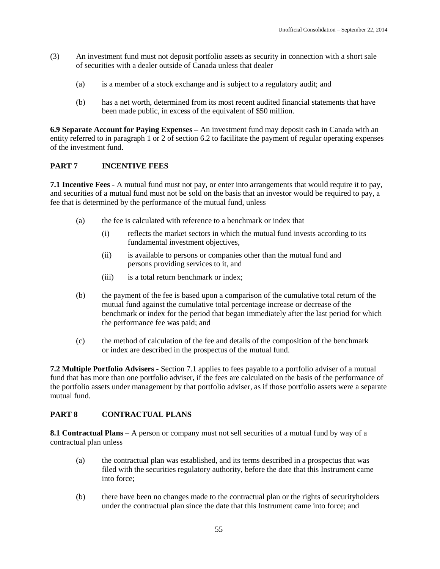- (3) An investment fund must not deposit portfolio assets as security in connection with a short sale of securities with a dealer outside of Canada unless that dealer
	- (a) is a member of a stock exchange and is subject to a regulatory audit; and
	- (b) has a net worth, determined from its most recent audited financial statements that have been made public, in excess of the equivalent of \$50 million.

**6.9 Separate Account for Paying Expenses –** An investment fund may deposit cash in Canada with an entity referred to in paragraph 1 or 2 of section 6.2 to facilitate the payment of regular operating expenses of the investment fund.

# **PART 7 INCENTIVE FEES**

**7.1 Incentive Fees -** A mutual fund must not pay, or enter into arrangements that would require it to pay, and securities of a mutual fund must not be sold on the basis that an investor would be required to pay, a fee that is determined by the performance of the mutual fund, unless

- (a) the fee is calculated with reference to a benchmark or index that
	- (i) reflects the market sectors in which the mutual fund invests according to its fundamental investment objectives,
	- (ii) is available to persons or companies other than the mutual fund and persons providing services to it, and
	- (iii) is a total return benchmark or index;
- (b) the payment of the fee is based upon a comparison of the cumulative total return of the mutual fund against the cumulative total percentage increase or decrease of the benchmark or index for the period that began immediately after the last period for which the performance fee was paid; and
- (c) the method of calculation of the fee and details of the composition of the benchmark or index are described in the prospectus of the mutual fund.

**7.2 Multiple Portfolio Advisers -** Section 7.1 applies to fees payable to a portfolio adviser of a mutual fund that has more than one portfolio adviser, if the fees are calculated on the basis of the performance of the portfolio assets under management by that portfolio adviser, as if those portfolio assets were a separate mutual fund.

# **PART 8 CONTRACTUAL PLANS**

**8.1 Contractual Plans** – A person or company must not sell securities of a mutual fund by way of a contractual plan unless

- (a) the contractual plan was established, and its terms described in a prospectus that was filed with the securities regulatory authority, before the date that this Instrument came into force;
- (b) there have been no changes made to the contractual plan or the rights of securityholders under the contractual plan since the date that this Instrument came into force; and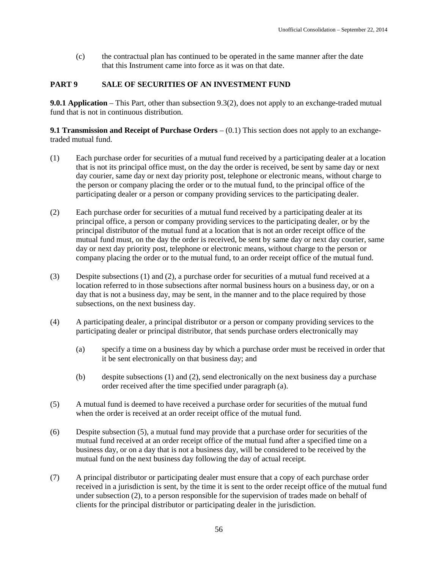(c) the contractual plan has continued to be operated in the same manner after the date that this Instrument came into force as it was on that date.

### **PART 9 SALE OF SECURITIES OF AN INVESTMENT FUND**

**9.0.1 Application** – This Part, other than subsection 9.3(2), does not apply to an exchange-traded mutual fund that is not in continuous distribution.

**9.1 Transmission and Receipt of Purchase Orders** – (0.1) This section does not apply to an exchangetraded mutual fund.

- (1) Each purchase order for securities of a mutual fund received by a participating dealer at a location that is not its principal office must, on the day the order is received, be sent by same day or next day courier, same day or next day priority post, telephone or electronic means, without charge to the person or company placing the order or to the mutual fund, to the principal office of the participating dealer or a person or company providing services to the participating dealer.
- (2) Each purchase order for securities of a mutual fund received by a participating dealer at its principal office, a person or company providing services to the participating dealer, or by the principal distributor of the mutual fund at a location that is not an order receipt office of the mutual fund must, on the day the order is received, be sent by same day or next day courier, same day or next day priority post, telephone or electronic means, without charge to the person or company placing the order or to the mutual fund, to an order receipt office of the mutual fund.
- (3) Despite subsections (1) and (2), a purchase order for securities of a mutual fund received at a location referred to in those subsections after normal business hours on a business day, or on a day that is not a business day, may be sent, in the manner and to the place required by those subsections, on the next business day.
- (4) A participating dealer, a principal distributor or a person or company providing services to the participating dealer or principal distributor, that sends purchase orders electronically may
	- (a) specify a time on a business day by which a purchase order must be received in order that it be sent electronically on that business day; and
	- (b) despite subsections (1) and (2), send electronically on the next business day a purchase order received after the time specified under paragraph (a).
- (5) A mutual fund is deemed to have received a purchase order for securities of the mutual fund when the order is received at an order receipt office of the mutual fund.
- (6) Despite subsection (5), a mutual fund may provide that a purchase order for securities of the mutual fund received at an order receipt office of the mutual fund after a specified time on a business day, or on a day that is not a business day, will be considered to be received by the mutual fund on the next business day following the day of actual receipt.
- (7) A principal distributor or participating dealer must ensure that a copy of each purchase order received in a jurisdiction is sent, by the time it is sent to the order receipt office of the mutual fund under subsection (2), to a person responsible for the supervision of trades made on behalf of clients for the principal distributor or participating dealer in the jurisdiction.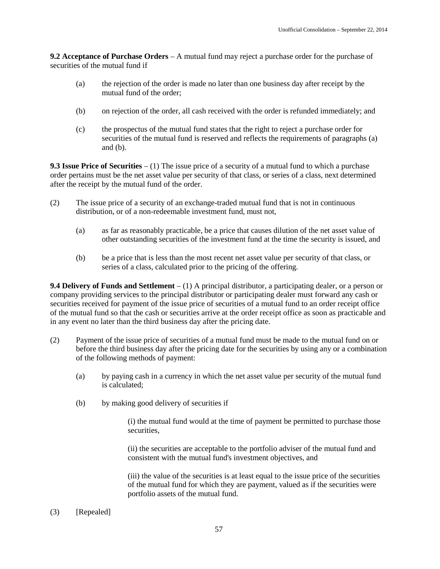**9.2 Acceptance of Purchase Orders** – A mutual fund may reject a purchase order for the purchase of securities of the mutual fund if

- (a) the rejection of the order is made no later than one business day after receipt by the mutual fund of the order;
- (b) on rejection of the order, all cash received with the order is refunded immediately; and
- (c) the prospectus of the mutual fund states that the right to reject a purchase order for securities of the mutual fund is reserved and reflects the requirements of paragraphs (a) and (b).

**9.3 Issue Price of Securities** – (1) The issue price of a security of a mutual fund to which a purchase order pertains must be the net asset value per security of that class, or series of a class, next determined after the receipt by the mutual fund of the order.

- (2) The issue price of a security of an exchange-traded mutual fund that is not in continuous distribution, or of a non-redeemable investment fund, must not,
	- (a) as far as reasonably practicable, be a price that causes dilution of the net asset value of other outstanding securities of the investment fund at the time the security is issued, and
	- (b) be a price that is less than the most recent net asset value per security of that class, or series of a class, calculated prior to the pricing of the offering.

**9.4 Delivery of Funds and Settlement** – (1) A principal distributor, a participating dealer, or a person or company providing services to the principal distributor or participating dealer must forward any cash or securities received for payment of the issue price of securities of a mutual fund to an order receipt office of the mutual fund so that the cash or securities arrive at the order receipt office as soon as practicable and in any event no later than the third business day after the pricing date.

- (2) Payment of the issue price of securities of a mutual fund must be made to the mutual fund on or before the third business day after the pricing date for the securities by using any or a combination of the following methods of payment:
	- (a) by paying cash in a currency in which the net asset value per security of the mutual fund is calculated;
	- (b) by making good delivery of securities if

(i) the mutual fund would at the time of payment be permitted to purchase those securities,

(ii) the securities are acceptable to the portfolio adviser of the mutual fund and consistent with the mutual fund's investment objectives, and

(iii) the value of the securities is at least equal to the issue price of the securities of the mutual fund for which they are payment, valued as if the securities were portfolio assets of the mutual fund.

(3) [Repealed]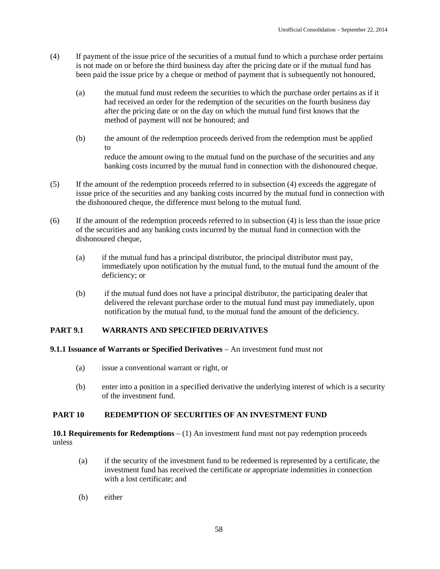- (4) If payment of the issue price of the securities of a mutual fund to which a purchase order pertains is not made on or before the third business day after the pricing date or if the mutual fund has been paid the issue price by a cheque or method of payment that is subsequently not honoured,
	- (a) the mutual fund must redeem the securities to which the purchase order pertains as if it had received an order for the redemption of the securities on the fourth business day after the pricing date or on the day on which the mutual fund first knows that the method of payment will not be honoured; and
	- (b) the amount of the redemption proceeds derived from the redemption must be applied to reduce the amount owing to the mutual fund on the purchase of the securities and any banking costs incurred by the mutual fund in connection with the dishonoured cheque.
- (5) If the amount of the redemption proceeds referred to in subsection (4) exceeds the aggregate of issue price of the securities and any banking costs incurred by the mutual fund in connection with the dishonoured cheque, the difference must belong to the mutual fund.
- (6) If the amount of the redemption proceeds referred to in subsection (4) is less than the issue price of the securities and any banking costs incurred by the mutual fund in connection with the dishonoured cheque,
	- (a) if the mutual fund has a principal distributor, the principal distributor must pay, immediately upon notification by the mutual fund, to the mutual fund the amount of the deficiency; or
	- (b) if the mutual fund does not have a principal distributor, the participating dealer that delivered the relevant purchase order to the mutual fund must pay immediately, upon notification by the mutual fund, to the mutual fund the amount of the deficiency.

#### **PART 9.1 WARRANTS AND SPECIFIED DERIVATIVES**

#### **9.1.1 Issuance of Warrants or Specified Derivatives** – An investment fund must not

- (a) issue a conventional warrant or right, or
- (b) enter into a position in a specified derivative the underlying interest of which is a security of the investment fund.

## **PART 10 REDEMPTION OF SECURITIES OF AN INVESTMENT FUND**

**10.1 Requirements for Redemptions** – (1) An investment fund must not pay redemption proceeds unless

- (a) if the security of the investment fund to be redeemed is represented by a certificate, the investment fund has received the certificate or appropriate indemnities in connection with a lost certificate; and
- (b) either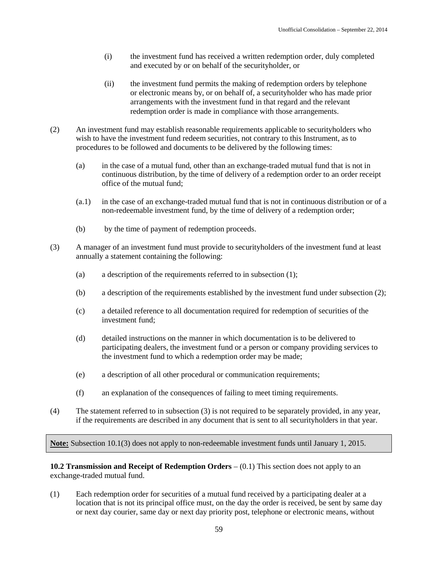- (i) the investment fund has received a written redemption order, duly completed and executed by or on behalf of the securityholder, or
- (ii) the investment fund permits the making of redemption orders by telephone or electronic means by, or on behalf of, a securityholder who has made prior arrangements with the investment fund in that regard and the relevant redemption order is made in compliance with those arrangements.
- (2) An investment fund may establish reasonable requirements applicable to securityholders who wish to have the investment fund redeem securities, not contrary to this Instrument, as to procedures to be followed and documents to be delivered by the following times:
	- (a) in the case of a mutual fund, other than an exchange-traded mutual fund that is not in continuous distribution, by the time of delivery of a redemption order to an order receipt office of the mutual fund;
	- (a.1) in the case of an exchange-traded mutual fund that is not in continuous distribution or of a non-redeemable investment fund, by the time of delivery of a redemption order;
	- (b) by the time of payment of redemption proceeds.
- (3) A manager of an investment fund must provide to securityholders of the investment fund at least annually a statement containing the following:
	- (a) a description of the requirements referred to in subsection (1);
	- (b) a description of the requirements established by the investment fund under subsection (2);
	- (c) a detailed reference to all documentation required for redemption of securities of the investment fund;
	- (d) detailed instructions on the manner in which documentation is to be delivered to participating dealers, the investment fund or a person or company providing services to the investment fund to which a redemption order may be made;
	- (e) a description of all other procedural or communication requirements;
	- (f) an explanation of the consequences of failing to meet timing requirements.
- (4) The statement referred to in subsection (3) is not required to be separately provided, in any year, if the requirements are described in any document that is sent to all securityholders in that year.

**Note:** Subsection 10.1(3) does not apply to non-redeemable investment funds until January 1, 2015.

**10.2 Transmission and Receipt of Redemption Orders** – (0.1) This section does not apply to an exchange-traded mutual fund.

(1) Each redemption order for securities of a mutual fund received by a participating dealer at a location that is not its principal office must, on the day the order is received, be sent by same day or next day courier, same day or next day priority post, telephone or electronic means, without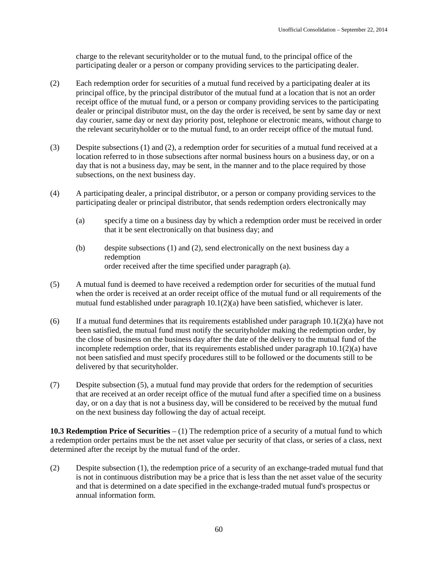charge to the relevant securityholder or to the mutual fund, to the principal office of the participating dealer or a person or company providing services to the participating dealer.

- (2) Each redemption order for securities of a mutual fund received by a participating dealer at its principal office, by the principal distributor of the mutual fund at a location that is not an order receipt office of the mutual fund, or a person or company providing services to the participating dealer or principal distributor must, on the day the order is received, be sent by same day or next day courier, same day or next day priority post, telephone or electronic means, without charge to the relevant securityholder or to the mutual fund, to an order receipt office of the mutual fund.
- (3) Despite subsections (1) and (2), a redemption order for securities of a mutual fund received at a location referred to in those subsections after normal business hours on a business day, or on a day that is not a business day, may be sent, in the manner and to the place required by those subsections, on the next business day.
- (4) A participating dealer, a principal distributor, or a person or company providing services to the participating dealer or principal distributor, that sends redemption orders electronically may
	- (a) specify a time on a business day by which a redemption order must be received in order that it be sent electronically on that business day; and
	- (b) despite subsections (1) and (2), send electronically on the next business day a redemption order received after the time specified under paragraph (a).
- (5) A mutual fund is deemed to have received a redemption order for securities of the mutual fund when the order is received at an order receipt office of the mutual fund or all requirements of the mutual fund established under paragraph 10.1(2)(a) have been satisfied, whichever is later.
- (6) If a mutual fund determines that its requirements established under paragraph  $10.1(2)(a)$  have not been satisfied, the mutual fund must notify the securityholder making the redemption order, by the close of business on the business day after the date of the delivery to the mutual fund of the incomplete redemption order, that its requirements established under paragraph  $10.1(2)(a)$  have not been satisfied and must specify procedures still to be followed or the documents still to be delivered by that securityholder.
- (7) Despite subsection (5), a mutual fund may provide that orders for the redemption of securities that are received at an order receipt office of the mutual fund after a specified time on a business day, or on a day that is not a business day, will be considered to be received by the mutual fund on the next business day following the day of actual receipt.

**10.3 Redemption Price of Securities** – (1) The redemption price of a security of a mutual fund to which a redemption order pertains must be the net asset value per security of that class, or series of a class, next determined after the receipt by the mutual fund of the order.

(2) Despite subsection (1), the redemption price of a security of an exchange-traded mutual fund that is not in continuous distribution may be a price that is less than the net asset value of the security and that is determined on a date specified in the exchange-traded mutual fund's prospectus or annual information form.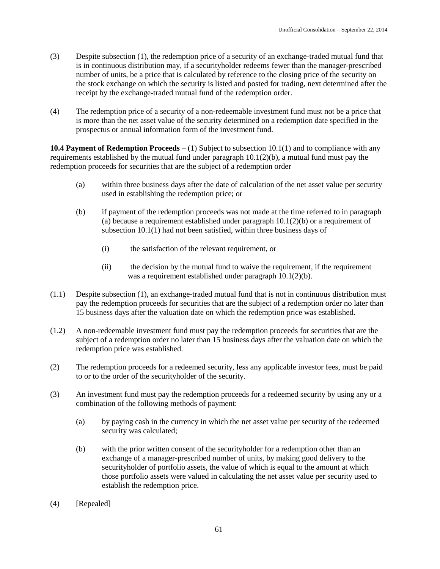- (3) Despite subsection (1), the redemption price of a security of an exchange-traded mutual fund that is in continuous distribution may, if a securityholder redeems fewer than the manager-prescribed number of units, be a price that is calculated by reference to the closing price of the security on the stock exchange on which the security is listed and posted for trading, next determined after the receipt by the exchange-traded mutual fund of the redemption order.
- (4) The redemption price of a security of a non-redeemable investment fund must not be a price that is more than the net asset value of the security determined on a redemption date specified in the prospectus or annual information form of the investment fund.

**10.4 Payment of Redemption Proceeds** – (1) Subject to subsection 10.1(1) and to compliance with any requirements established by the mutual fund under paragraph 10.1(2)(b), a mutual fund must pay the redemption proceeds for securities that are the subject of a redemption order

- (a) within three business days after the date of calculation of the net asset value per security used in establishing the redemption price; or
- (b) if payment of the redemption proceeds was not made at the time referred to in paragraph (a) because a requirement established under paragraph 10.1(2)(b) or a requirement of subsection 10.1(1) had not been satisfied, within three business days of
	- (i) the satisfaction of the relevant requirement, or
	- (ii) the decision by the mutual fund to waive the requirement, if the requirement was a requirement established under paragraph 10.1(2)(b).
- (1.1) Despite subsection (1), an exchange-traded mutual fund that is not in continuous distribution must pay the redemption proceeds for securities that are the subject of a redemption order no later than 15 business days after the valuation date on which the redemption price was established.
- (1.2) A non-redeemable investment fund must pay the redemption proceeds for securities that are the subject of a redemption order no later than 15 business days after the valuation date on which the redemption price was established.
- (2) The redemption proceeds for a redeemed security, less any applicable investor fees, must be paid to or to the order of the securityholder of the security.
- (3) An investment fund must pay the redemption proceeds for a redeemed security by using any or a combination of the following methods of payment:
	- (a) by paying cash in the currency in which the net asset value per security of the redeemed security was calculated;
	- (b) with the prior written consent of the securityholder for a redemption other than an exchange of a manager-prescribed number of units, by making good delivery to the securityholder of portfolio assets, the value of which is equal to the amount at which those portfolio assets were valued in calculating the net asset value per security used to establish the redemption price.
- (4) [Repealed]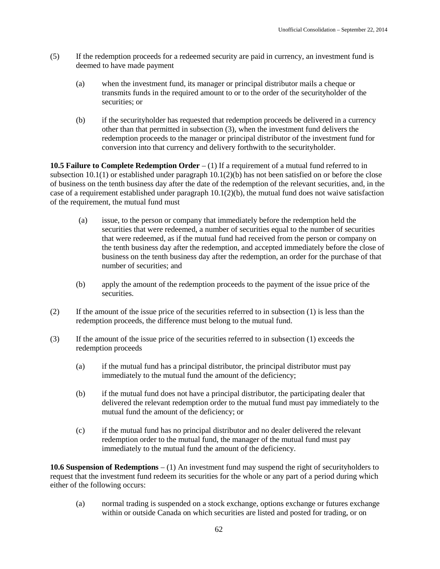- (5) If the redemption proceeds for a redeemed security are paid in currency, an investment fund is deemed to have made payment
	- (a) when the investment fund, its manager or principal distributor mails a cheque or transmits funds in the required amount to or to the order of the securityholder of the securities; or
	- (b) if the securityholder has requested that redemption proceeds be delivered in a currency other than that permitted in subsection (3), when the investment fund delivers the redemption proceeds to the manager or principal distributor of the investment fund for conversion into that currency and delivery forthwith to the securityholder.

**10.5 Failure to Complete Redemption Order** – (1) If a requirement of a mutual fund referred to in subsection 10.1(1) or established under paragraph  $10.1(2)(b)$  has not been satisfied on or before the close of business on the tenth business day after the date of the redemption of the relevant securities, and, in the case of a requirement established under paragraph  $10.1(2)(b)$ , the mutual fund does not waive satisfaction of the requirement, the mutual fund must

- (a) issue, to the person or company that immediately before the redemption held the securities that were redeemed, a number of securities equal to the number of securities that were redeemed, as if the mutual fund had received from the person or company on the tenth business day after the redemption, and accepted immediately before the close of business on the tenth business day after the redemption, an order for the purchase of that number of securities; and
- (b) apply the amount of the redemption proceeds to the payment of the issue price of the securities.
- (2) If the amount of the issue price of the securities referred to in subsection (1) is less than the redemption proceeds, the difference must belong to the mutual fund.
- (3) If the amount of the issue price of the securities referred to in subsection (1) exceeds the redemption proceeds
	- (a) if the mutual fund has a principal distributor, the principal distributor must pay immediately to the mutual fund the amount of the deficiency;
	- (b) if the mutual fund does not have a principal distributor, the participating dealer that delivered the relevant redemption order to the mutual fund must pay immediately to the mutual fund the amount of the deficiency; or
	- (c) if the mutual fund has no principal distributor and no dealer delivered the relevant redemption order to the mutual fund, the manager of the mutual fund must pay immediately to the mutual fund the amount of the deficiency.

**10.6 Suspension of Redemptions** – (1) An investment fund may suspend the right of securityholders to request that the investment fund redeem its securities for the whole or any part of a period during which either of the following occurs:

(a) normal trading is suspended on a stock exchange, options exchange or futures exchange within or outside Canada on which securities are listed and posted for trading, or on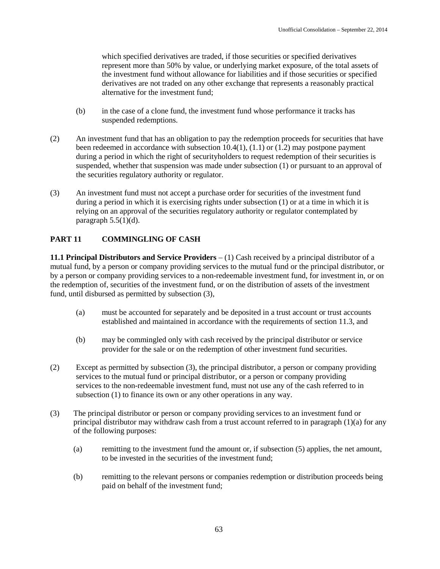which specified derivatives are traded, if those securities or specified derivatives represent more than 50% by value, or underlying market exposure, of the total assets of the investment fund without allowance for liabilities and if those securities or specified derivatives are not traded on any other exchange that represents a reasonably practical alternative for the investment fund;

- (b) in the case of a clone fund, the investment fund whose performance it tracks has suspended redemptions.
- (2) An investment fund that has an obligation to pay the redemption proceeds for securities that have been redeemed in accordance with subsection  $10.4(1)$ ,  $(1.1)$  or  $(1.2)$  may postpone payment during a period in which the right of securityholders to request redemption of their securities is suspended, whether that suspension was made under subsection (1) or pursuant to an approval of the securities regulatory authority or regulator.
- (3) An investment fund must not accept a purchase order for securities of the investment fund during a period in which it is exercising rights under subsection (1) or at a time in which it is relying on an approval of the securities regulatory authority or regulator contemplated by paragraph  $5.5(1)(d)$ .

# **PART 11 COMMINGLING OF CASH**

**11.1 Principal Distributors and Service Providers** – (1) Cash received by a principal distributor of a mutual fund, by a person or company providing services to the mutual fund or the principal distributor, or by a person or company providing services to a non-redeemable investment fund, for investment in, or on the redemption of, securities of the investment fund, or on the distribution of assets of the investment fund, until disbursed as permitted by subsection (3).

- (a) must be accounted for separately and be deposited in a trust account or trust accounts established and maintained in accordance with the requirements of section 11.3, and
- (b) may be commingled only with cash received by the principal distributor or service provider for the sale or on the redemption of other investment fund securities.
- (2) Except as permitted by subsection (3), the principal distributor, a person or company providing services to the mutual fund or principal distributor, or a person or company providing services to the non-redeemable investment fund, must not use any of the cash referred to in subsection (1) to finance its own or any other operations in any way.
- (3) The principal distributor or person or company providing services to an investment fund or principal distributor may withdraw cash from a trust account referred to in paragraph (1)(a) for any of the following purposes:
	- (a) remitting to the investment fund the amount or, if subsection (5) applies, the net amount, to be invested in the securities of the investment fund;
	- (b) remitting to the relevant persons or companies redemption or distribution proceeds being paid on behalf of the investment fund;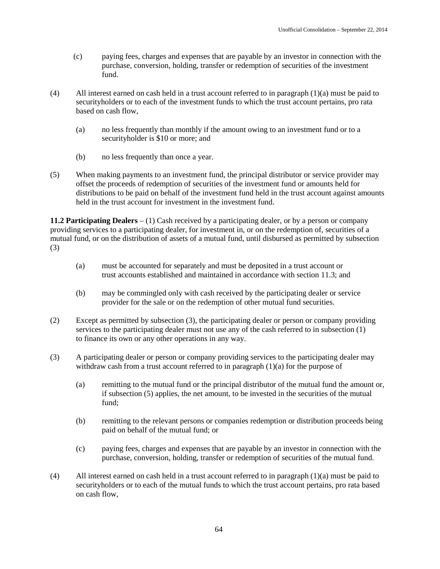- (c) paying fees, charges and expenses that are payable by an investor in connection with the purchase, conversion, holding, transfer or redemption of securities of the investment fund.
- (4) All interest earned on cash held in a trust account referred to in paragraph (1)(a) must be paid to securityholders or to each of the investment funds to which the trust account pertains, pro rata based on cash flow,
	- (a) no less frequently than monthly if the amount owing to an investment fund or to a securityholder is \$10 or more; and
	- (b) no less frequently than once a year.
- (5) When making payments to an investment fund, the principal distributor or service provider may offset the proceeds of redemption of securities of the investment fund or amounts held for distributions to be paid on behalf of the investment fund held in the trust account against amounts held in the trust account for investment in the investment fund.

**11.2 Participating Dealers** – (1) Cash received by a participating dealer, or by a person or company providing services to a participating dealer, for investment in, or on the redemption of, securities of a mutual fund, or on the distribution of assets of a mutual fund, until disbursed as permitted by subsection (3)

- (a) must be accounted for separately and must be deposited in a trust account or trust accounts established and maintained in accordance with section 11.3; and
- (b) may be commingled only with cash received by the participating dealer or service provider for the sale or on the redemption of other mutual fund securities.
- (2) Except as permitted by subsection (3), the participating dealer or person or company providing services to the participating dealer must not use any of the cash referred to in subsection (1) to finance its own or any other operations in any way.
- (3) A participating dealer or person or company providing services to the participating dealer may withdraw cash from a trust account referred to in paragraph (1)(a) for the purpose of
	- (a) remitting to the mutual fund or the principal distributor of the mutual fund the amount or, if subsection (5) applies, the net amount, to be invested in the securities of the mutual fund;
	- (b) remitting to the relevant persons or companies redemption or distribution proceeds being paid on behalf of the mutual fund; or
	- (c) paying fees, charges and expenses that are payable by an investor in connection with the purchase, conversion, holding, transfer or redemption of securities of the mutual fund.
- (4) All interest earned on cash held in a trust account referred to in paragraph (1)(a) must be paid to securityholders or to each of the mutual funds to which the trust account pertains, pro rata based on cash flow,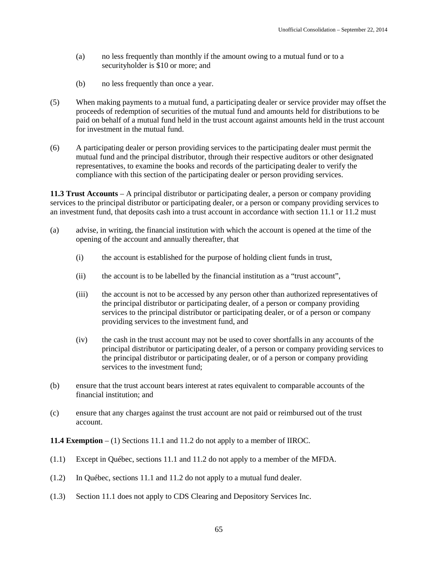- (a) no less frequently than monthly if the amount owing to a mutual fund or to a securityholder is \$10 or more; and
- (b) no less frequently than once a year.
- (5) When making payments to a mutual fund, a participating dealer or service provider may offset the proceeds of redemption of securities of the mutual fund and amounts held for distributions to be paid on behalf of a mutual fund held in the trust account against amounts held in the trust account for investment in the mutual fund.
- (6) A participating dealer or person providing services to the participating dealer must permit the mutual fund and the principal distributor, through their respective auditors or other designated representatives, to examine the books and records of the participating dealer to verify the compliance with this section of the participating dealer or person providing services.

**11.3 Trust Accounts** – A principal distributor or participating dealer, a person or company providing services to the principal distributor or participating dealer, or a person or company providing services to an investment fund, that deposits cash into a trust account in accordance with section 11.1 or 11.2 must

- (a) advise, in writing, the financial institution with which the account is opened at the time of the opening of the account and annually thereafter, that
	- (i) the account is established for the purpose of holding client funds in trust,
	- (ii) the account is to be labelled by the financial institution as a "trust account",
	- (iii) the account is not to be accessed by any person other than authorized representatives of the principal distributor or participating dealer, of a person or company providing services to the principal distributor or participating dealer, or of a person or company providing services to the investment fund, and
	- (iv) the cash in the trust account may not be used to cover shortfalls in any accounts of the principal distributor or participating dealer, of a person or company providing services to the principal distributor or participating dealer, or of a person or company providing services to the investment fund;
- (b) ensure that the trust account bears interest at rates equivalent to comparable accounts of the financial institution; and
- (c) ensure that any charges against the trust account are not paid or reimbursed out of the trust account.

**11.4 Exemption** – (1) Sections 11.1 and 11.2 do not apply to a member of IIROC.

- (1.1) Except in Québec, sections 11.1 and 11.2 do not apply to a member of the MFDA.
- (1.2) In Québec, sections 11.1 and 11.2 do not apply to a mutual fund dealer.
- (1.3) Section 11.1 does not apply to CDS Clearing and Depository Services Inc.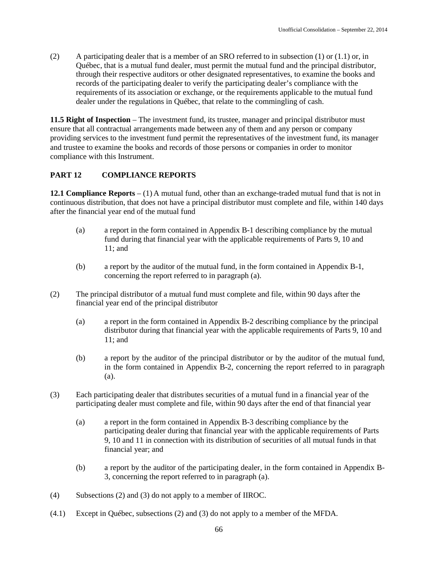(2) A participating dealer that is a member of an SRO referred to in subsection (1) or (1.1) or, in Québec, that is a mutual fund dealer, must permit the mutual fund and the principal distributor, through their respective auditors or other designated representatives, to examine the books and records of the participating dealer to verify the participating dealer's compliance with the requirements of its association or exchange, or the requirements applicable to the mutual fund dealer under the regulations in Québec, that relate to the commingling of cash.

**11.5 Right of Inspection** – The investment fund, its trustee, manager and principal distributor must ensure that all contractual arrangements made between any of them and any person or company providing services to the investment fund permit the representatives of the investment fund, its manager and trustee to examine the books and records of those persons or companies in order to monitor compliance with this Instrument.

#### **PART 12 COMPLIANCE REPORTS**

**12.1 Compliance Reports** – (1) A mutual fund, other than an exchange-traded mutual fund that is not in continuous distribution, that does not have a principal distributor must complete and file, within 140 days after the financial year end of the mutual fund

- (a) a report in the form contained in Appendix B-1 describing compliance by the mutual fund during that financial year with the applicable requirements of Parts 9, 10 and 11; and
- (b) a report by the auditor of the mutual fund, in the form contained in Appendix B-1, concerning the report referred to in paragraph (a).
- (2) The principal distributor of a mutual fund must complete and file, within 90 days after the financial year end of the principal distributor
	- (a) a report in the form contained in Appendix B-2 describing compliance by the principal distributor during that financial year with the applicable requirements of Parts 9, 10 and 11; and
	- (b) a report by the auditor of the principal distributor or by the auditor of the mutual fund, in the form contained in Appendix B-2, concerning the report referred to in paragraph (a).
- (3) Each participating dealer that distributes securities of a mutual fund in a financial year of the participating dealer must complete and file, within 90 days after the end of that financial year
	- (a) a report in the form contained in Appendix B-3 describing compliance by the participating dealer during that financial year with the applicable requirements of Parts 9, 10 and 11 in connection with its distribution of securities of all mutual funds in that financial year; and
	- (b) a report by the auditor of the participating dealer, in the form contained in Appendix B-3, concerning the report referred to in paragraph (a).
- (4) Subsections (2) and (3) do not apply to a member of IIROC.
- (4.1) Except in Québec, subsections (2) and (3) do not apply to a member of the MFDA.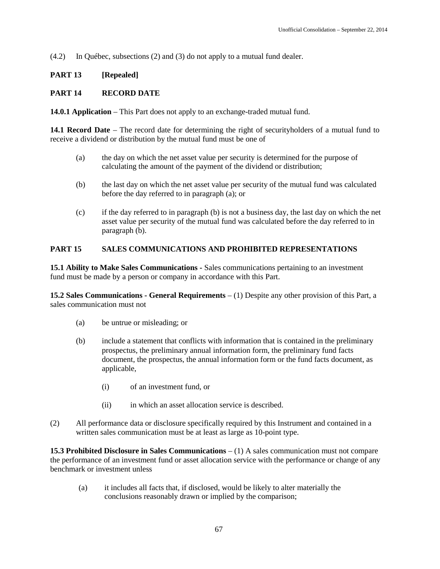(4.2) In Québec, subsections (2) and (3) do not apply to a mutual fund dealer.

#### **PART 13 [Repealed]**

## **PART 14 RECORD DATE**

**14.0.1 Application** – This Part does not apply to an exchange-traded mutual fund.

**14.1 Record Date** – The record date for determining the right of securityholders of a mutual fund to receive a dividend or distribution by the mutual fund must be one of

- (a) the day on which the net asset value per security is determined for the purpose of calculating the amount of the payment of the dividend or distribution;
- (b) the last day on which the net asset value per security of the mutual fund was calculated before the day referred to in paragraph (a); or
- (c) if the day referred to in paragraph (b) is not a business day, the last day on which the net asset value per security of the mutual fund was calculated before the day referred to in paragraph (b).

#### **PART 15 SALES COMMUNICATIONS AND PROHIBITED REPRESENTATIONS**

**15.1 Ability to Make Sales Communications -** Sales communications pertaining to an investment fund must be made by a person or company in accordance with this Part.

**15.2 Sales Communications - General Requirements** – (1) Despite any other provision of this Part, a sales communication must not

- (a) be untrue or misleading; or
- (b) include a statement that conflicts with information that is contained in the preliminary prospectus, the preliminary annual information form, the preliminary fund facts document, the prospectus, the annual information form or the fund facts document, as applicable,
	- (i) of an investment fund, or
	- (ii) in which an asset allocation service is described.
- (2) All performance data or disclosure specifically required by this Instrument and contained in a written sales communication must be at least as large as 10-point type.

**15.3 Prohibited Disclosure in Sales Communications** – (1) A sales communication must not compare the performance of an investment fund or asset allocation service with the performance or change of any benchmark or investment unless

(a) it includes all facts that, if disclosed, would be likely to alter materially the conclusions reasonably drawn or implied by the comparison;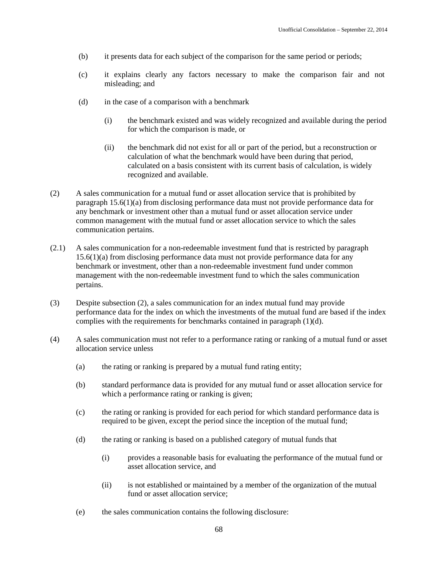- (b) it presents data for each subject of the comparison for the same period or periods;
- (c) it explains clearly any factors necessary to make the comparison fair and not misleading; and
- (d) in the case of a comparison with a benchmark
	- (i) the benchmark existed and was widely recognized and available during the period for which the comparison is made, or
	- (ii) the benchmark did not exist for all or part of the period, but a reconstruction or calculation of what the benchmark would have been during that period, calculated on a basis consistent with its current basis of calculation, is widely recognized and available.
- (2) A sales communication for a mutual fund or asset allocation service that is prohibited by paragraph 15.6(1)(a) from disclosing performance data must not provide performance data for any benchmark or investment other than a mutual fund or asset allocation service under common management with the mutual fund or asset allocation service to which the sales communication pertains.
- (2.1) A sales communication for a non-redeemable investment fund that is restricted by paragraph 15.6(1)(a) from disclosing performance data must not provide performance data for any benchmark or investment, other than a non-redeemable investment fund under common management with the non-redeemable investment fund to which the sales communication pertains.
- (3) Despite subsection (2), a sales communication for an index mutual fund may provide performance data for the index on which the investments of the mutual fund are based if the index complies with the requirements for benchmarks contained in paragraph (1)(d).
- (4) A sales communication must not refer to a performance rating or ranking of a mutual fund or asset allocation service unless
	- (a) the rating or ranking is prepared by a mutual fund rating entity;
	- (b) standard performance data is provided for any mutual fund or asset allocation service for which a performance rating or ranking is given;
	- (c) the rating or ranking is provided for each period for which standard performance data is required to be given, except the period since the inception of the mutual fund;
	- (d) the rating or ranking is based on a published category of mutual funds that
		- (i) provides a reasonable basis for evaluating the performance of the mutual fund or asset allocation service, and
		- (ii) is not established or maintained by a member of the organization of the mutual fund or asset allocation service;
	- (e) the sales communication contains the following disclosure: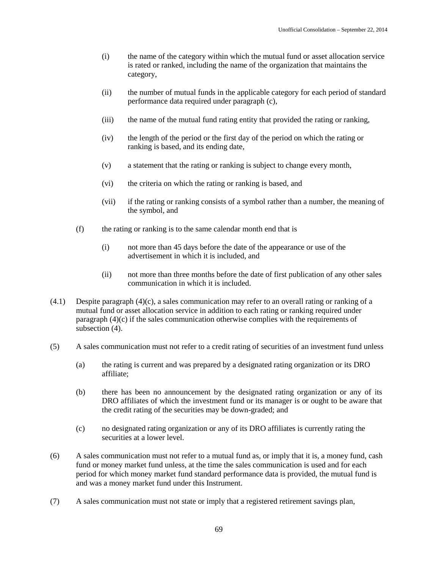- (i) the name of the category within which the mutual fund or asset allocation service is rated or ranked, including the name of the organization that maintains the category,
- (ii) the number of mutual funds in the applicable category for each period of standard performance data required under paragraph (c),
- (iii) the name of the mutual fund rating entity that provided the rating or ranking,
- (iv) the length of the period or the first day of the period on which the rating or ranking is based, and its ending date,
- (v) a statement that the rating or ranking is subject to change every month,
- (vi) the criteria on which the rating or ranking is based, and
- (vii) if the rating or ranking consists of a symbol rather than a number, the meaning of the symbol, and
- (f) the rating or ranking is to the same calendar month end that is
	- (i) not more than 45 days before the date of the appearance or use of the advertisement in which it is included, and
	- (ii) not more than three months before the date of first publication of any other sales communication in which it is included.
- $(4.1)$  Despite paragraph  $(4)(c)$ , a sales communication may refer to an overall rating or ranking of a mutual fund or asset allocation service in addition to each rating or ranking required under paragraph  $(4)(c)$  if the sales communication otherwise complies with the requirements of subsection  $(4)$ .
- (5) A sales communication must not refer to a credit rating of securities of an investment fund unless
	- (a) the rating is current and was prepared by a designated rating organization or its DRO affiliate;
	- (b) there has been no announcement by the designated rating organization or any of its DRO affiliates of which the investment fund or its manager is or ought to be aware that the credit rating of the securities may be down-graded; and
	- (c) no designated rating organization or any of its DRO affiliates is currently rating the securities at a lower level.
- (6) A sales communication must not refer to a mutual fund as, or imply that it is, a money fund, cash fund or money market fund unless, at the time the sales communication is used and for each period for which money market fund standard performance data is provided, the mutual fund is and was a money market fund under this Instrument.
- (7) A sales communication must not state or imply that a registered retirement savings plan,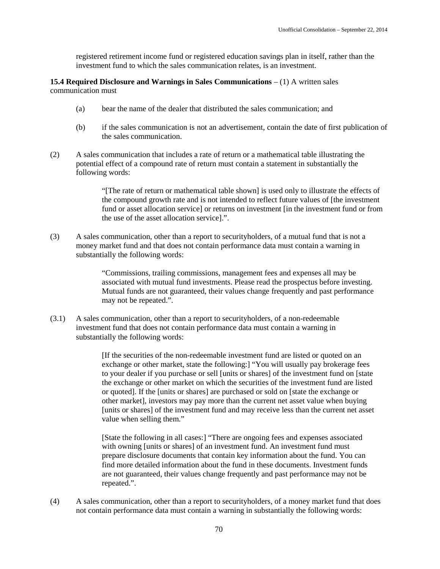registered retirement income fund or registered education savings plan in itself, rather than the investment fund to which the sales communication relates, is an investment.

**15.4 Required Disclosure and Warnings in Sales Communications** – (1) A written sales communication must

- (a) bear the name of the dealer that distributed the sales communication; and
- (b) if the sales communication is not an advertisement, contain the date of first publication of the sales communication.
- (2) A sales communication that includes a rate of return or a mathematical table illustrating the potential effect of a compound rate of return must contain a statement in substantially the following words:

"[The rate of return or mathematical table shown] is used only to illustrate the effects of the compound growth rate and is not intended to reflect future values of [the investment fund or asset allocation service] or returns on investment [in the investment fund or from the use of the asset allocation service].".

(3) A sales communication, other than a report to securityholders, of a mutual fund that is not a money market fund and that does not contain performance data must contain a warning in substantially the following words:

> "Commissions, trailing commissions, management fees and expenses all may be associated with mutual fund investments. Please read the prospectus before investing. Mutual funds are not guaranteed, their values change frequently and past performance may not be repeated.".

(3.1) A sales communication, other than a report to securityholders, of a non-redeemable investment fund that does not contain performance data must contain a warning in substantially the following words:

> [If the securities of the non-redeemable investment fund are listed or quoted on an exchange or other market, state the following:] "You will usually pay brokerage fees to your dealer if you purchase or sell [units or shares] of the investment fund on [state the exchange or other market on which the securities of the investment fund are listed or quoted]. If the [units or shares] are purchased or sold on [state the exchange or other market], investors may pay more than the current net asset value when buying [units or shares] of the investment fund and may receive less than the current net asset value when selling them."

[State the following in all cases:] "There are ongoing fees and expenses associated with owning [units or shares] of an investment fund. An investment fund must prepare disclosure documents that contain key information about the fund. You can find more detailed information about the fund in these documents. Investment funds are not guaranteed, their values change frequently and past performance may not be repeated.".

(4) A sales communication, other than a report to securityholders, of a money market fund that does not contain performance data must contain a warning in substantially the following words: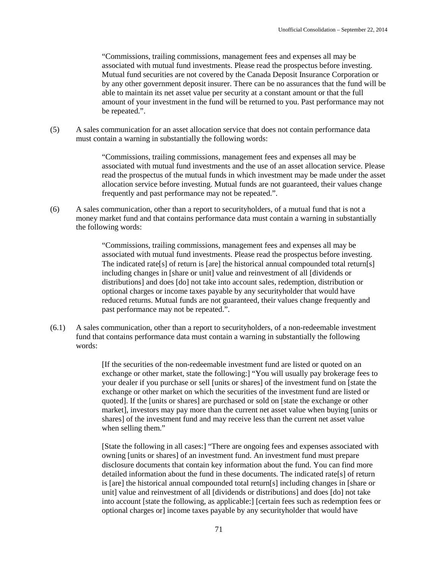"Commissions, trailing commissions, management fees and expenses all may be associated with mutual fund investments. Please read the prospectus before investing. Mutual fund securities are not covered by the Canada Deposit Insurance Corporation or by any other government deposit insurer. There can be no assurances that the fund will be able to maintain its net asset value per security at a constant amount or that the full amount of your investment in the fund will be returned to you. Past performance may not be repeated.".

(5) A sales communication for an asset allocation service that does not contain performance data must contain a warning in substantially the following words:

> "Commissions, trailing commissions, management fees and expenses all may be associated with mutual fund investments and the use of an asset allocation service. Please read the prospectus of the mutual funds in which investment may be made under the asset allocation service before investing. Mutual funds are not guaranteed, their values change frequently and past performance may not be repeated.".

(6) A sales communication, other than a report to securityholders, of a mutual fund that is not a money market fund and that contains performance data must contain a warning in substantially the following words:

> "Commissions, trailing commissions, management fees and expenses all may be associated with mutual fund investments. Please read the prospectus before investing. The indicated rate[s] of return is [are] the historical annual compounded total return[s] including changes in [share or unit] value and reinvestment of all [dividends or distributions] and does [do] not take into account sales, redemption, distribution or optional charges or income taxes payable by any securityholder that would have reduced returns. Mutual funds are not guaranteed, their values change frequently and past performance may not be repeated.".

(6.1) A sales communication, other than a report to securityholders, of a non-redeemable investment fund that contains performance data must contain a warning in substantially the following words:

> [If the securities of the non-redeemable investment fund are listed or quoted on an exchange or other market, state the following:] "You will usually pay brokerage fees to your dealer if you purchase or sell [units or shares] of the investment fund on [state the exchange or other market on which the securities of the investment fund are listed or quoted]. If the [units or shares] are purchased or sold on [state the exchange or other market], investors may pay more than the current net asset value when buying [units or shares] of the investment fund and may receive less than the current net asset value when selling them."

[State the following in all cases:] "There are ongoing fees and expenses associated with owning [units or shares] of an investment fund. An investment fund must prepare disclosure documents that contain key information about the fund. You can find more detailed information about the fund in these documents. The indicated rate[s] of return is [are] the historical annual compounded total return[s] including changes in [share or unit] value and reinvestment of all [dividends or distributions] and does [do] not take into account [state the following, as applicable:] [certain fees such as redemption fees or optional charges or] income taxes payable by any securityholder that would have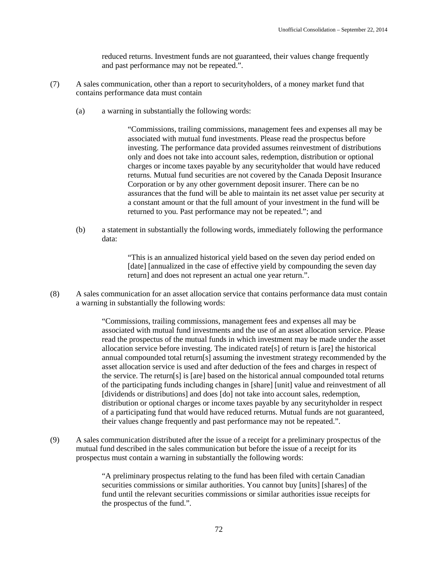reduced returns. Investment funds are not guaranteed, their values change frequently and past performance may not be repeated.".

- (7) A sales communication, other than a report to securityholders, of a money market fund that contains performance data must contain
	- (a) a warning in substantially the following words:

"Commissions, trailing commissions, management fees and expenses all may be associated with mutual fund investments. Please read the prospectus before investing. The performance data provided assumes reinvestment of distributions only and does not take into account sales, redemption, distribution or optional charges or income taxes payable by any securityholder that would have reduced returns. Mutual fund securities are not covered by the Canada Deposit Insurance Corporation or by any other government deposit insurer. There can be no assurances that the fund will be able to maintain its net asset value per security at a constant amount or that the full amount of your investment in the fund will be returned to you. Past performance may not be repeated."; and

(b) a statement in substantially the following words, immediately following the performance data:

> "This is an annualized historical yield based on the seven day period ended on [date] [annualized in the case of effective yield by compounding the seven day return] and does not represent an actual one year return.".

(8) A sales communication for an asset allocation service that contains performance data must contain a warning in substantially the following words:

> "Commissions, trailing commissions, management fees and expenses all may be associated with mutual fund investments and the use of an asset allocation service. Please read the prospectus of the mutual funds in which investment may be made under the asset allocation service before investing. The indicated rate[s] of return is [are] the historical annual compounded total return[s] assuming the investment strategy recommended by the asset allocation service is used and after deduction of the fees and charges in respect of the service. The return[s] is [are] based on the historical annual compounded total returns of the participating funds including changes in [share] [unit] value and reinvestment of all [dividends or distributions] and does [do] not take into account sales, redemption, distribution or optional charges or income taxes payable by any securityholder in respect of a participating fund that would have reduced returns. Mutual funds are not guaranteed, their values change frequently and past performance may not be repeated.".

(9) A sales communication distributed after the issue of a receipt for a preliminary prospectus of the mutual fund described in the sales communication but before the issue of a receipt for its prospectus must contain a warning in substantially the following words:

> "A preliminary prospectus relating to the fund has been filed with certain Canadian securities commissions or similar authorities. You cannot buy [units] [shares] of the fund until the relevant securities commissions or similar authorities issue receipts for the prospectus of the fund.".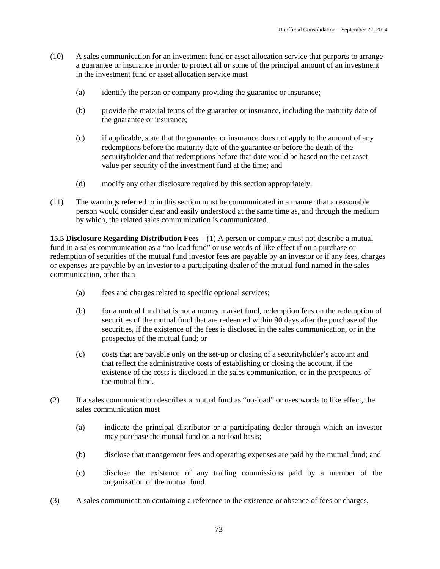- (10) A sales communication for an investment fund or asset allocation service that purports to arrange a guarantee or insurance in order to protect all or some of the principal amount of an investment in the investment fund or asset allocation service must
	- (a) identify the person or company providing the guarantee or insurance;
	- (b) provide the material terms of the guarantee or insurance, including the maturity date of the guarantee or insurance;
	- (c) if applicable, state that the guarantee or insurance does not apply to the amount of any redemptions before the maturity date of the guarantee or before the death of the securityholder and that redemptions before that date would be based on the net asset value per security of the investment fund at the time; and
	- (d) modify any other disclosure required by this section appropriately.
- (11) The warnings referred to in this section must be communicated in a manner that a reasonable person would consider clear and easily understood at the same time as, and through the medium by which, the related sales communication is communicated.

**15.5 Disclosure Regarding Distribution Fees** – (1) A person or company must not describe a mutual fund in a sales communication as a "no-load fund" or use words of like effect if on a purchase or redemption of securities of the mutual fund investor fees are payable by an investor or if any fees, charges or expenses are payable by an investor to a participating dealer of the mutual fund named in the sales communication, other than

- (a) fees and charges related to specific optional services;
- (b) for a mutual fund that is not a money market fund, redemption fees on the redemption of securities of the mutual fund that are redeemed within 90 days after the purchase of the securities, if the existence of the fees is disclosed in the sales communication, or in the prospectus of the mutual fund; or
- (c) costs that are payable only on the set-up or closing of a securityholder's account and that reflect the administrative costs of establishing or closing the account, if the existence of the costs is disclosed in the sales communication, or in the prospectus of the mutual fund.
- (2) If a sales communication describes a mutual fund as "no-load" or uses words to like effect, the sales communication must
	- (a) indicate the principal distributor or a participating dealer through which an investor may purchase the mutual fund on a no-load basis;
	- (b) disclose that management fees and operating expenses are paid by the mutual fund; and
	- (c) disclose the existence of any trailing commissions paid by a member of the organization of the mutual fund.
- (3) A sales communication containing a reference to the existence or absence of fees or charges,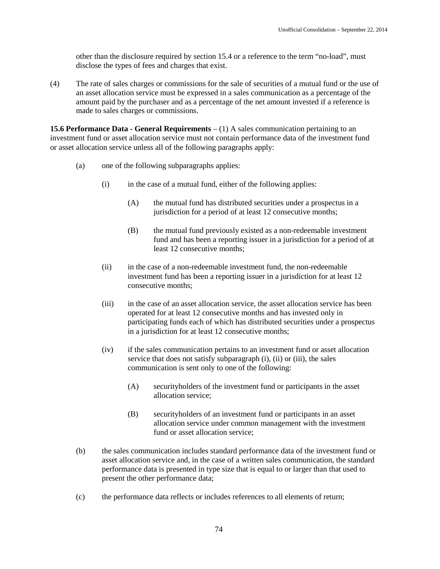other than the disclosure required by section 15.4 or a reference to the term "no-load", must disclose the types of fees and charges that exist.

(4) The rate of sales charges or commissions for the sale of securities of a mutual fund or the use of an asset allocation service must be expressed in a sales communication as a percentage of the amount paid by the purchaser and as a percentage of the net amount invested if a reference is made to sales charges or commissions.

**15.6 Performance Data - General Requirements** – (1) A sales communication pertaining to an investment fund or asset allocation service must not contain performance data of the investment fund or asset allocation service unless all of the following paragraphs apply:

- (a) one of the following subparagraphs applies:
	- (i) in the case of a mutual fund, either of the following applies:
		- (A) the mutual fund has distributed securities under a prospectus in a jurisdiction for a period of at least 12 consecutive months;
		- (B) the mutual fund previously existed as a non-redeemable investment fund and has been a reporting issuer in a jurisdiction for a period of at least 12 consecutive months;
	- (ii) in the case of a non-redeemable investment fund, the non-redeemable investment fund has been a reporting issuer in a jurisdiction for at least 12 consecutive months;
	- (iii) in the case of an asset allocation service, the asset allocation service has been operated for at least 12 consecutive months and has invested only in participating funds each of which has distributed securities under a prospectus in a jurisdiction for at least 12 consecutive months;
	- (iv) if the sales communication pertains to an investment fund or asset allocation service that does not satisfy subparagraph (i), (ii) or (iii), the sales communication is sent only to one of the following:
		- (A) securityholders of the investment fund or participants in the asset allocation service;
		- (B) securityholders of an investment fund or participants in an asset allocation service under common management with the investment fund or asset allocation service;
- (b) the sales communication includes standard performance data of the investment fund or asset allocation service and, in the case of a written sales communication, the standard performance data is presented in type size that is equal to or larger than that used to present the other performance data;
- (c) the performance data reflects or includes references to all elements of return;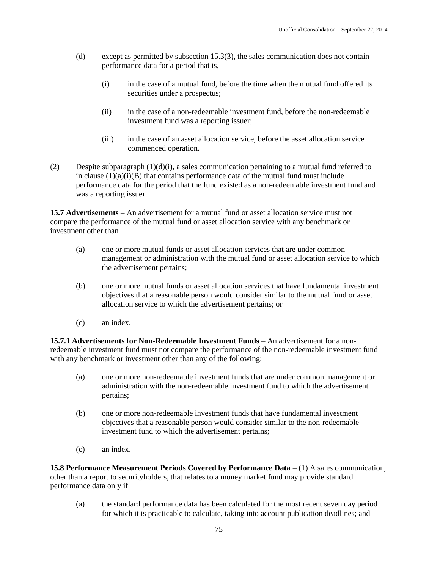- (d) except as permitted by subsection 15.3(3), the sales communication does not contain performance data for a period that is,
	- (i) in the case of a mutual fund, before the time when the mutual fund offered its securities under a prospectus;
	- (ii) in the case of a non-redeemable investment fund, before the non-redeemable investment fund was a reporting issuer;
	- (iii) in the case of an asset allocation service, before the asset allocation service commenced operation.
- (2) Despite subparagraph  $(1)(d)(i)$ , a sales communication pertaining to a mutual fund referred to in clause  $(1)(a)(i)(B)$  that contains performance data of the mutual fund must include performance data for the period that the fund existed as a non-redeemable investment fund and was a reporting issuer.

**15.7 Advertisements** – An advertisement for a mutual fund or asset allocation service must not compare the performance of the mutual fund or asset allocation service with any benchmark or investment other than

- (a) one or more mutual funds or asset allocation services that are under common management or administration with the mutual fund or asset allocation service to which the advertisement pertains;
- (b) one or more mutual funds or asset allocation services that have fundamental investment objectives that a reasonable person would consider similar to the mutual fund or asset allocation service to which the advertisement pertains; or
- (c) an index.

**15.7.1 Advertisements for Non-Redeemable Investment Funds** – An advertisement for a nonredeemable investment fund must not compare the performance of the non-redeemable investment fund with any benchmark or investment other than any of the following:

- (a) one or more non-redeemable investment funds that are under common management or administration with the non-redeemable investment fund to which the advertisement pertains;
- (b) one or more non-redeemable investment funds that have fundamental investment objectives that a reasonable person would consider similar to the non-redeemable investment fund to which the advertisement pertains;
- (c) an index.

**15.8 Performance Measurement Periods Covered by Performance Data** – (1) A sales communication, other than a report to securityholders, that relates to a money market fund may provide standard performance data only if

(a) the standard performance data has been calculated for the most recent seven day period for which it is practicable to calculate, taking into account publication deadlines; and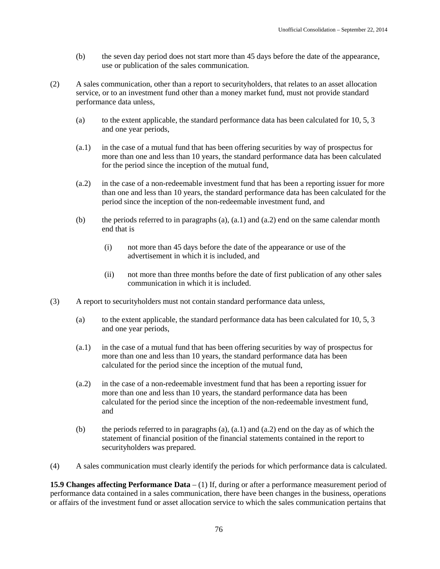- (b) the seven day period does not start more than 45 days before the date of the appearance, use or publication of the sales communication.
- (2) A sales communication, other than a report to securityholders, that relates to an asset allocation service, or to an investment fund other than a money market fund, must not provide standard performance data unless,
	- (a) to the extent applicable, the standard performance data has been calculated for 10, 5, 3 and one year periods,
	- (a.1) in the case of a mutual fund that has been offering securities by way of prospectus for more than one and less than 10 years, the standard performance data has been calculated for the period since the inception of the mutual fund,
	- (a.2) in the case of a non-redeemable investment fund that has been a reporting issuer for more than one and less than 10 years, the standard performance data has been calculated for the period since the inception of the non-redeemable investment fund, and
	- (b) the periods referred to in paragraphs  $(a)$ ,  $(a.1)$  and  $(a.2)$  end on the same calendar month end that is
		- (i) not more than 45 days before the date of the appearance or use of the advertisement in which it is included, and
		- (ii) not more than three months before the date of first publication of any other sales communication in which it is included.
- (3) A report to securityholders must not contain standard performance data unless,
	- (a) to the extent applicable, the standard performance data has been calculated for 10, 5, 3 and one year periods,
	- (a.1) in the case of a mutual fund that has been offering securities by way of prospectus for more than one and less than 10 years, the standard performance data has been calculated for the period since the inception of the mutual fund,
	- (a.2) in the case of a non-redeemable investment fund that has been a reporting issuer for more than one and less than 10 years, the standard performance data has been calculated for the period since the inception of the non-redeemable investment fund, and
	- (b) the periods referred to in paragraphs  $(a)$ ,  $(a.1)$  and  $(a.2)$  end on the day as of which the statement of financial position of the financial statements contained in the report to securityholders was prepared.
- (4) A sales communication must clearly identify the periods for which performance data is calculated.

**15.9 Changes affecting Performance Data** – (1) If, during or after a performance measurement period of performance data contained in a sales communication, there have been changes in the business, operations or affairs of the investment fund or asset allocation service to which the sales communication pertains that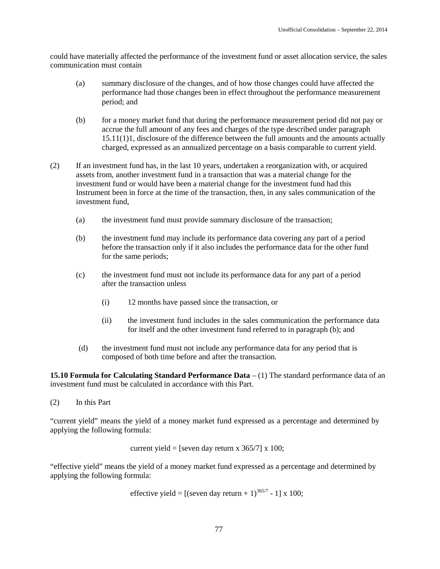could have materially affected the performance of the investment fund or asset allocation service, the sales communication must contain

- (a) summary disclosure of the changes, and of how those changes could have affected the performance had those changes been in effect throughout the performance measurement period; and
- (b) for a money market fund that during the performance measurement period did not pay or accrue the full amount of any fees and charges of the type described under paragraph 15.11(1)1, disclosure of the difference between the full amounts and the amounts actually charged, expressed as an annualized percentage on a basis comparable to current yield.
- (2) If an investment fund has, in the last 10 years, undertaken a reorganization with, or acquired assets from, another investment fund in a transaction that was a material change for the investment fund or would have been a material change for the investment fund had this Instrument been in force at the time of the transaction, then, in any sales communication of the investment fund,
	- (a) the investment fund must provide summary disclosure of the transaction;
	- (b) the investment fund may include its performance data covering any part of a period before the transaction only if it also includes the performance data for the other fund for the same periods;
	- (c) the investment fund must not include its performance data for any part of a period after the transaction unless
		- (i) 12 months have passed since the transaction, or
		- (ii) the investment fund includes in the sales communication the performance data for itself and the other investment fund referred to in paragraph (b); and
	- (d) the investment fund must not include any performance data for any period that is composed of both time before and after the transaction.

**15.10 Formula for Calculating Standard Performance Data** – (1) The standard performance data of an investment fund must be calculated in accordance with this Part.

(2) In this Part

"current yield" means the yield of a money market fund expressed as a percentage and determined by applying the following formula:

current yield = [seven day return x  $365/7$ ] x 100;

"effective yield" means the yield of a money market fund expressed as a percentage and determined by applying the following formula:

effective yield =  $[(\text{seven day return} + 1)^{365/7} - 1] \times 100;$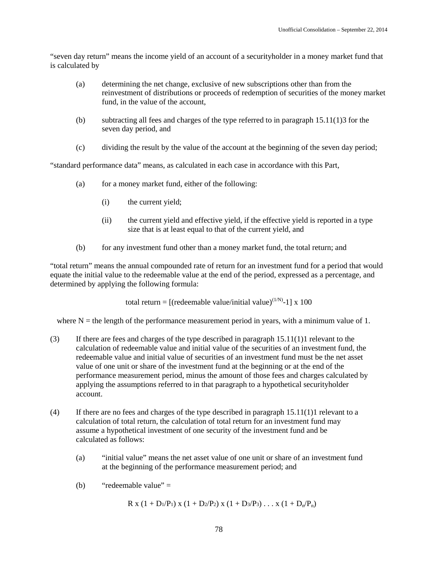"seven day return" means the income yield of an account of a securityholder in a money market fund that is calculated by

- (a) determining the net change, exclusive of new subscriptions other than from the reinvestment of distributions or proceeds of redemption of securities of the money market fund, in the value of the account,
- (b) subtracting all fees and charges of the type referred to in paragraph 15.11(1)3 for the seven day period, and
- (c) dividing the result by the value of the account at the beginning of the seven day period;

"standard performance data" means, as calculated in each case in accordance with this Part,

- (a) for a money market fund, either of the following:
	- (i) the current yield;
	- (ii) the current yield and effective yield, if the effective yield is reported in a type size that is at least equal to that of the current yield, and
- (b) for any investment fund other than a money market fund, the total return; and

"total return" means the annual compounded rate of return for an investment fund for a period that would equate the initial value to the redeemable value at the end of the period, expressed as a percentage, and determined by applying the following formula:

total return =  $[(redeemable value/initial value)^{(1/N)}-1] \times 100$ 

where  $N =$  the length of the performance measurement period in years, with a minimum value of 1.

- (3) If there are fees and charges of the type described in paragraph 15.11(1)1 relevant to the calculation of redeemable value and initial value of the securities of an investment fund, the redeemable value and initial value of securities of an investment fund must be the net asset value of one unit or share of the investment fund at the beginning or at the end of the performance measurement period, minus the amount of those fees and charges calculated by applying the assumptions referred to in that paragraph to a hypothetical securityholder account.
- (4) If there are no fees and charges of the type described in paragraph 15.11(1)1 relevant to a calculation of total return, the calculation of total return for an investment fund may assume a hypothetical investment of one security of the investment fund and be calculated as follows:
	- (a) "initial value" means the net asset value of one unit or share of an investment fund at the beginning of the performance measurement period; and
	- (b) "redeemable value"  $=$

R x  $(1 + D_1/P_1)$  x  $(1 + D_2/P_2)$  x  $(1 + D_3/P_3)$  . . . x  $(1 + D_n/P_n)$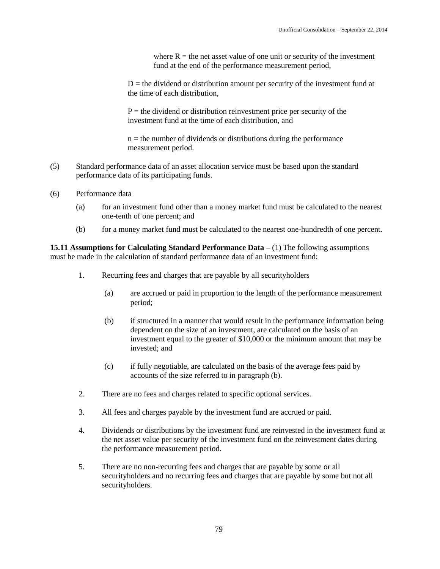where  $R =$  the net asset value of one unit or security of the investment fund at the end of the performance measurement period,

 $D =$  the dividend or distribution amount per security of the investment fund at the time of each distribution,

 $P =$  the dividend or distribution reinvestment price per security of the investment fund at the time of each distribution, and

 $n =$  the number of dividends or distributions during the performance measurement period.

- (5) Standard performance data of an asset allocation service must be based upon the standard performance data of its participating funds.
- (6) Performance data
	- (a) for an investment fund other than a money market fund must be calculated to the nearest one-tenth of one percent; and
	- (b) for a money market fund must be calculated to the nearest one-hundredth of one percent.

**15.11 Assumptions for Calculating Standard Performance Data** – (1) The following assumptions must be made in the calculation of standard performance data of an investment fund:

- 1. Recurring fees and charges that are payable by all securityholders
	- (a) are accrued or paid in proportion to the length of the performance measurement period;
	- (b) if structured in a manner that would result in the performance information being dependent on the size of an investment, are calculated on the basis of an investment equal to the greater of \$10,000 or the minimum amount that may be invested; and
	- (c) if fully negotiable, are calculated on the basis of the average fees paid by accounts of the size referred to in paragraph (b).
- 2. There are no fees and charges related to specific optional services.
- 3. All fees and charges payable by the investment fund are accrued or paid.
- 4. Dividends or distributions by the investment fund are reinvested in the investment fund at the net asset value per security of the investment fund on the reinvestment dates during the performance measurement period.
- 5. There are no non-recurring fees and charges that are payable by some or all securityholders and no recurring fees and charges that are payable by some but not all securityholders.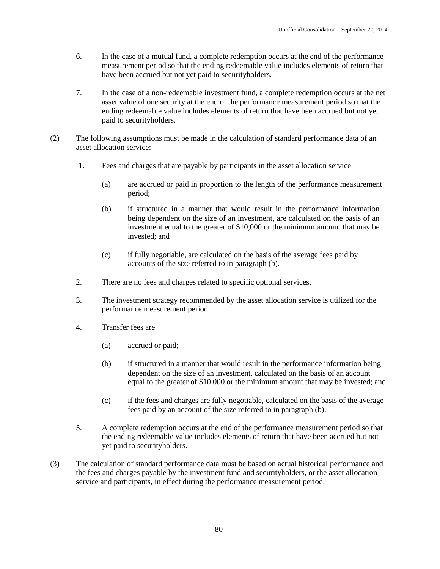- 6. In the case of a mutual fund, a complete redemption occurs at the end of the performance measurement period so that the ending redeemable value includes elements of return that have been accrued but not yet paid to securityholders.
- 7. In the case of a non-redeemable investment fund, a complete redemption occurs at the net asset value of one security at the end of the performance measurement period so that the ending redeemable value includes elements of return that have been accrued but not yet paid to securityholders.
- (2) The following assumptions must be made in the calculation of standard performance data of an asset allocation service:
	- 1. Fees and charges that are payable by participants in the asset allocation service
		- (a) are accrued or paid in proportion to the length of the performance measurement period;
		- (b) if structured in a manner that would result in the performance information being dependent on the size of an investment, are calculated on the basis of an investment equal to the greater of \$10,000 or the minimum amount that may be invested; and
		- (c) if fully negotiable, are calculated on the basis of the average fees paid by accounts of the size referred to in paragraph (b).
	- 2. There are no fees and charges related to specific optional services.
	- 3. The investment strategy recommended by the asset allocation service is utilized for the performance measurement period.
	- 4. Transfer fees are
		- (a) accrued or paid;
		- (b) if structured in a manner that would result in the performance information being dependent on the size of an investment, calculated on the basis of an account equal to the greater of \$10,000 or the minimum amount that may be invested; and
		- (c) if the fees and charges are fully negotiable, calculated on the basis of the average fees paid by an account of the size referred to in paragraph (b).
	- 5. A complete redemption occurs at the end of the performance measurement period so that the ending redeemable value includes elements of return that have been accrued but not yet paid to securityholders.
- (3) The calculation of standard performance data must be based on actual historical performance and the fees and charges payable by the investment fund and securityholders, or the asset allocation service and participants, in effect during the performance measurement period.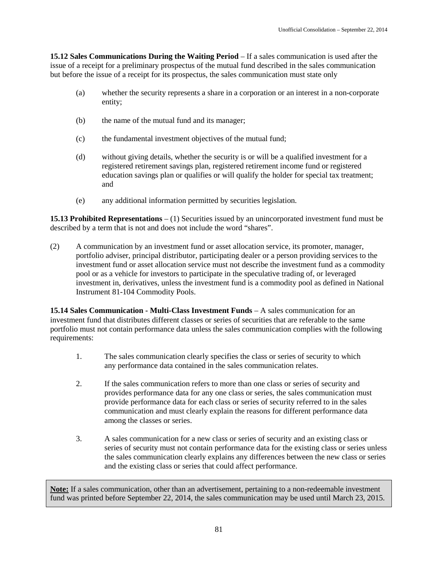**15.12 Sales Communications During the Waiting Period** – If a sales communication is used after the issue of a receipt for a preliminary prospectus of the mutual fund described in the sales communication but before the issue of a receipt for its prospectus, the sales communication must state only

- (a) whether the security represents a share in a corporation or an interest in a non-corporate entity;
- (b) the name of the mutual fund and its manager;
- (c) the fundamental investment objectives of the mutual fund;
- (d) without giving details, whether the security is or will be a qualified investment for a registered retirement savings plan, registered retirement income fund or registered education savings plan or qualifies or will qualify the holder for special tax treatment; and
- (e) any additional information permitted by securities legislation.

**15.13 Prohibited Representations** – (1) Securities issued by an unincorporated investment fund must be described by a term that is not and does not include the word "shares".

(2) A communication by an investment fund or asset allocation service, its promoter, manager, portfolio adviser, principal distributor, participating dealer or a person providing services to the investment fund or asset allocation service must not describe the investment fund as a commodity pool or as a vehicle for investors to participate in the speculative trading of, or leveraged investment in, derivatives, unless the investment fund is a commodity pool as defined in National Instrument 81-104 Commodity Pools.

**15.14 Sales Communication - Multi-Class Investment Funds** – A sales communication for an investment fund that distributes different classes or series of securities that are referable to the same portfolio must not contain performance data unless the sales communication complies with the following requirements:

- 1. The sales communication clearly specifies the class or series of security to which any performance data contained in the sales communication relates.
- 2. If the sales communication refers to more than one class or series of security and provides performance data for any one class or series, the sales communication must provide performance data for each class or series of security referred to in the sales communication and must clearly explain the reasons for different performance data among the classes or series.
- 3. A sales communication for a new class or series of security and an existing class or series of security must not contain performance data for the existing class or series unless the sales communication clearly explains any differences between the new class or series and the existing class or series that could affect performance.

**Note:** If a sales communication, other than an advertisement, pertaining to a non-redeemable investment fund was printed before September 22, 2014, the sales communication may be used until March 23, 2015.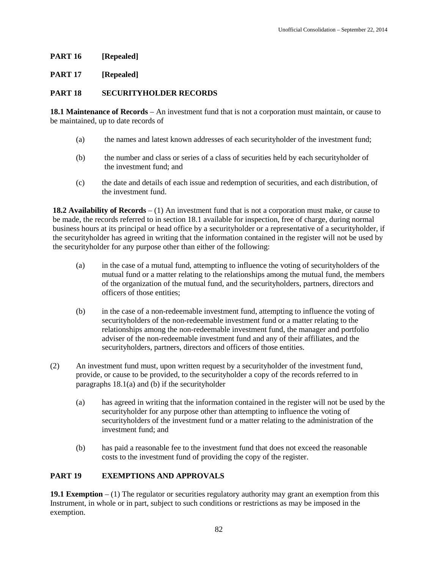**PART 16 [Repealed]**

**PART 17 [Repealed]**

### **PART 18 SECURITYHOLDER RECORDS**

**18.1 Maintenance of Records** – An investment fund that is not a corporation must maintain, or cause to be maintained, up to date records of

- (a) the names and latest known addresses of each securityholder of the investment fund;
- (b) the number and class or series of a class of securities held by each securityholder of the investment fund; and
- (c) the date and details of each issue and redemption of securities, and each distribution, of the investment fund.

**18.2 Availability of Records** – (1) An investment fund that is not a corporation must make, or cause to be made, the records referred to in section 18.1 available for inspection, free of charge, during normal business hours at its principal or head office by a securityholder or a representative of a securityholder, if the securityholder has agreed in writing that the information contained in the register will not be used by the securityholder for any purpose other than either of the following:

- (a) in the case of a mutual fund, attempting to influence the voting of securityholders of the mutual fund or a matter relating to the relationships among the mutual fund, the members of the organization of the mutual fund, and the securityholders, partners, directors and officers of those entities;
- (b) in the case of a non-redeemable investment fund, attempting to influence the voting of securityholders of the non-redeemable investment fund or a matter relating to the relationships among the non-redeemable investment fund, the manager and portfolio adviser of the non-redeemable investment fund and any of their affiliates, and the securityholders, partners, directors and officers of those entities.
- (2) An investment fund must, upon written request by a securityholder of the investment fund, provide, or cause to be provided, to the securityholder a copy of the records referred to in paragraphs 18.1(a) and (b) if the securityholder
	- (a) has agreed in writing that the information contained in the register will not be used by the securityholder for any purpose other than attempting to influence the voting of securityholders of the investment fund or a matter relating to the administration of the investment fund; and
	- (b) has paid a reasonable fee to the investment fund that does not exceed the reasonable costs to the investment fund of providing the copy of the register.

## **PART 19 EXEMPTIONS AND APPROVALS**

**19.1 Exemption** – (1) The regulator or securities regulatory authority may grant an exemption from this Instrument, in whole or in part, subject to such conditions or restrictions as may be imposed in the exemption.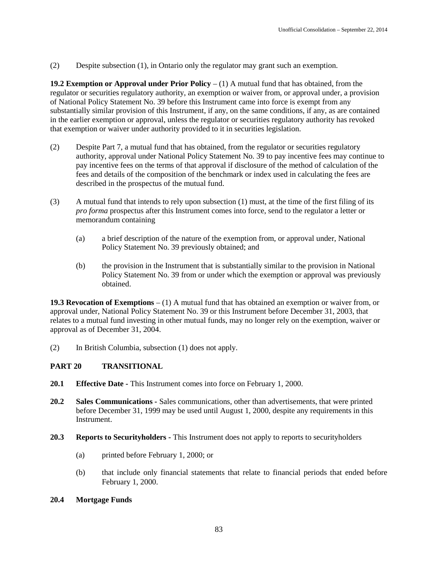(2) Despite subsection (1), in Ontario only the regulator may grant such an exemption.

**19.2 Exemption or Approval under Prior Policy** – (1) A mutual fund that has obtained, from the regulator or securities regulatory authority, an exemption or waiver from, or approval under, a provision of National Policy Statement No. 39 before this Instrument came into force is exempt from any substantially similar provision of this Instrument, if any, on the same conditions, if any, as are contained in the earlier exemption or approval, unless the regulator or securities regulatory authority has revoked that exemption or waiver under authority provided to it in securities legislation.

- (2) Despite Part 7, a mutual fund that has obtained, from the regulator or securities regulatory authority, approval under National Policy Statement No. 39 to pay incentive fees may continue to pay incentive fees on the terms of that approval if disclosure of the method of calculation of the fees and details of the composition of the benchmark or index used in calculating the fees are described in the prospectus of the mutual fund.
- (3) A mutual fund that intends to rely upon subsection (1) must, at the time of the first filing of its *pro forma* prospectus after this Instrument comes into force, send to the regulator a letter or memorandum containing
	- (a) a brief description of the nature of the exemption from, or approval under, National Policy Statement No. 39 previously obtained; and
	- (b) the provision in the Instrument that is substantially similar to the provision in National Policy Statement No. 39 from or under which the exemption or approval was previously obtained.

**19.3 Revocation of Exemptions** – (1) A mutual fund that has obtained an exemption or waiver from, or approval under, National Policy Statement No. 39 or this Instrument before December 31, 2003, that relates to a mutual fund investing in other mutual funds, may no longer rely on the exemption, waiver or approval as of December 31, 2004.

(2) In British Columbia, subsection (1) does not apply.

## **PART 20 TRANSITIONAL**

- **20.1 Effective Date -** This Instrument comes into force on February 1, 2000.
- **20.2 Sales Communications -** Sales communications, other than advertisements, that were printed before December 31, 1999 may be used until August 1, 2000, despite any requirements in this Instrument.
- **20.3 Reports to Securityholders -** This Instrument does not apply to reports to securityholders
	- (a) printed before February 1, 2000; or
	- (b) that include only financial statements that relate to financial periods that ended before February 1, 2000.

## **20.4 Mortgage Funds**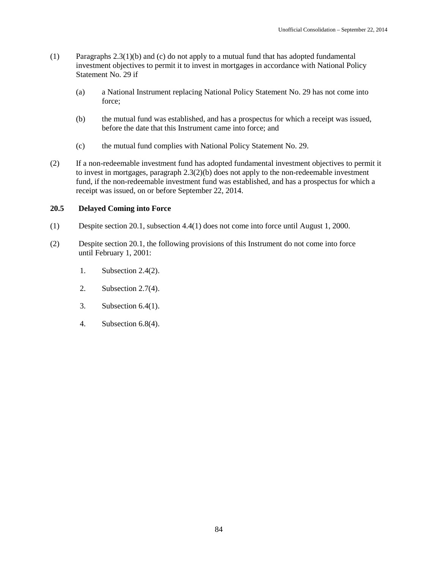- (1) Paragraphs 2.3(1)(b) and (c) do not apply to a mutual fund that has adopted fundamental investment objectives to permit it to invest in mortgages in accordance with National Policy Statement No. 29 if
	- (a) a National Instrument replacing National Policy Statement No. 29 has not come into force;
	- (b) the mutual fund was established, and has a prospectus for which a receipt was issued, before the date that this Instrument came into force; and
	- (c) the mutual fund complies with National Policy Statement No. 29.
- (2) If a non-redeemable investment fund has adopted fundamental investment objectives to permit it to invest in mortgages, paragraph 2.3(2)(b) does not apply to the non-redeemable investment fund, if the non-redeemable investment fund was established, and has a prospectus for which a receipt was issued, on or before September 22, 2014.

## **20.5 Delayed Coming into Force**

- (1) Despite section 20.1, subsection 4.4(1) does not come into force until August 1, 2000.
- (2) Despite section 20.1, the following provisions of this Instrument do not come into force until February 1, 2001:
	- 1. Subsection 2.4(2).
	- 2. Subsection 2.7(4).
	- 3. Subsection 6.4(1).
	- 4. Subsection 6.8(4).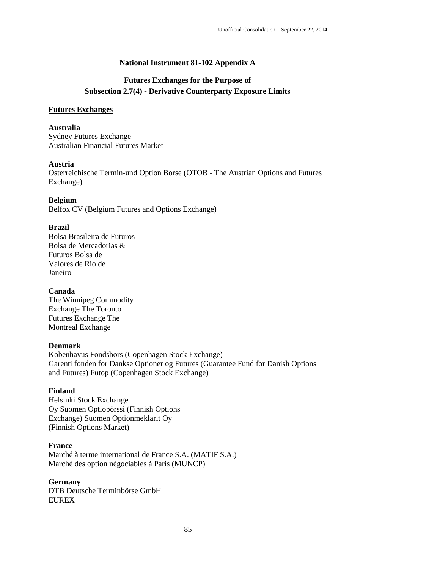## **National Instrument 81-102 Appendix A**

## **Futures Exchanges for the Purpose of Subsection 2.7(4) - Derivative Counterparty Exposure Limits**

#### **Futures Exchanges**

## **Australia**

Sydney Futures Exchange Australian Financial Futures Market

#### **Austria**

Osterreichische Termin-und Option Borse (OTOB - The Austrian Options and Futures Exchange)

#### **Belgium**

Belfox CV (Belgium Futures and Options Exchange)

#### **Brazil**

Bolsa Brasileira de Futuros Bolsa de Mercadorias & Futuros Bolsa de Valores de Rio de Janeiro

#### **Canada**

The Winnipeg Commodity Exchange The Toronto Futures Exchange The Montreal Exchange

#### **Denmark**

Kobenhavus Fondsbors (Copenhagen Stock Exchange) Garenti fonden for Dankse Optioner og Futures (Guarantee Fund for Danish Options and Futures) Futop (Copenhagen Stock Exchange)

### **Finland**

Helsinki Stock Exchange Oy Suomen Optiopörssi (Finnish Options Exchange) Suomen Optionmeklarit Oy (Finnish Options Market)

#### **France**

Marché à terme international de France S.A. (MATIF S.A.) Marché des option négociables à Paris (MUNCP)

#### **Germany**

DTB Deutsche Terminbörse GmbH **EUREX**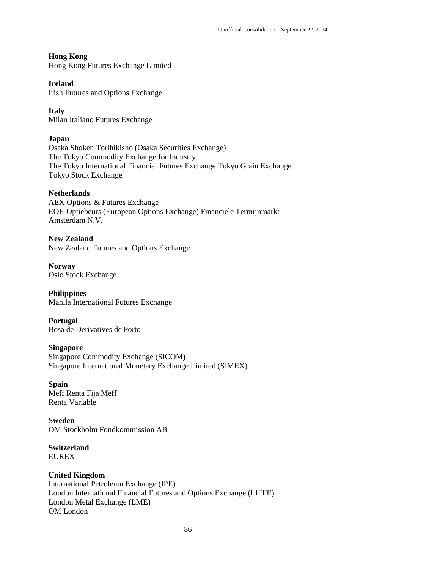## **Hong Kong**

Hong Kong Futures Exchange Limited

#### **Ireland**

Irish Futures and Options Exchange

**Italy** Milan Italiano Futures Exchange

#### **Japan**

Osaka Shoken Torihikisho (Osaka Securities Exchange) The Tokyo Commodity Exchange for Industry The Tokyo International Financial Futures Exchange Tokyo Grain Exchange Tokyo Stock Exchange

### **Netherlands**

AEX Options & Futures Exchange EOE-Optiebeurs (European Options Exchange) Financiele Termijnmarkt Amsterdam N.V.

**New Zealand** New Zealand Futures and Options Exchange

**Norway** Oslo Stock Exchange

**Philippines** Manila International Futures Exchange

**Portugal** Bosa de Derivatives de Porto

### **Singapore**

Singapore Commodity Exchange (SICOM) Singapore International Monetary Exchange Limited (SIMEX)

# **Spain**

Meff Renta Fija Meff Renta Variable

**Sweden** OM Stockholm Fondkommission AB

#### **Switzerland** EUREX

### **United Kingdom** International Petroleum Exchange (IPE) London International Financial Futures and Options Exchange (LIFFE) London Metal Exchange (LME) OM London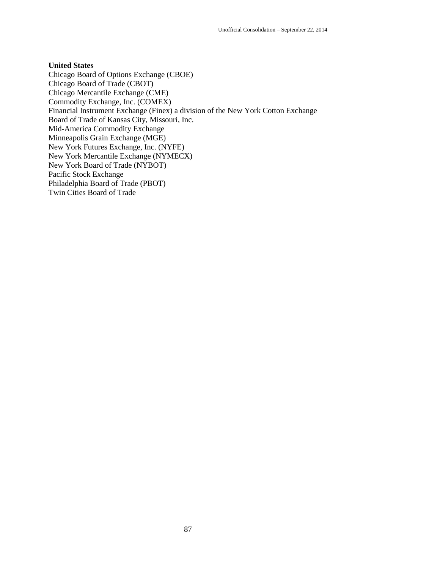### **United States**

Chicago Board of Options Exchange (CBOE) Chicago Board of Trade (CBOT) Chicago Mercantile Exchange (CME) Commodity Exchange, Inc. (COMEX) Financial Instrument Exchange (Finex) a division of the New York Cotton Exchange Board of Trade of Kansas City, Missouri, Inc. Mid-America Commodity Exchange Minneapolis Grain Exchange (MGE) New York Futures Exchange, Inc. (NYFE) New York Mercantile Exchange (NYMECX) New York Board of Trade (NYBOT) Pacific Stock Exchange Philadelphia Board of Trade (PBOT) Twin Cities Board of Trade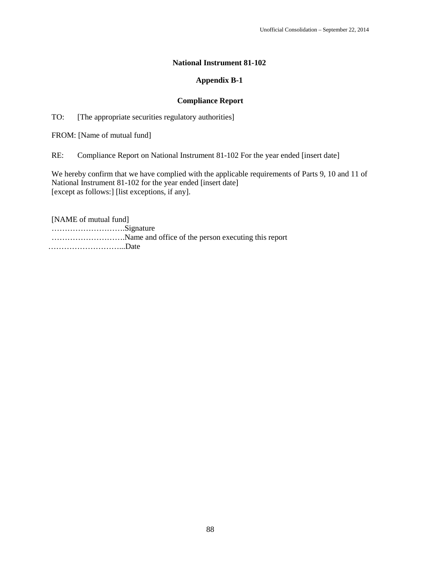## **Appendix B-1**

## **Compliance Report**

TO: [The appropriate securities regulatory authorities]

FROM: [Name of mutual fund]

RE: Compliance Report on National Instrument 81-102 For the year ended [insert date]

We hereby confirm that we have complied with the applicable requirements of Parts 9, 10 and 11 of National Instrument 81-102 for the year ended [insert date] [except as follows:] [list exceptions, if any].

[NAME of mutual fund]

……………………….Signature ……………………….Name and office of the person executing this report ………………………...Date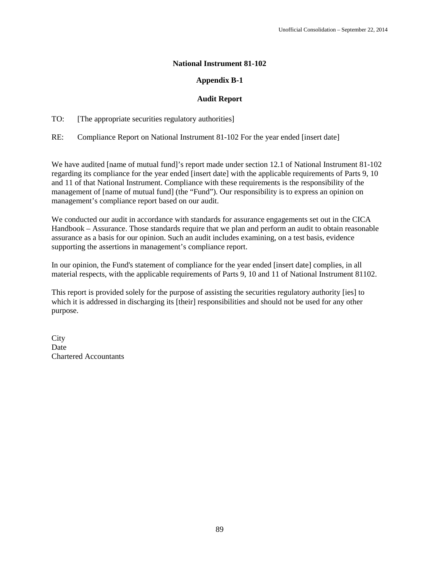## **Appendix B-1**

## **Audit Report**

TO: [The appropriate securities regulatory authorities]

RE: Compliance Report on National Instrument 81-102 For the year ended [insert date]

We have audited [name of mutual fund]'s report made under section 12.1 of National Instrument 81-102 regarding its compliance for the year ended [insert date] with the applicable requirements of Parts 9, 10 and 11 of that National Instrument. Compliance with these requirements is the responsibility of the management of [name of mutual fund] (the "Fund"). Our responsibility is to express an opinion on management's compliance report based on our audit.

We conducted our audit in accordance with standards for assurance engagements set out in the CICA Handbook – Assurance. Those standards require that we plan and perform an audit to obtain reasonable assurance as a basis for our opinion. Such an audit includes examining, on a test basis, evidence supporting the assertions in management's compliance report.

In our opinion, the Fund's statement of compliance for the year ended [insert date] complies, in all material respects, with the applicable requirements of Parts 9, 10 and 11 of National Instrument 81102.

This report is provided solely for the purpose of assisting the securities regulatory authority [ies] to which it is addressed in discharging its [their] responsibilities and should not be used for any other purpose.

**City** Date Chartered Accountants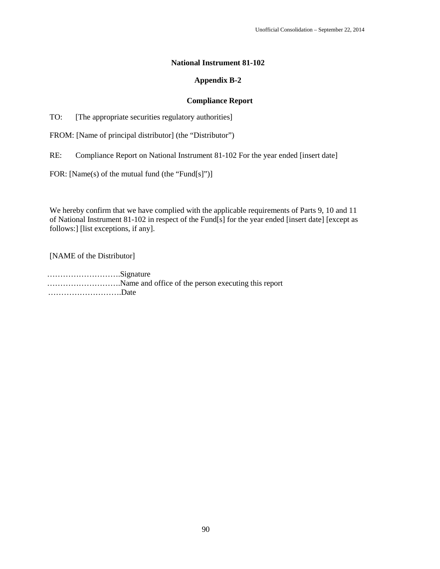## **Appendix B-2**

### **Compliance Report**

TO: [The appropriate securities regulatory authorities]

FROM: [Name of principal distributor] (the "Distributor")

RE: Compliance Report on National Instrument 81-102 For the year ended [insert date]

FOR: [Name(s) of the mutual fund (the "Fund[s]")]

We hereby confirm that we have complied with the applicable requirements of Parts 9, 10 and 11 of National Instrument 81-102 in respect of the Fund[s] for the year ended [insert date] [except as follows:] [list exceptions, if any].

[NAME of the Distributor]

……………………….Signature ……………………….Name and office of the person executing this report ……………………….Date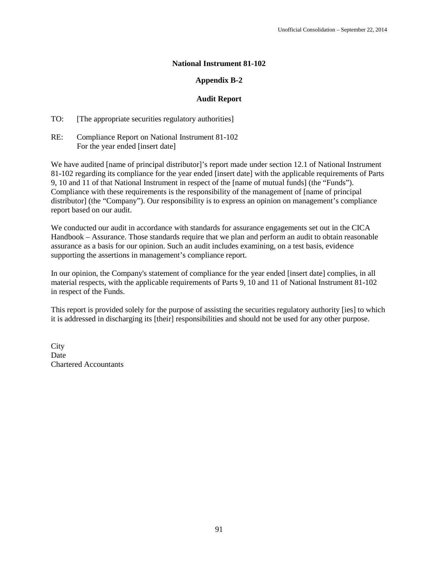### **Appendix B-2**

#### **Audit Report**

TO: [The appropriate securities regulatory authorities]

RE: Compliance Report on National Instrument 81-102 For the year ended [insert date]

We have audited [name of principal distributor]'s report made under section 12.1 of National Instrument 81-102 regarding its compliance for the year ended [insert date] with the applicable requirements of Parts 9, 10 and 11 of that National Instrument in respect of the [name of mutual funds] (the "Funds"). Compliance with these requirements is the responsibility of the management of [name of principal distributor] (the "Company"). Our responsibility is to express an opinion on management's compliance report based on our audit.

We conducted our audit in accordance with standards for assurance engagements set out in the CICA Handbook – Assurance. Those standards require that we plan and perform an audit to obtain reasonable assurance as a basis for our opinion. Such an audit includes examining, on a test basis, evidence supporting the assertions in management's compliance report.

In our opinion, the Company's statement of compliance for the year ended [insert date] complies, in all material respects, with the applicable requirements of Parts 9, 10 and 11 of National Instrument 81-102 in respect of the Funds.

This report is provided solely for the purpose of assisting the securities regulatory authority [ies] to which it is addressed in discharging its [their] responsibilities and should not be used for any other purpose.

**City** Date Chartered Accountants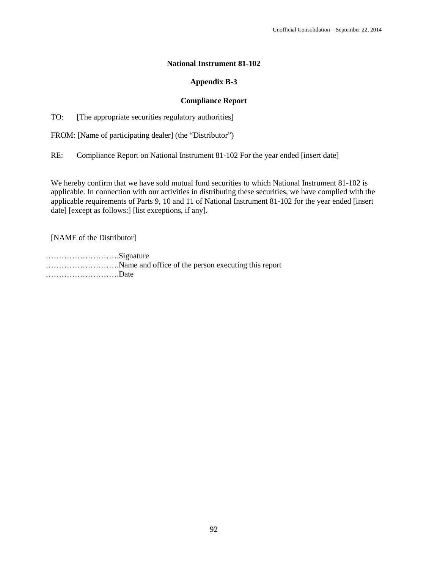## **Appendix B-3**

## **Compliance Report**

TO: [The appropriate securities regulatory authorities]

FROM: [Name of participating dealer] (the "Distributor")

RE: Compliance Report on National Instrument 81-102 For the year ended [insert date]

We hereby confirm that we have sold mutual fund securities to which National Instrument 81-102 is applicable. In connection with our activities in distributing these securities, we have complied with the applicable requirements of Parts 9, 10 and 11 of National Instrument 81-102 for the year ended [insert date] [except as follows:] [list exceptions, if any].

[NAME of the Distributor]

……………………….Signature ……………………….Name and office of the person executing this report ……………………….Date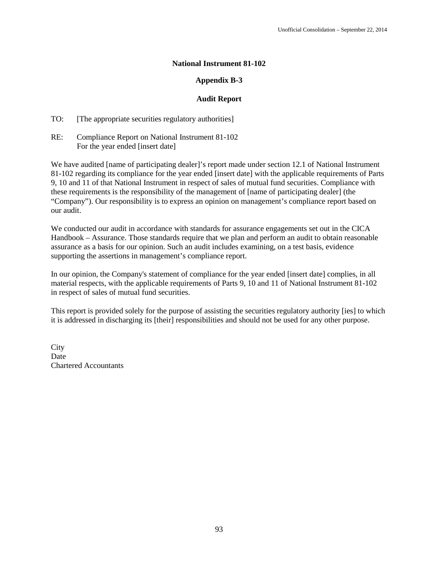### **Appendix B-3**

#### **Audit Report**

TO: [The appropriate securities regulatory authorities]

RE: Compliance Report on National Instrument 81-102 For the year ended [insert date]

We have audited [name of participating dealer]'s report made under section 12.1 of National Instrument 81-102 regarding its compliance for the year ended [insert date] with the applicable requirements of Parts 9, 10 and 11 of that National Instrument in respect of sales of mutual fund securities. Compliance with these requirements is the responsibility of the management of [name of participating dealer] (the "Company"). Our responsibility is to express an opinion on management's compliance report based on our audit.

We conducted our audit in accordance with standards for assurance engagements set out in the CICA Handbook – Assurance. Those standards require that we plan and perform an audit to obtain reasonable assurance as a basis for our opinion. Such an audit includes examining, on a test basis, evidence supporting the assertions in management's compliance report.

In our opinion, the Company's statement of compliance for the year ended [insert date] complies, in all material respects, with the applicable requirements of Parts 9, 10 and 11 of National Instrument 81-102 in respect of sales of mutual fund securities.

This report is provided solely for the purpose of assisting the securities regulatory authority [ies] to which it is addressed in discharging its [their] responsibilities and should not be used for any other purpose.

**City** Date Chartered Accountants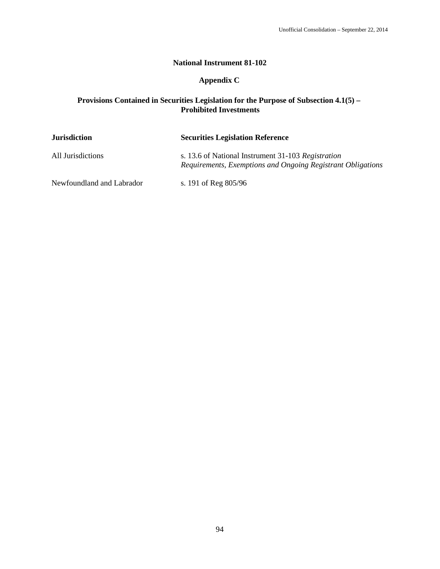# **Appendix C**

## **Provisions Contained in Securities Legislation for the Purpose of Subsection 4.1(5) – Prohibited Investments**

| <b>Jurisdiction</b>       | <b>Securities Legislation Reference</b>                                                                           |  |
|---------------------------|-------------------------------------------------------------------------------------------------------------------|--|
| All Jurisdictions         | s. 13.6 of National Instrument 31-103 Registration<br>Requirements, Exemptions and Ongoing Registrant Obligations |  |
| Newfoundland and Labrador | s. 191 of Reg 805/96                                                                                              |  |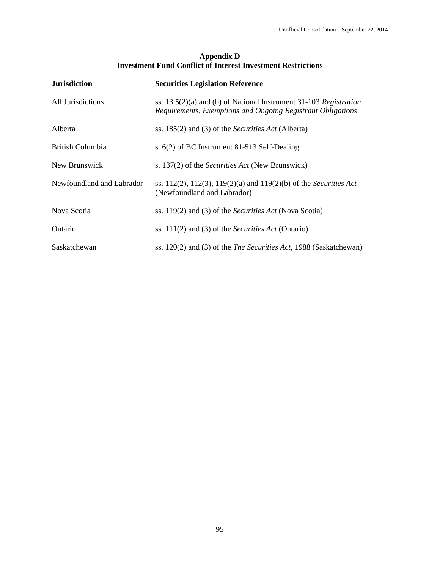| <b>Jurisdiction</b>       | <b>Securities Legislation Reference</b>                                                                                            |
|---------------------------|------------------------------------------------------------------------------------------------------------------------------------|
| All Jurisdictions         | ss. $13.5(2)(a)$ and (b) of National Instrument 31-103 Registration<br>Requirements, Exemptions and Ongoing Registrant Obligations |
| Alberta                   | ss. $185(2)$ and (3) of the <i>Securities Act</i> (Alberta)                                                                        |
| British Columbia          | s. $6(2)$ of BC Instrument 81-513 Self-Dealing                                                                                     |
| New Brunswick             | s. 137(2) of the <i>Securities Act</i> (New Brunswick)                                                                             |
| Newfoundland and Labrador | ss. 112(2), 112(3), 119(2)(a) and 119(2)(b) of the Securities Act<br>(Newfoundland and Labrador)                                   |
| Nova Scotia               | ss. 119(2) and (3) of the <i>Securities Act</i> (Nova Scotia)                                                                      |
| Ontario                   | ss. $111(2)$ and (3) of the <i>Securities Act</i> (Ontario)                                                                        |
| Saskatchewan              | ss. $120(2)$ and (3) of the <i>The Securities Act</i> , 1988 (Saskatchewan)                                                        |

### **Appendix D Investment Fund Conflict of Interest Investment Restrictions**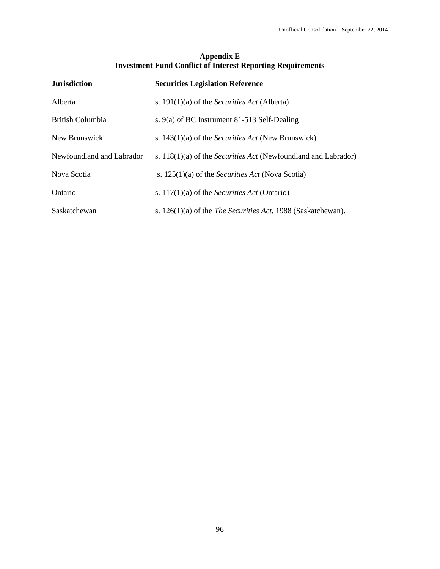### **Appendix E Investment Fund Conflict of Interest Reporting Requirements**

| <b>Jurisdiction</b>       | <b>Securities Legislation Reference</b>                                 |
|---------------------------|-------------------------------------------------------------------------|
| Alberta                   | s. 191(1)(a) of the <i>Securities Act</i> (Alberta)                     |
| British Columbia          | s. $9(a)$ of BC Instrument 81-513 Self-Dealing                          |
| New Brunswick             | s. $143(1)(a)$ of the <i>Securities Act</i> (New Brunswick)             |
| Newfoundland and Labrador | s. $118(1)(a)$ of the <i>Securities Act</i> (Newfoundland and Labrador) |
| Nova Scotia               | s. $125(1)(a)$ of the <i>Securities Act</i> (Nova Scotia)               |
| Ontario                   | s. 117(1)(a) of the <i>Securities Act</i> (Ontario)                     |
| Saskatchewan              | s. $126(1)(a)$ of the <i>The Securities Act</i> , 1988 (Saskatchewan).  |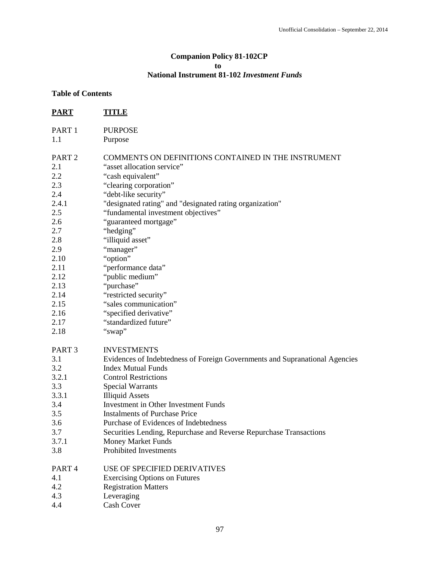## **Companion Policy 81-102CP to National Instrument 81-102** *Investment Funds*

# **Table of Contents**

| <b>PART</b>       | <b>TITLE</b>                                                                |
|-------------------|-----------------------------------------------------------------------------|
| PART 1            | <b>PURPOSE</b>                                                              |
| 1.1               | Purpose                                                                     |
| PART <sub>2</sub> | COMMENTS ON DEFINITIONS CONTAINED IN THE INSTRUMENT                         |
| 2.1               | "asset allocation service"                                                  |
| 2.2               | "cash equivalent"                                                           |
| 2.3               | "clearing corporation"                                                      |
| 2.4               | "debt-like security"                                                        |
| 2.4.1             | "designated rating" and "designated rating organization"                    |
| 2.5               | "fundamental investment objectives"                                         |
| 2.6               | "guaranteed mortgage"                                                       |
| 2.7               | "hedging"                                                                   |
| 2.8               | "illiquid asset"                                                            |
| 2.9               | "manager"                                                                   |
| 2.10              | "option"                                                                    |
| 2.11              | "performance data"                                                          |
| 2.12              | "public medium"                                                             |
| 2.13              | "purchase"                                                                  |
| 2.14              | "restricted security"                                                       |
| 2.15              | "sales communication"                                                       |
| 2.16              | "specified derivative"                                                      |
| 2.17              | "standardized future"                                                       |
| 2.18              | "swap"                                                                      |
| PART <sub>3</sub> | <b>INVESTMENTS</b>                                                          |
| 3.1               | Evidences of Indebtedness of Foreign Governments and Supranational Agencies |
| 3.2               | <b>Index Mutual Funds</b>                                                   |
| 3.2.1             | <b>Control Restrictions</b>                                                 |
| 3.3               | <b>Special Warrants</b>                                                     |
| 3.3.1             | <b>Illiquid Assets</b>                                                      |
| 3.4               | <b>Investment in Other Investment Funds</b>                                 |
| 3.5               | <b>Instalments of Purchase Price</b>                                        |
| 3.6               | Purchase of Evidences of Indebtedness                                       |
| 3.7               | Securities Lending, Repurchase and Reverse Repurchase Transactions          |
| 3.7.1             | Money Market Funds                                                          |
| 3.8               | Prohibited Investments                                                      |
| PART <sub>4</sub> | USE OF SPECIFIED DERIVATIVES                                                |
| 4.1               | <b>Exercising Options on Futures</b>                                        |
| 4.2               | <b>Registration Matters</b>                                                 |
| 4.3               | Leveraging                                                                  |
| 4.4               | Cash Cover                                                                  |
|                   |                                                                             |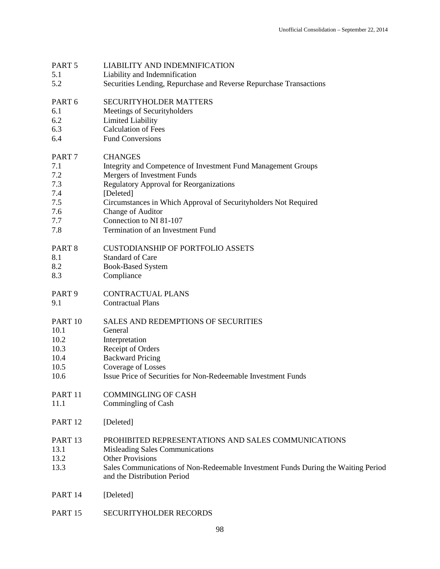| PART <sub>5</sub>  | <b>LIABILITY AND INDEMNIFICATION</b>                                              |
|--------------------|-----------------------------------------------------------------------------------|
| 5.1                | Liability and Indemnification                                                     |
| 5.2                | Securities Lending, Repurchase and Reverse Repurchase Transactions                |
| PART <sub>6</sub>  | <b>SECURITYHOLDER MATTERS</b>                                                     |
| 6.1                | Meetings of Securityholders                                                       |
| 6.2                | Limited Liability                                                                 |
|                    |                                                                                   |
| 6.3                | <b>Calculation of Fees</b>                                                        |
| 6.4                | <b>Fund Conversions</b>                                                           |
| PART <sub>7</sub>  | <b>CHANGES</b>                                                                    |
| 7.1                | Integrity and Competence of Investment Fund Management Groups                     |
| 7.2                | Mergers of Investment Funds                                                       |
| 7.3                | <b>Regulatory Approval for Reorganizations</b>                                    |
| 7.4                |                                                                                   |
|                    | [Deleted]                                                                         |
| 7.5                | Circumstances in Which Approval of Securityholders Not Required                   |
| 7.6                | Change of Auditor                                                                 |
| 7.7                | Connection to NI 81-107                                                           |
| 7.8                | Termination of an Investment Fund                                                 |
| PART <sub>8</sub>  | <b>CUSTODIANSHIP OF PORTFOLIO ASSETS</b>                                          |
| 8.1                | <b>Standard of Care</b>                                                           |
| 8.2                |                                                                                   |
|                    | <b>Book-Based System</b>                                                          |
| 8.3                | Compliance                                                                        |
| PART <sub>9</sub>  | <b>CONTRACTUAL PLANS</b>                                                          |
| 9.1                | <b>Contractual Plans</b>                                                          |
|                    |                                                                                   |
| PART <sub>10</sub> | SALES AND REDEMPTIONS OF SECURITIES                                               |
| 10.1               | General                                                                           |
| 10.2               | Interpretation                                                                    |
| 10.3               | Receipt of Orders                                                                 |
| 10.4               | <b>Backward Pricing</b>                                                           |
| 10.5               | Coverage of Losses                                                                |
| 10.6               | Issue Price of Securities for Non-Redeemable Investment Funds                     |
|                    |                                                                                   |
| PART <sub>11</sub> | <b>COMMINGLING OF CASH</b>                                                        |
| 11.1               | Commingling of Cash                                                               |
|                    |                                                                                   |
| PART <sub>12</sub> | [Deleted]                                                                         |
|                    |                                                                                   |
| PART <sub>13</sub> | PROHIBITED REPRESENTATIONS AND SALES COMMUNICATIONS                               |
| 13.1               | <b>Misleading Sales Communications</b>                                            |
| 13.2               | <b>Other Provisions</b>                                                           |
| 13.3               | Sales Communications of Non-Redeemable Investment Funds During the Waiting Period |
|                    | and the Distribution Period                                                       |
|                    |                                                                                   |
| PART 14            | [Deleted]                                                                         |
|                    |                                                                                   |
|                    |                                                                                   |

PART 15 SECURITYHOLDER RECORDS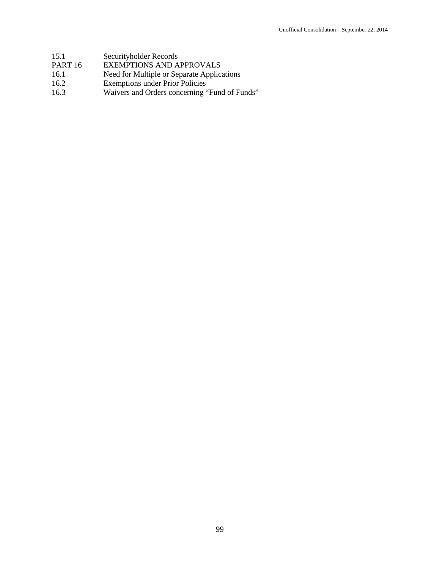- 15.1 Securityholder Records<br>PART 16 EXEMPTIONS AND A
- PART 16 EXEMPTIONS AND APPROVALS<br>16.1 Need for Multiple or Separate Applica
- 16.1 Need for Multiple or Separate Applications<br>16.2 Exemptions under Prior Policies
- 16.2 Exemptions under Prior Policies<br>16.3 Waivers and Orders concerning "
- Waivers and Orders concerning "Fund of Funds"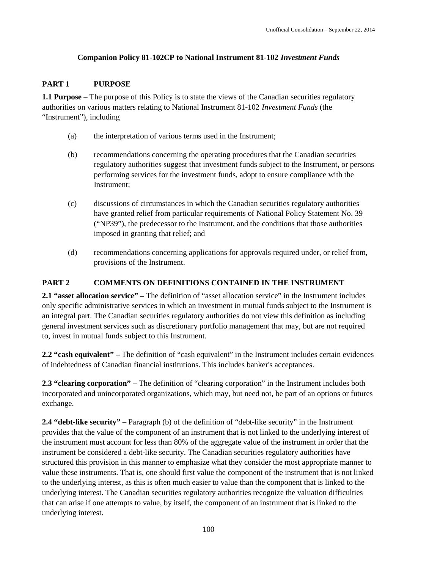## **Companion Policy 81-102CP to National Instrument 81-102** *Investment Funds*

## **PART 1 PURPOSE**

**1.1 Purpose** – The purpose of this Policy is to state the views of the Canadian securities regulatory authorities on various matters relating to National Instrument 81-102 *Investment Funds* (the "Instrument"), including

- (a) the interpretation of various terms used in the Instrument;
- (b) recommendations concerning the operating procedures that the Canadian securities regulatory authorities suggest that investment funds subject to the Instrument, or persons performing services for the investment funds, adopt to ensure compliance with the Instrument;
- (c) discussions of circumstances in which the Canadian securities regulatory authorities have granted relief from particular requirements of National Policy Statement No. 39 ("NP39"), the predecessor to the Instrument, and the conditions that those authorities imposed in granting that relief; and
- (d) recommendations concerning applications for approvals required under, or relief from, provisions of the Instrument.

## **PART 2 COMMENTS ON DEFINITIONS CONTAINED IN THE INSTRUMENT**

**2.1 "asset allocation service" –** The definition of "asset allocation service" in the Instrument includes only specific administrative services in which an investment in mutual funds subject to the Instrument is an integral part. The Canadian securities regulatory authorities do not view this definition as including general investment services such as discretionary portfolio management that may, but are not required to, invest in mutual funds subject to this Instrument.

**2.2 "cash equivalent" –** The definition of "cash equivalent" in the Instrument includes certain evidences of indebtedness of Canadian financial institutions. This includes banker's acceptances.

**2.3 "clearing corporation" –** The definition of "clearing corporation" in the Instrument includes both incorporated and unincorporated organizations, which may, but need not, be part of an options or futures exchange.

**2.4 "debt-like security" –** Paragraph (b) of the definition of "debt-like security" in the Instrument provides that the value of the component of an instrument that is not linked to the underlying interest of the instrument must account for less than 80% of the aggregate value of the instrument in order that the instrument be considered a debt-like security. The Canadian securities regulatory authorities have structured this provision in this manner to emphasize what they consider the most appropriate manner to value these instruments. That is, one should first value the component of the instrument that is not linked to the underlying interest, as this is often much easier to value than the component that is linked to the underlying interest. The Canadian securities regulatory authorities recognize the valuation difficulties that can arise if one attempts to value, by itself, the component of an instrument that is linked to the underlying interest.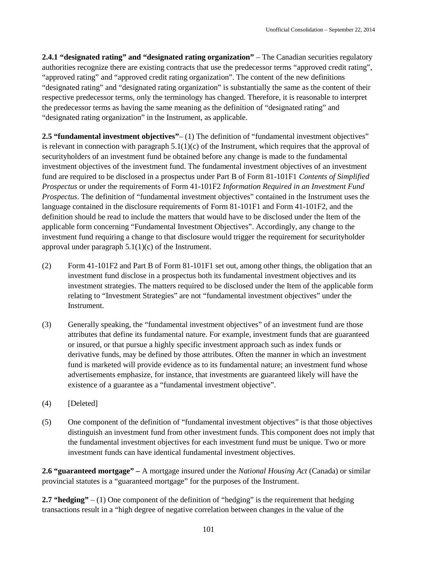**2.4.1 "designated rating" and "designated rating organization"** – The Canadian securities regulatory authorities recognize there are existing contracts that use the predecessor terms "approved credit rating", "approved rating" and "approved credit rating organization". The content of the new definitions "designated rating" and "designated rating organization" is substantially the same as the content of their respective predecessor terms, only the terminology has changed. Therefore, it is reasonable to interpret the predecessor terms as having the same meaning as the definition of "designated rating" and "designated rating organization" in the Instrument, as applicable.

**2.5 "fundamental investment objectives"**– (1) The definition of "fundamental investment objectives" is relevant in connection with paragraph  $5.1(1)(c)$  of the Instrument, which requires that the approval of securityholders of an investment fund be obtained before any change is made to the fundamental investment objectives of the investment fund. The fundamental investment objectives of an investment fund are required to be disclosed in a prospectus under Part B of Form 81-101F1 *Contents of Simplified Prospectus* or under the requirements of Form 41-101F2 *Information Required in an Investment Fund Prospectus*. The definition of "fundamental investment objectives" contained in the Instrument uses the language contained in the disclosure requirements of Form 81-101F1 and Form 41-101F2, and the definition should be read to include the matters that would have to be disclosed under the Item of the applicable form concerning "Fundamental Investment Objectives". Accordingly, any change to the investment fund requiring a change to that disclosure would trigger the requirement for securityholder approval under paragraph 5.1(1)(c) of the Instrument.

- (2) Form 41-101F2 and Part B of Form 81-101F1 set out, among other things, the obligation that an investment fund disclose in a prospectus both its fundamental investment objectives and its investment strategies. The matters required to be disclosed under the Item of the applicable form relating to "Investment Strategies" are not "fundamental investment objectives" under the **Instrument**
- (3) Generally speaking, the "fundamental investment objectives" of an investment fund are those attributes that define its fundamental nature. For example, investment funds that are guaranteed or insured, or that pursue a highly specific investment approach such as index funds or derivative funds, may be defined by those attributes. Often the manner in which an investment fund is marketed will provide evidence as to its fundamental nature; an investment fund whose advertisements emphasize, for instance, that investments are guaranteed likely will have the existence of a guarantee as a "fundamental investment objective".
- (4) [Deleted]
- (5) One component of the definition of "fundamental investment objectives" is that those objectives distinguish an investment fund from other investment funds. This component does not imply that the fundamental investment objectives for each investment fund must be unique. Two or more investment funds can have identical fundamental investment objectives.

**2.6 "guaranteed mortgage" –** A mortgage insured under the *National Housing Act* (Canada) or similar provincial statutes is a "guaranteed mortgage" for the purposes of the Instrument.

**2.7 "hedging"** – (1) One component of the definition of "hedging" is the requirement that hedging transactions result in a "high degree of negative correlation between changes in the value of the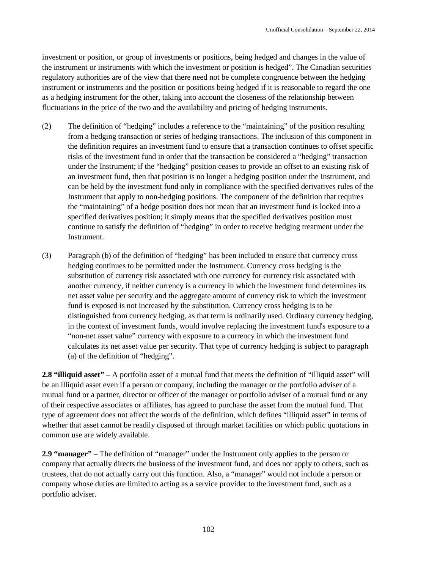investment or position, or group of investments or positions, being hedged and changes in the value of the instrument or instruments with which the investment or position is hedged". The Canadian securities regulatory authorities are of the view that there need not be complete congruence between the hedging instrument or instruments and the position or positions being hedged if it is reasonable to regard the one as a hedging instrument for the other, taking into account the closeness of the relationship between fluctuations in the price of the two and the availability and pricing of hedging instruments.

- (2) The definition of "hedging" includes a reference to the "maintaining" of the position resulting from a hedging transaction or series of hedging transactions. The inclusion of this component in the definition requires an investment fund to ensure that a transaction continues to offset specific risks of the investment fund in order that the transaction be considered a "hedging" transaction under the Instrument; if the "hedging" position ceases to provide an offset to an existing risk of an investment fund, then that position is no longer a hedging position under the Instrument, and can be held by the investment fund only in compliance with the specified derivatives rules of the Instrument that apply to non-hedging positions. The component of the definition that requires the "maintaining" of a hedge position does not mean that an investment fund is locked into a specified derivatives position; it simply means that the specified derivatives position must continue to satisfy the definition of "hedging" in order to receive hedging treatment under the Instrument.
- (3) Paragraph (b) of the definition of "hedging" has been included to ensure that currency cross hedging continues to be permitted under the Instrument. Currency cross hedging is the substitution of currency risk associated with one currency for currency risk associated with another currency, if neither currency is a currency in which the investment fund determines its net asset value per security and the aggregate amount of currency risk to which the investment fund is exposed is not increased by the substitution. Currency cross hedging is to be distinguished from currency hedging, as that term is ordinarily used. Ordinary currency hedging, in the context of investment funds, would involve replacing the investment fund's exposure to a "non-net asset value" currency with exposure to a currency in which the investment fund calculates its net asset value per security. That type of currency hedging is subject to paragraph (a) of the definition of "hedging".

**2.8 "illiquid asset"** – A portfolio asset of a mutual fund that meets the definition of "illiquid asset" will be an illiquid asset even if a person or company, including the manager or the portfolio adviser of a mutual fund or a partner, director or officer of the manager or portfolio adviser of a mutual fund or any of their respective associates or affiliates, has agreed to purchase the asset from the mutual fund. That type of agreement does not affect the words of the definition, which defines "illiquid asset" in terms of whether that asset cannot be readily disposed of through market facilities on which public quotations in common use are widely available.

**2.9 "manager"** – The definition of "manager" under the Instrument only applies to the person or company that actually directs the business of the investment fund, and does not apply to others, such as trustees, that do not actually carry out this function. Also, a "manager" would not include a person or company whose duties are limited to acting as a service provider to the investment fund, such as a portfolio adviser.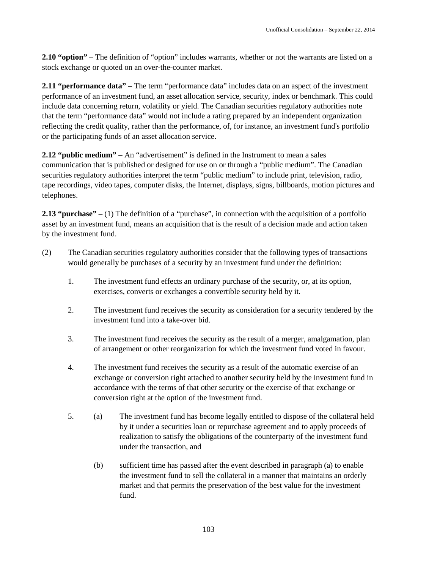**2.10 "option"** – The definition of "option" includes warrants, whether or not the warrants are listed on a stock exchange or quoted on an over-the-counter market.

**2.11 "performance data" –** The term "performance data" includes data on an aspect of the investment performance of an investment fund, an asset allocation service, security, index or benchmark. This could include data concerning return, volatility or yield. The Canadian securities regulatory authorities note that the term "performance data" would not include a rating prepared by an independent organization reflecting the credit quality, rather than the performance, of, for instance, an investment fund's portfolio or the participating funds of an asset allocation service.

**2.12 "public medium"** – An "advertisement" is defined in the Instrument to mean a sales communication that is published or designed for use on or through a "public medium". The Canadian securities regulatory authorities interpret the term "public medium" to include print, television, radio, tape recordings, video tapes, computer disks, the Internet, displays, signs, billboards, motion pictures and telephones.

**2.13 "purchase"** – (1) The definition of a "purchase", in connection with the acquisition of a portfolio asset by an investment fund, means an acquisition that is the result of a decision made and action taken by the investment fund.

- (2) The Canadian securities regulatory authorities consider that the following types of transactions would generally be purchases of a security by an investment fund under the definition:
	- 1. The investment fund effects an ordinary purchase of the security, or, at its option, exercises, converts or exchanges a convertible security held by it.
	- 2. The investment fund receives the security as consideration for a security tendered by the investment fund into a take-over bid.
	- 3. The investment fund receives the security as the result of a merger, amalgamation, plan of arrangement or other reorganization for which the investment fund voted in favour.
	- 4. The investment fund receives the security as a result of the automatic exercise of an exchange or conversion right attached to another security held by the investment fund in accordance with the terms of that other security or the exercise of that exchange or conversion right at the option of the investment fund.
	- 5. (a) The investment fund has become legally entitled to dispose of the collateral held by it under a securities loan or repurchase agreement and to apply proceeds of realization to satisfy the obligations of the counterparty of the investment fund under the transaction, and
		- (b) sufficient time has passed after the event described in paragraph (a) to enable the investment fund to sell the collateral in a manner that maintains an orderly market and that permits the preservation of the best value for the investment fund.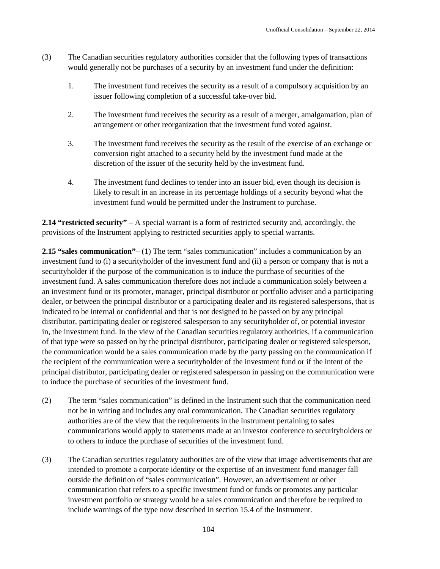- (3) The Canadian securities regulatory authorities consider that the following types of transactions would generally not be purchases of a security by an investment fund under the definition:
	- 1. The investment fund receives the security as a result of a compulsory acquisition by an issuer following completion of a successful take-over bid.
	- 2. The investment fund receives the security as a result of a merger, amalgamation, plan of arrangement or other reorganization that the investment fund voted against.
	- 3. The investment fund receives the security as the result of the exercise of an exchange or conversion right attached to a security held by the investment fund made at the discretion of the issuer of the security held by the investment fund.
	- 4. The investment fund declines to tender into an issuer bid, even though its decision is likely to result in an increase in its percentage holdings of a security beyond what the investment fund would be permitted under the Instrument to purchase.

**2.14 "restricted security"** – A special warrant is a form of restricted security and, accordingly, the provisions of the Instrument applying to restricted securities apply to special warrants.

**2.15 "sales communication"**– (1) The term "sales communication" includes a communication by an investment fund to (i) a securityholder of the investment fund and (ii) a person or company that is not a securityholder if the purpose of the communication is to induce the purchase of securities of the investment fund. A sales communication therefore does not include a communication solely between a an investment fund or its promoter, manager, principal distributor or portfolio adviser and a participating dealer, or between the principal distributor or a participating dealer and its registered salespersons, that is indicated to be internal or confidential and that is not designed to be passed on by any principal distributor, participating dealer or registered salesperson to any securityholder of, or potential investor in, the investment fund. In the view of the Canadian securities regulatory authorities, if a communication of that type were so passed on by the principal distributor, participating dealer or registered salesperson, the communication would be a sales communication made by the party passing on the communication if the recipient of the communication were a securityholder of the investment fund or if the intent of the principal distributor, participating dealer or registered salesperson in passing on the communication were to induce the purchase of securities of the investment fund.

- (2) The term "sales communication" is defined in the Instrument such that the communication need not be in writing and includes any oral communication. The Canadian securities regulatory authorities are of the view that the requirements in the Instrument pertaining to sales communications would apply to statements made at an investor conference to securityholders or to others to induce the purchase of securities of the investment fund.
- (3) The Canadian securities regulatory authorities are of the view that image advertisements that are intended to promote a corporate identity or the expertise of an investment fund manager fall outside the definition of "sales communication". However, an advertisement or other communication that refers to a specific investment fund or funds or promotes any particular investment portfolio or strategy would be a sales communication and therefore be required to include warnings of the type now described in section 15.4 of the Instrument.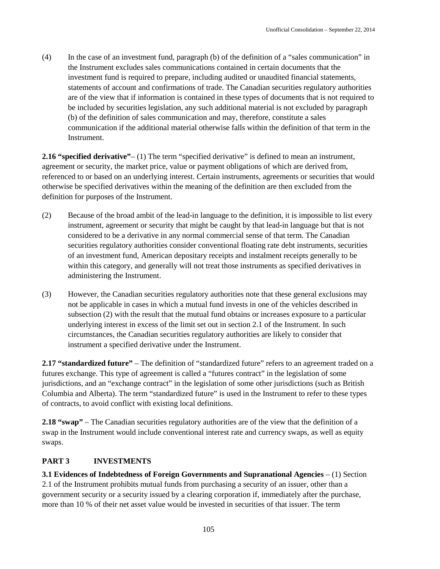(4) In the case of an investment fund, paragraph (b) of the definition of a "sales communication" in the Instrument excludes sales communications contained in certain documents that the investment fund is required to prepare, including audited or unaudited financial statements, statements of account and confirmations of trade. The Canadian securities regulatory authorities are of the view that if information is contained in these types of documents that is not required to be included by securities legislation, any such additional material is not excluded by paragraph (b) of the definition of sales communication and may, therefore, constitute a sales communication if the additional material otherwise falls within the definition of that term in the **Instrument** 

**2.16 "specified derivative"**– (1) The term "specified derivative" is defined to mean an instrument, agreement or security, the market price, value or payment obligations of which are derived from, referenced to or based on an underlying interest. Certain instruments, agreements or securities that would otherwise be specified derivatives within the meaning of the definition are then excluded from the definition for purposes of the Instrument.

- (2) Because of the broad ambit of the lead-in language to the definition, it is impossible to list every instrument, agreement or security that might be caught by that lead-in language but that is not considered to be a derivative in any normal commercial sense of that term. The Canadian securities regulatory authorities consider conventional floating rate debt instruments, securities of an investment fund, American depositary receipts and instalment receipts generally to be within this category, and generally will not treat those instruments as specified derivatives in administering the Instrument.
- (3) However, the Canadian securities regulatory authorities note that these general exclusions may not be applicable in cases in which a mutual fund invests in one of the vehicles described in subsection (2) with the result that the mutual fund obtains or increases exposure to a particular underlying interest in excess of the limit set out in section 2.1 of the Instrument. In such circumstances, the Canadian securities regulatory authorities are likely to consider that instrument a specified derivative under the Instrument.

**2.17 "standardized future"** – The definition of "standardized future" refers to an agreement traded on a futures exchange. This type of agreement is called a "futures contract" in the legislation of some jurisdictions, and an "exchange contract" in the legislation of some other jurisdictions (such as British Columbia and Alberta). The term "standardized future" is used in the Instrument to refer to these types of contracts, to avoid conflict with existing local definitions.

**2.18 "swap"** – The Canadian securities regulatory authorities are of the view that the definition of a swap in the Instrument would include conventional interest rate and currency swaps, as well as equity swaps.

# **PART 3 INVESTMENTS**

**3.1 Evidences of Indebtedness of Foreign Governments and Supranational Agencies** – (1) Section 2.1 of the Instrument prohibits mutual funds from purchasing a security of an issuer, other than a government security or a security issued by a clearing corporation if, immediately after the purchase, more than 10 % of their net asset value would be invested in securities of that issuer. The term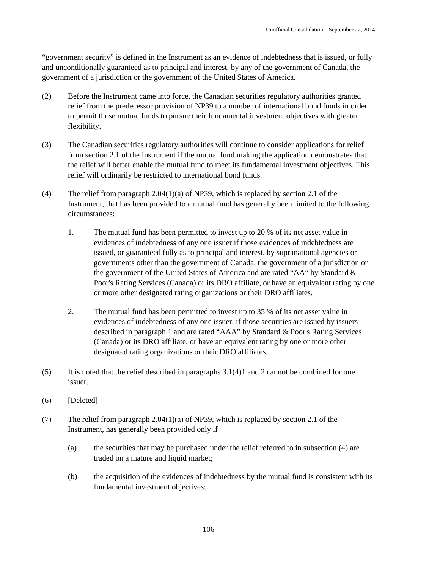"government security" is defined in the Instrument as an evidence of indebtedness that is issued, or fully and unconditionally guaranteed as to principal and interest, by any of the government of Canada, the government of a jurisdiction or the government of the United States of America.

- (2) Before the Instrument came into force, the Canadian securities regulatory authorities granted relief from the predecessor provision of NP39 to a number of international bond funds in order to permit those mutual funds to pursue their fundamental investment objectives with greater flexibility.
- (3) The Canadian securities regulatory authorities will continue to consider applications for relief from section 2.1 of the Instrument if the mutual fund making the application demonstrates that the relief will better enable the mutual fund to meet its fundamental investment objectives. This relief will ordinarily be restricted to international bond funds.
- (4) The relief from paragraph 2.04(1)(a) of NP39, which is replaced by section 2.1 of the Instrument, that has been provided to a mutual fund has generally been limited to the following circumstances:
	- 1. The mutual fund has been permitted to invest up to 20 % of its net asset value in evidences of indebtedness of any one issuer if those evidences of indebtedness are issued, or guaranteed fully as to principal and interest, by supranational agencies or governments other than the government of Canada, the government of a jurisdiction or the government of the United States of America and are rated "AA" by Standard & Poor's Rating Services (Canada) or its DRO affiliate, or have an equivalent rating by one or more other designated rating organizations or their DRO affiliates.
	- 2. The mutual fund has been permitted to invest up to 35 % of its net asset value in evidences of indebtedness of any one issuer, if those securities are issued by issuers described in paragraph 1 and are rated "AAA" by Standard & Poor's Rating Services (Canada) or its DRO affiliate, or have an equivalent rating by one or more other designated rating organizations or their DRO affiliates.
- (5) It is noted that the relief described in paragraphs 3.1(4)1 and 2 cannot be combined for one issuer.
- (6) [Deleted]
- (7) The relief from paragraph 2.04(1)(a) of NP39, which is replaced by section 2.1 of the Instrument, has generally been provided only if
	- (a) the securities that may be purchased under the relief referred to in subsection (4) are traded on a mature and liquid market;
	- (b) the acquisition of the evidences of indebtedness by the mutual fund is consistent with its fundamental investment objectives;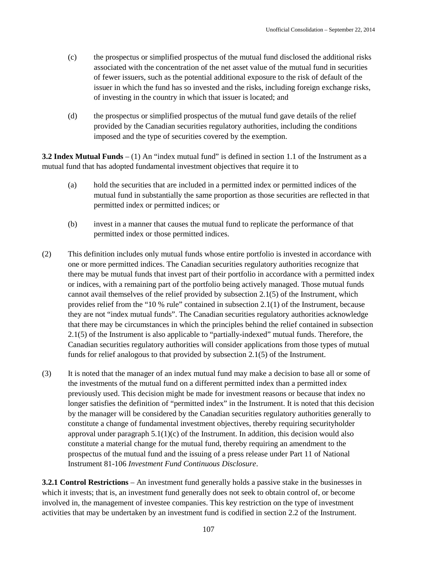- (c) the prospectus or simplified prospectus of the mutual fund disclosed the additional risks associated with the concentration of the net asset value of the mutual fund in securities of fewer issuers, such as the potential additional exposure to the risk of default of the issuer in which the fund has so invested and the risks, including foreign exchange risks, of investing in the country in which that issuer is located; and
- (d) the prospectus or simplified prospectus of the mutual fund gave details of the relief provided by the Canadian securities regulatory authorities, including the conditions imposed and the type of securities covered by the exemption.

**3.2 Index Mutual Funds** – (1) An "index mutual fund" is defined in section 1.1 of the Instrument as a mutual fund that has adopted fundamental investment objectives that require it to

- (a) hold the securities that are included in a permitted index or permitted indices of the mutual fund in substantially the same proportion as those securities are reflected in that permitted index or permitted indices; or
- (b) invest in a manner that causes the mutual fund to replicate the performance of that permitted index or those permitted indices.
- (2) This definition includes only mutual funds whose entire portfolio is invested in accordance with one or more permitted indices. The Canadian securities regulatory authorities recognize that there may be mutual funds that invest part of their portfolio in accordance with a permitted index or indices, with a remaining part of the portfolio being actively managed. Those mutual funds cannot avail themselves of the relief provided by subsection 2.1(5) of the Instrument, which provides relief from the "10 % rule" contained in subsection 2.1(1) of the Instrument, because they are not "index mutual funds". The Canadian securities regulatory authorities acknowledge that there may be circumstances in which the principles behind the relief contained in subsection 2.1(5) of the Instrument is also applicable to "partially-indexed" mutual funds. Therefore, the Canadian securities regulatory authorities will consider applications from those types of mutual funds for relief analogous to that provided by subsection 2.1(5) of the Instrument.
- (3) It is noted that the manager of an index mutual fund may make a decision to base all or some of the investments of the mutual fund on a different permitted index than a permitted index previously used. This decision might be made for investment reasons or because that index no longer satisfies the definition of "permitted index" in the Instrument. It is noted that this decision by the manager will be considered by the Canadian securities regulatory authorities generally to constitute a change of fundamental investment objectives, thereby requiring securityholder approval under paragraph  $5.1(1)(c)$  of the Instrument. In addition, this decision would also constitute a material change for the mutual fund, thereby requiring an amendment to the prospectus of the mutual fund and the issuing of a press release under Part 11 of National Instrument 81-106 *Investment Fund Continuous Disclosure*.

**3.2.1 Control Restrictions** – An investment fund generally holds a passive stake in the businesses in which it invests; that is, an investment fund generally does not seek to obtain control of, or become involved in, the management of investee companies. This key restriction on the type of investment activities that may be undertaken by an investment fund is codified in section 2.2 of the Instrument.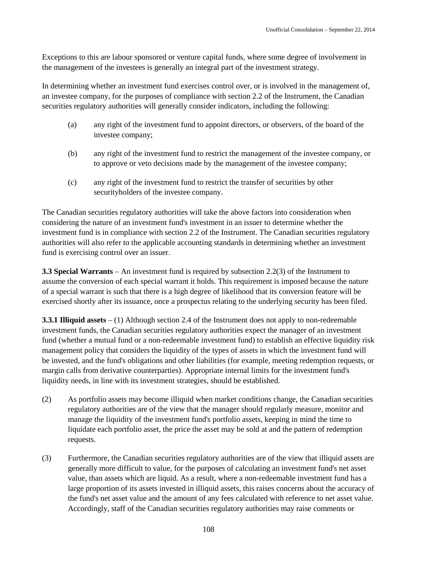Exceptions to this are labour sponsored or venture capital funds, where some degree of involvement in the management of the investees is generally an integral part of the investment strategy.

In determining whether an investment fund exercises control over, or is involved in the management of, an investee company, for the purposes of compliance with section 2.2 of the Instrument, the Canadian securities regulatory authorities will generally consider indicators, including the following:

- (a) any right of the investment fund to appoint directors, or observers, of the board of the investee company;
- (b) any right of the investment fund to restrict the management of the investee company, or to approve or veto decisions made by the management of the investee company;
- (c) any right of the investment fund to restrict the transfer of securities by other securityholders of the investee company.

The Canadian securities regulatory authorities will take the above factors into consideration when considering the nature of an investment fund's investment in an issuer to determine whether the investment fund is in compliance with section 2.2 of the Instrument. The Canadian securities regulatory authorities will also refer to the applicable accounting standards in determining whether an investment fund is exercising control over an issuer.

**3.3 Special Warrants** – An investment fund is required by subsection 2.2(3) of the Instrument to assume the conversion of each special warrant it holds. This requirement is imposed because the nature of a special warrant is such that there is a high degree of likelihood that its conversion feature will be exercised shortly after its issuance, once a prospectus relating to the underlying security has been filed.

**3.3.1 Illiquid assets** – (1) Although section 2.4 of the Instrument does not apply to non-redeemable investment funds, the Canadian securities regulatory authorities expect the manager of an investment fund (whether a mutual fund or a non-redeemable investment fund) to establish an effective liquidity risk management policy that considers the liquidity of the types of assets in which the investment fund will be invested, and the fund's obligations and other liabilities (for example, meeting redemption requests, or margin calls from derivative counterparties). Appropriate internal limits for the investment fund's liquidity needs, in line with its investment strategies, should be established.

- (2) As portfolio assets may become illiquid when market conditions change, the Canadian securities regulatory authorities are of the view that the manager should regularly measure, monitor and manage the liquidity of the investment fund's portfolio assets, keeping in mind the time to liquidate each portfolio asset, the price the asset may be sold at and the pattern of redemption requests.
- (3) Furthermore, the Canadian securities regulatory authorities are of the view that illiquid assets are generally more difficult to value, for the purposes of calculating an investment fund's net asset value, than assets which are liquid. As a result, where a non-redeemable investment fund has a large proportion of its assets invested in illiquid assets, this raises concerns about the accuracy of the fund's net asset value and the amount of any fees calculated with reference to net asset value. Accordingly, staff of the Canadian securities regulatory authorities may raise comments or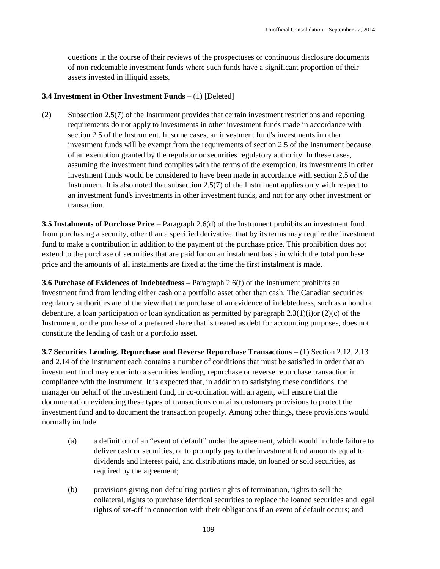questions in the course of their reviews of the prospectuses or continuous disclosure documents of non-redeemable investment funds where such funds have a significant proportion of their assets invested in illiquid assets.

#### **3.4 Investment in Other Investment Funds** – (1) [Deleted]

(2) Subsection 2.5(7) of the Instrument provides that certain investment restrictions and reporting requirements do not apply to investments in other investment funds made in accordance with section 2.5 of the Instrument. In some cases, an investment fund's investments in other investment funds will be exempt from the requirements of section 2.5 of the Instrument because of an exemption granted by the regulator or securities regulatory authority. In these cases, assuming the investment fund complies with the terms of the exemption, its investments in other investment funds would be considered to have been made in accordance with section 2.5 of the Instrument. It is also noted that subsection 2.5(7) of the Instrument applies only with respect to an investment fund's investments in other investment funds, and not for any other investment or transaction.

**3.5 Instalments of Purchase Price** – Paragraph 2.6(d) of the Instrument prohibits an investment fund from purchasing a security, other than a specified derivative, that by its terms may require the investment fund to make a contribution in addition to the payment of the purchase price. This prohibition does not extend to the purchase of securities that are paid for on an instalment basis in which the total purchase price and the amounts of all instalments are fixed at the time the first instalment is made.

**3.6 Purchase of Evidences of Indebtedness** – Paragraph 2.6(f) of the Instrument prohibits an investment fund from lending either cash or a portfolio asset other than cash. The Canadian securities regulatory authorities are of the view that the purchase of an evidence of indebtedness, such as a bond or debenture, a loan participation or loan syndication as permitted by paragraph  $2.3(1)(i)$ or (2)(c) of the Instrument, or the purchase of a preferred share that is treated as debt for accounting purposes, does not constitute the lending of cash or a portfolio asset.

**3.7 Securities Lending, Repurchase and Reverse Repurchase Transactions** – (1) Section 2.12, 2.13 and 2.14 of the Instrument each contains a number of conditions that must be satisfied in order that an investment fund may enter into a securities lending, repurchase or reverse repurchase transaction in compliance with the Instrument. It is expected that, in addition to satisfying these conditions, the manager on behalf of the investment fund, in co-ordination with an agent, will ensure that the documentation evidencing these types of transactions contains customary provisions to protect the investment fund and to document the transaction properly. Among other things, these provisions would normally include

- (a) a definition of an "event of default" under the agreement, which would include failure to deliver cash or securities, or to promptly pay to the investment fund amounts equal to dividends and interest paid, and distributions made, on loaned or sold securities, as required by the agreement;
- (b) provisions giving non-defaulting parties rights of termination, rights to sell the collateral, rights to purchase identical securities to replace the loaned securities and legal rights of set-off in connection with their obligations if an event of default occurs; and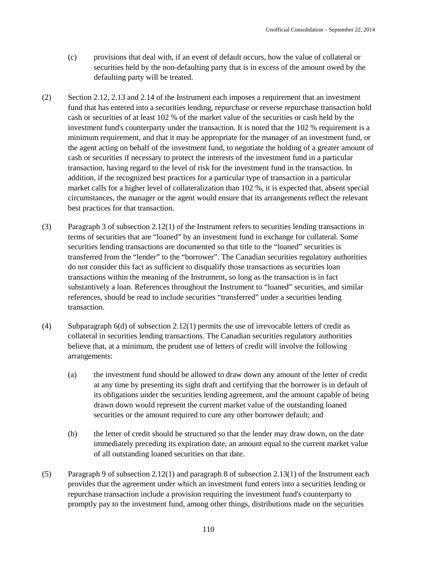- (c) provisions that deal with, if an event of default occurs, how the value of collateral or securities held by the non-defaulting party that is in excess of the amount owed by the defaulting party will be treated.
- (2) Section 2.12, 2.13 and 2.14 of the Instrument each imposes a requirement that an investment fund that has entered into a securities lending, repurchase or reverse repurchase transaction hold cash or securities of at least 102 % of the market value of the securities or cash held by the investment fund's counterparty under the transaction. It is noted that the 102 % requirement is a minimum requirement, and that it may be appropriate for the manager of an investment fund, or the agent acting on behalf of the investment fund, to negotiate the holding of a greater amount of cash or securities if necessary to protect the interests of the investment fund in a particular transaction, having regard to the level of risk for the investment fund in the transaction. In addition, if the recognized best practices for a particular type of transaction in a particular market calls for a higher level of collateralization than 102 %, it is expected that, absent special circumstances, the manager or the agent would ensure that its arrangements reflect the relevant best practices for that transaction.
- (3) Paragraph 3 of subsection 2.12(1) of the Instrument refers to securities lending transactions in terms of securities that are "loaned" by an investment fund in exchange for collateral. Some securities lending transactions are documented so that title to the "loaned" securities is transferred from the "lender" to the "borrower". The Canadian securities regulatory authorities do not consider this fact as sufficient to disqualify those transactions as securities loan transactions within the meaning of the Instrument, so long as the transaction is in fact substantively a loan. References throughout the Instrument to "loaned" securities, and similar references, should be read to include securities "transferred" under a securities lending transaction.
- (4) Subparagraph 6(d) of subsection 2.12(1) permits the use of irrevocable letters of credit as collateral in securities lending transactions. The Canadian securities regulatory authorities believe that, at a minimum, the prudent use of letters of credit will involve the following arrangements:
	- (a) the investment fund should be allowed to draw down any amount of the letter of credit at any time by presenting its sight draft and certifying that the borrower is in default of its obligations under the securities lending agreement, and the amount capable of being drawn down would represent the current market value of the outstanding loaned securities or the amount required to cure any other borrower default; and
	- (b) the letter of credit should be structured so that the lender may draw down, on the date immediately preceding its expiration date, an amount equal to the current market value of all outstanding loaned securities on that date.
- (5) Paragraph 9 of subsection 2.12(1) and paragraph 8 of subsection 2.13(1) of the Instrument each provides that the agreement under which an investment fund enters into a securities lending or repurchase transaction include a provision requiring the investment fund's counterparty to promptly pay to the investment fund, among other things, distributions made on the securities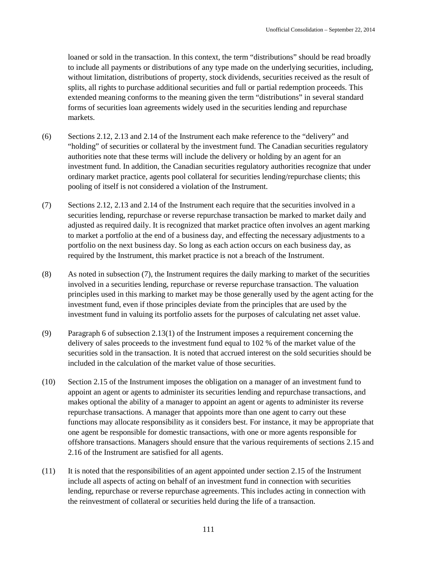loaned or sold in the transaction. In this context, the term "distributions" should be read broadly to include all payments or distributions of any type made on the underlying securities, including, without limitation, distributions of property, stock dividends, securities received as the result of splits, all rights to purchase additional securities and full or partial redemption proceeds. This extended meaning conforms to the meaning given the term "distributions" in several standard forms of securities loan agreements widely used in the securities lending and repurchase markets.

- (6) Sections 2.12, 2.13 and 2.14 of the Instrument each make reference to the "delivery" and "holding" of securities or collateral by the investment fund. The Canadian securities regulatory authorities note that these terms will include the delivery or holding by an agent for an investment fund. In addition, the Canadian securities regulatory authorities recognize that under ordinary market practice, agents pool collateral for securities lending/repurchase clients; this pooling of itself is not considered a violation of the Instrument.
- (7) Sections 2.12, 2.13 and 2.14 of the Instrument each require that the securities involved in a securities lending, repurchase or reverse repurchase transaction be marked to market daily and adjusted as required daily. It is recognized that market practice often involves an agent marking to market a portfolio at the end of a business day, and effecting the necessary adjustments to a portfolio on the next business day. So long as each action occurs on each business day, as required by the Instrument, this market practice is not a breach of the Instrument.
- (8) As noted in subsection (7), the Instrument requires the daily marking to market of the securities involved in a securities lending, repurchase or reverse repurchase transaction. The valuation principles used in this marking to market may be those generally used by the agent acting for the investment fund, even if those principles deviate from the principles that are used by the investment fund in valuing its portfolio assets for the purposes of calculating net asset value.
- (9) Paragraph 6 of subsection 2.13(1) of the Instrument imposes a requirement concerning the delivery of sales proceeds to the investment fund equal to 102 % of the market value of the securities sold in the transaction. It is noted that accrued interest on the sold securities should be included in the calculation of the market value of those securities.
- (10) Section 2.15 of the Instrument imposes the obligation on a manager of an investment fund to appoint an agent or agents to administer its securities lending and repurchase transactions, and makes optional the ability of a manager to appoint an agent or agents to administer its reverse repurchase transactions. A manager that appoints more than one agent to carry out these functions may allocate responsibility as it considers best. For instance, it may be appropriate that one agent be responsible for domestic transactions, with one or more agents responsible for offshore transactions. Managers should ensure that the various requirements of sections 2.15 and 2.16 of the Instrument are satisfied for all agents.
- (11) It is noted that the responsibilities of an agent appointed under section 2.15 of the Instrument include all aspects of acting on behalf of an investment fund in connection with securities lending, repurchase or reverse repurchase agreements. This includes acting in connection with the reinvestment of collateral or securities held during the life of a transaction.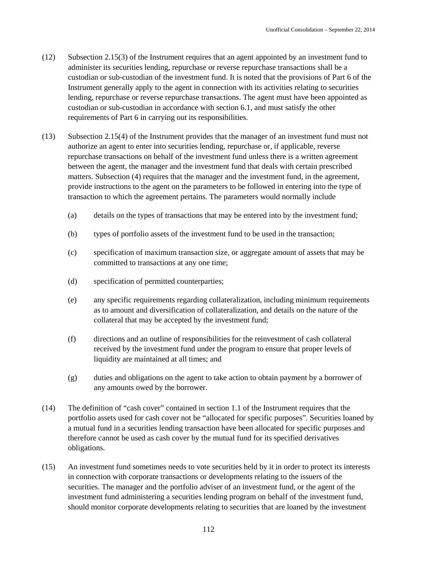- (12) Subsection 2.15(3) of the Instrument requires that an agent appointed by an investment fund to administer its securities lending, repurchase or reverse repurchase transactions shall be a custodian or sub-custodian of the investment fund. It is noted that the provisions of Part 6 of the Instrument generally apply to the agent in connection with its activities relating to securities lending, repurchase or reverse repurchase transactions. The agent must have been appointed as custodian or sub-custodian in accordance with section 6.1, and must satisfy the other requirements of Part 6 in carrying out its responsibilities.
- (13) Subsection 2.15(4) of the Instrument provides that the manager of an investment fund must not authorize an agent to enter into securities lending, repurchase or, if applicable, reverse repurchase transactions on behalf of the investment fund unless there is a written agreement between the agent, the manager and the investment fund that deals with certain prescribed matters. Subsection (4) requires that the manager and the investment fund, in the agreement, provide instructions to the agent on the parameters to be followed in entering into the type of transaction to which the agreement pertains. The parameters would normally include
	- (a) details on the types of transactions that may be entered into by the investment fund;
	- (b) types of portfolio assets of the investment fund to be used in the transaction;
	- (c) specification of maximum transaction size, or aggregate amount of assets that may be committed to transactions at any one time;
	- (d) specification of permitted counterparties;
	- (e) any specific requirements regarding collateralization, including minimum requirements as to amount and diversification of collateralization, and details on the nature of the collateral that may be accepted by the investment fund;
	- (f) directions and an outline of responsibilities for the reinvestment of cash collateral received by the investment fund under the program to ensure that proper levels of liquidity are maintained at all times; and
	- (g) duties and obligations on the agent to take action to obtain payment by a borrower of any amounts owed by the borrower.
- (14) The definition of "cash cover" contained in section 1.1 of the Instrument requires that the portfolio assets used for cash cover not be "allocated for specific purposes". Securities loaned by a mutual fund in a securities lending transaction have been allocated for specific purposes and therefore cannot be used as cash cover by the mutual fund for its specified derivatives obligations.
- (15) An investment fund sometimes needs to vote securities held by it in order to protect its interests in connection with corporate transactions or developments relating to the issuers of the securities. The manager and the portfolio adviser of an investment fund, or the agent of the investment fund administering a securities lending program on behalf of the investment fund, should monitor corporate developments relating to securities that are loaned by the investment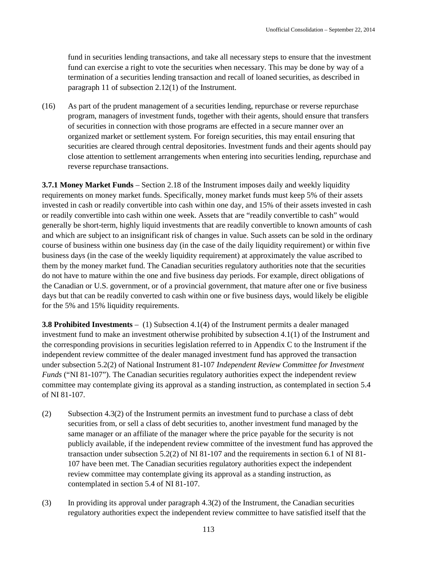fund in securities lending transactions, and take all necessary steps to ensure that the investment fund can exercise a right to vote the securities when necessary. This may be done by way of a termination of a securities lending transaction and recall of loaned securities, as described in paragraph 11 of subsection 2.12(1) of the Instrument.

(16) As part of the prudent management of a securities lending, repurchase or reverse repurchase program, managers of investment funds, together with their agents, should ensure that transfers of securities in connection with those programs are effected in a secure manner over an organized market or settlement system. For foreign securities, this may entail ensuring that securities are cleared through central depositories. Investment funds and their agents should pay close attention to settlement arrangements when entering into securities lending, repurchase and reverse repurchase transactions.

**3.7.1 Money Market Funds** – Section 2.18 of the Instrument imposes daily and weekly liquidity requirements on money market funds. Specifically, money market funds must keep 5% of their assets invested in cash or readily convertible into cash within one day, and 15% of their assets invested in cash or readily convertible into cash within one week. Assets that are "readily convertible to cash" would generally be short-term, highly liquid investments that are readily convertible to known amounts of cash and which are subject to an insignificant risk of changes in value. Such assets can be sold in the ordinary course of business within one business day (in the case of the daily liquidity requirement) or within five business days (in the case of the weekly liquidity requirement) at approximately the value ascribed to them by the money market fund. The Canadian securities regulatory authorities note that the securities do not have to mature within the one and five business day periods. For example, direct obligations of the Canadian or U.S. government, or of a provincial government, that mature after one or five business days but that can be readily converted to cash within one or five business days, would likely be eligible for the 5% and 15% liquidity requirements.

**3.8 Prohibited Investments** – (1) Subsection 4.1(4) of the Instrument permits a dealer managed investment fund to make an investment otherwise prohibited by subsection 4.1(1) of the Instrument and the corresponding provisions in securities legislation referred to in Appendix C to the Instrument if the independent review committee of the dealer managed investment fund has approved the transaction under subsection 5.2(2) of National Instrument 81-107 *Independent Review Committee for Investment Funds* ("NI 81-107"). The Canadian securities regulatory authorities expect the independent review committee may contemplate giving its approval as a standing instruction, as contemplated in section 5.4 of NI 81-107.

- (2) Subsection 4.3(2) of the Instrument permits an investment fund to purchase a class of debt securities from, or sell a class of debt securities to, another investment fund managed by the same manager or an affiliate of the manager where the price payable for the security is not publicly available, if the independent review committee of the investment fund has approved the transaction under subsection 5.2(2) of NI 81-107 and the requirements in section 6.1 of NI 81- 107 have been met. The Canadian securities regulatory authorities expect the independent review committee may contemplate giving its approval as a standing instruction, as contemplated in section 5.4 of NI 81-107.
- (3) In providing its approval under paragraph 4.3(2) of the Instrument, the Canadian securities regulatory authorities expect the independent review committee to have satisfied itself that the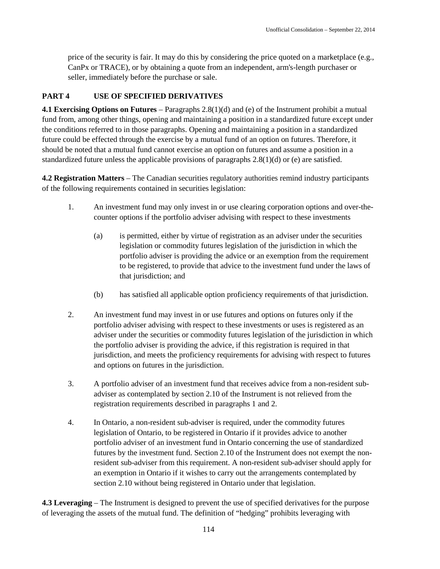price of the security is fair. It may do this by considering the price quoted on a marketplace (e.g., CanPx or TRACE), or by obtaining a quote from an independent, arm's-length purchaser or seller, immediately before the purchase or sale.

#### **PART 4 USE OF SPECIFIED DERIVATIVES**

**4.1 Exercising Options on Futures** – Paragraphs 2.8(1)(d) and (e) of the Instrument prohibit a mutual fund from, among other things, opening and maintaining a position in a standardized future except under the conditions referred to in those paragraphs. Opening and maintaining a position in a standardized future could be effected through the exercise by a mutual fund of an option on futures. Therefore, it should be noted that a mutual fund cannot exercise an option on futures and assume a position in a standardized future unless the applicable provisions of paragraphs  $2.8(1)(d)$  or (e) are satisfied.

**4.2 Registration Matters** – The Canadian securities regulatory authorities remind industry participants of the following requirements contained in securities legislation:

- 1. An investment fund may only invest in or use clearing corporation options and over-thecounter options if the portfolio adviser advising with respect to these investments
	- (a) is permitted, either by virtue of registration as an adviser under the securities legislation or commodity futures legislation of the jurisdiction in which the portfolio adviser is providing the advice or an exemption from the requirement to be registered, to provide that advice to the investment fund under the laws of that jurisdiction; and
	- (b) has satisfied all applicable option proficiency requirements of that jurisdiction.
- 2. An investment fund may invest in or use futures and options on futures only if the portfolio adviser advising with respect to these investments or uses is registered as an adviser under the securities or commodity futures legislation of the jurisdiction in which the portfolio adviser is providing the advice, if this registration is required in that jurisdiction, and meets the proficiency requirements for advising with respect to futures and options on futures in the jurisdiction.
- 3. A portfolio adviser of an investment fund that receives advice from a non-resident subadviser as contemplated by section 2.10 of the Instrument is not relieved from the registration requirements described in paragraphs 1 and 2.
- 4. In Ontario, a non-resident sub-adviser is required, under the commodity futures legislation of Ontario, to be registered in Ontario if it provides advice to another portfolio adviser of an investment fund in Ontario concerning the use of standardized futures by the investment fund. Section 2.10 of the Instrument does not exempt the nonresident sub-adviser from this requirement. A non-resident sub-adviser should apply for an exemption in Ontario if it wishes to carry out the arrangements contemplated by section 2.10 without being registered in Ontario under that legislation.

**4.3 Leveraging** – The Instrument is designed to prevent the use of specified derivatives for the purpose of leveraging the assets of the mutual fund. The definition of "hedging" prohibits leveraging with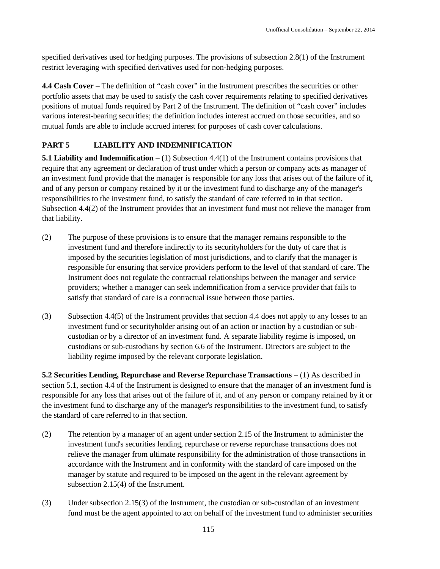specified derivatives used for hedging purposes. The provisions of subsection 2.8(1) of the Instrument restrict leveraging with specified derivatives used for non-hedging purposes.

**4.4 Cash Cover** – The definition of "cash cover" in the Instrument prescribes the securities or other portfolio assets that may be used to satisfy the cash cover requirements relating to specified derivatives positions of mutual funds required by Part 2 of the Instrument. The definition of "cash cover" includes various interest-bearing securities; the definition includes interest accrued on those securities, and so mutual funds are able to include accrued interest for purposes of cash cover calculations.

# **PART 5 LIABILITY AND INDEMNIFICATION**

**5.1 Liability and Indemnification** – (1) Subsection 4.4(1) of the Instrument contains provisions that require that any agreement or declaration of trust under which a person or company acts as manager of an investment fund provide that the manager is responsible for any loss that arises out of the failure of it, and of any person or company retained by it or the investment fund to discharge any of the manager's responsibilities to the investment fund, to satisfy the standard of care referred to in that section. Subsection 4.4(2) of the Instrument provides that an investment fund must not relieve the manager from that liability.

- (2) The purpose of these provisions is to ensure that the manager remains responsible to the investment fund and therefore indirectly to its securityholders for the duty of care that is imposed by the securities legislation of most jurisdictions, and to clarify that the manager is responsible for ensuring that service providers perform to the level of that standard of care. The Instrument does not regulate the contractual relationships between the manager and service providers; whether a manager can seek indemnification from a service provider that fails to satisfy that standard of care is a contractual issue between those parties.
- (3) Subsection 4.4(5) of the Instrument provides that section 4.4 does not apply to any losses to an investment fund or securityholder arising out of an action or inaction by a custodian or subcustodian or by a director of an investment fund. A separate liability regime is imposed, on custodians or sub-custodians by section 6.6 of the Instrument. Directors are subject to the liability regime imposed by the relevant corporate legislation.

**5.2 Securities Lending, Repurchase and Reverse Repurchase Transactions** – (1) As described in section 5.1, section 4.4 of the Instrument is designed to ensure that the manager of an investment fund is responsible for any loss that arises out of the failure of it, and of any person or company retained by it or the investment fund to discharge any of the manager's responsibilities to the investment fund, to satisfy the standard of care referred to in that section.

- (2) The retention by a manager of an agent under section 2.15 of the Instrument to administer the investment fund's securities lending, repurchase or reverse repurchase transactions does not relieve the manager from ultimate responsibility for the administration of those transactions in accordance with the Instrument and in conformity with the standard of care imposed on the manager by statute and required to be imposed on the agent in the relevant agreement by subsection 2.15(4) of the Instrument.
- (3) Under subsection 2.15(3) of the Instrument, the custodian or sub-custodian of an investment fund must be the agent appointed to act on behalf of the investment fund to administer securities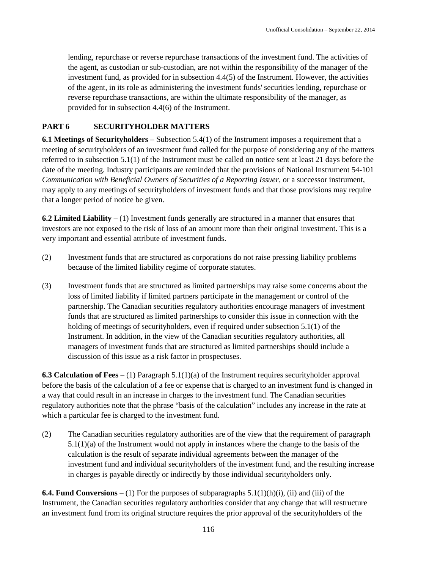lending, repurchase or reverse repurchase transactions of the investment fund. The activities of the agent, as custodian or sub-custodian, are not within the responsibility of the manager of the investment fund, as provided for in subsection 4.4(5) of the Instrument. However, the activities of the agent, in its role as administering the investment funds' securities lending, repurchase or reverse repurchase transactions, are within the ultimate responsibility of the manager, as provided for in subsection 4.4(6) of the Instrument.

## **PART 6 SECURITYHOLDER MATTERS**

**6.1 Meetings of Securityholders** – Subsection 5.4(1) of the Instrument imposes a requirement that a meeting of securityholders of an investment fund called for the purpose of considering any of the matters referred to in subsection 5.1(1) of the Instrument must be called on notice sent at least 21 days before the date of the meeting. Industry participants are reminded that the provisions of National Instrument 54-101 *Communication with Beneficial Owners of Securities of a Reporting Issuer*, or a successor instrument, may apply to any meetings of securityholders of investment funds and that those provisions may require that a longer period of notice be given.

**6.2 Limited Liability** – (1) Investment funds generally are structured in a manner that ensures that investors are not exposed to the risk of loss of an amount more than their original investment. This is a very important and essential attribute of investment funds.

- (2) Investment funds that are structured as corporations do not raise pressing liability problems because of the limited liability regime of corporate statutes.
- (3) Investment funds that are structured as limited partnerships may raise some concerns about the loss of limited liability if limited partners participate in the management or control of the partnership. The Canadian securities regulatory authorities encourage managers of investment funds that are structured as limited partnerships to consider this issue in connection with the holding of meetings of securityholders, even if required under subsection 5.1(1) of the Instrument. In addition, in the view of the Canadian securities regulatory authorities, all managers of investment funds that are structured as limited partnerships should include a discussion of this issue as a risk factor in prospectuses.

**6.3 Calculation of Fees** – (1) Paragraph 5.1(1)(a) of the Instrument requires securityholder approval before the basis of the calculation of a fee or expense that is charged to an investment fund is changed in a way that could result in an increase in charges to the investment fund. The Canadian securities regulatory authorities note that the phrase "basis of the calculation" includes any increase in the rate at which a particular fee is charged to the investment fund.

(2) The Canadian securities regulatory authorities are of the view that the requirement of paragraph 5.1(1)(a) of the Instrument would not apply in instances where the change to the basis of the calculation is the result of separate individual agreements between the manager of the investment fund and individual securityholders of the investment fund, and the resulting increase in charges is payable directly or indirectly by those individual securityholders only.

**6.4. Fund Conversions** – (1) For the purposes of subparagraphs 5.1(1)(h)(i), (ii) and (iii) of the Instrument, the Canadian securities regulatory authorities consider that any change that will restructure an investment fund from its original structure requires the prior approval of the securityholders of the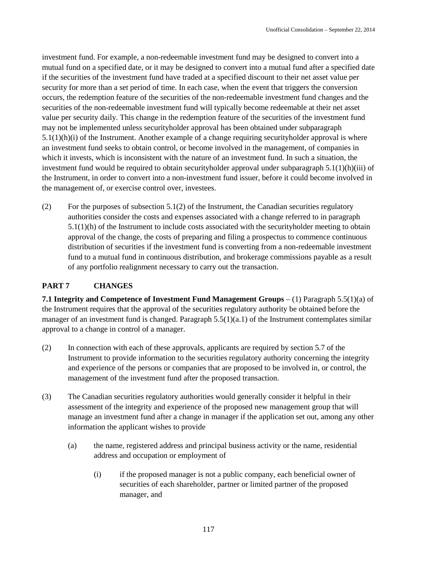investment fund. For example, a non-redeemable investment fund may be designed to convert into a mutual fund on a specified date, or it may be designed to convert into a mutual fund after a specified date if the securities of the investment fund have traded at a specified discount to their net asset value per security for more than a set period of time. In each case, when the event that triggers the conversion occurs, the redemption feature of the securities of the non-redeemable investment fund changes and the securities of the non-redeemable investment fund will typically become redeemable at their net asset value per security daily. This change in the redemption feature of the securities of the investment fund may not be implemented unless securityholder approval has been obtained under subparagraph  $5.1(1)(h)(i)$  of the Instrument. Another example of a change requiring securityholder approval is where an investment fund seeks to obtain control, or become involved in the management, of companies in which it invests, which is inconsistent with the nature of an investment fund. In such a situation, the investment fund would be required to obtain securityholder approval under subparagraph 5.1(1)(h)(iii) of the Instrument, in order to convert into a non-investment fund issuer, before it could become involved in the management of, or exercise control over, investees.

(2) For the purposes of subsection  $5.1(2)$  of the Instrument, the Canadian securities regulatory authorities consider the costs and expenses associated with a change referred to in paragraph 5.1(1)(h) of the Instrument to include costs associated with the securityholder meeting to obtain approval of the change, the costs of preparing and filing a prospectus to commence continuous distribution of securities if the investment fund is converting from a non-redeemable investment fund to a mutual fund in continuous distribution, and brokerage commissions payable as a result of any portfolio realignment necessary to carry out the transaction.

#### **PART 7 CHANGES**

**7.1 Integrity and Competence of Investment Fund Management Groups** – (1) Paragraph 5.5(1)(a) of the Instrument requires that the approval of the securities regulatory authority be obtained before the manager of an investment fund is changed. Paragraph  $5.5(1)(a.1)$  of the Instrument contemplates similar approval to a change in control of a manager.

- (2) In connection with each of these approvals, applicants are required by section 5.7 of the Instrument to provide information to the securities regulatory authority concerning the integrity and experience of the persons or companies that are proposed to be involved in, or control, the management of the investment fund after the proposed transaction.
- (3) The Canadian securities regulatory authorities would generally consider it helpful in their assessment of the integrity and experience of the proposed new management group that will manage an investment fund after a change in manager if the application set out, among any other information the applicant wishes to provide
	- (a) the name, registered address and principal business activity or the name, residential address and occupation or employment of
		- (i) if the proposed manager is not a public company, each beneficial owner of securities of each shareholder, partner or limited partner of the proposed manager, and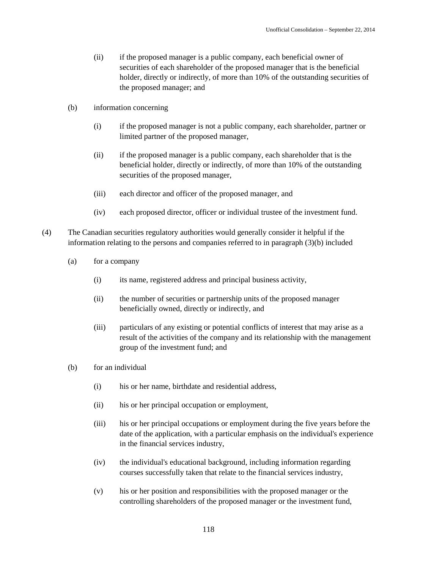- (ii) if the proposed manager is a public company, each beneficial owner of securities of each shareholder of the proposed manager that is the beneficial holder, directly or indirectly, of more than 10% of the outstanding securities of the proposed manager; and
- (b) information concerning
	- (i) if the proposed manager is not a public company, each shareholder, partner or limited partner of the proposed manager,
	- (ii) if the proposed manager is a public company, each shareholder that is the beneficial holder, directly or indirectly, of more than 10% of the outstanding securities of the proposed manager,
	- (iii) each director and officer of the proposed manager, and
	- (iv) each proposed director, officer or individual trustee of the investment fund.
- (4) The Canadian securities regulatory authorities would generally consider it helpful if the information relating to the persons and companies referred to in paragraph (3)(b) included
	- (a) for a company
		- (i) its name, registered address and principal business activity,
		- (ii) the number of securities or partnership units of the proposed manager beneficially owned, directly or indirectly, and
		- (iii) particulars of any existing or potential conflicts of interest that may arise as a result of the activities of the company and its relationship with the management group of the investment fund; and
	- (b) for an individual
		- (i) his or her name, birthdate and residential address,
		- (ii) his or her principal occupation or employment,
		- (iii) his or her principal occupations or employment during the five years before the date of the application, with a particular emphasis on the individual's experience in the financial services industry,
		- (iv) the individual's educational background, including information regarding courses successfully taken that relate to the financial services industry,
		- (v) his or her position and responsibilities with the proposed manager or the controlling shareholders of the proposed manager or the investment fund,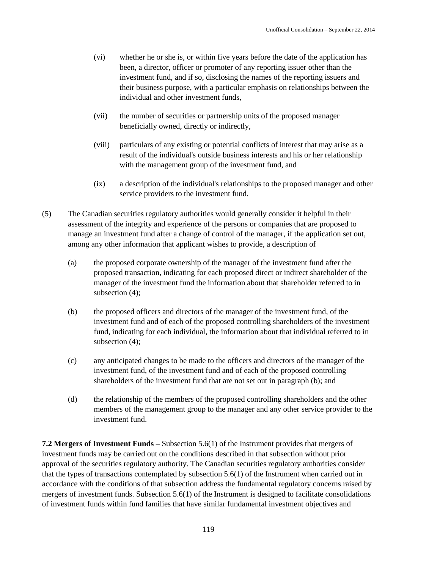- (vi) whether he or she is, or within five years before the date of the application has been, a director, officer or promoter of any reporting issuer other than the investment fund, and if so, disclosing the names of the reporting issuers and their business purpose, with a particular emphasis on relationships between the individual and other investment funds,
- (vii) the number of securities or partnership units of the proposed manager beneficially owned, directly or indirectly,
- (viii) particulars of any existing or potential conflicts of interest that may arise as a result of the individual's outside business interests and his or her relationship with the management group of the investment fund, and
- (ix) a description of the individual's relationships to the proposed manager and other service providers to the investment fund.
- (5) The Canadian securities regulatory authorities would generally consider it helpful in their assessment of the integrity and experience of the persons or companies that are proposed to manage an investment fund after a change of control of the manager, if the application set out, among any other information that applicant wishes to provide, a description of
	- (a) the proposed corporate ownership of the manager of the investment fund after the proposed transaction, indicating for each proposed direct or indirect shareholder of the manager of the investment fund the information about that shareholder referred to in subsection (4):
	- (b) the proposed officers and directors of the manager of the investment fund, of the investment fund and of each of the proposed controlling shareholders of the investment fund, indicating for each individual, the information about that individual referred to in subsection (4);
	- (c) any anticipated changes to be made to the officers and directors of the manager of the investment fund, of the investment fund and of each of the proposed controlling shareholders of the investment fund that are not set out in paragraph (b); and
	- (d) the relationship of the members of the proposed controlling shareholders and the other members of the management group to the manager and any other service provider to the investment fund.

**7.2 Mergers of Investment Funds** – Subsection 5.6(1) of the Instrument provides that mergers of investment funds may be carried out on the conditions described in that subsection without prior approval of the securities regulatory authority. The Canadian securities regulatory authorities consider that the types of transactions contemplated by subsection 5.6(1) of the Instrument when carried out in accordance with the conditions of that subsection address the fundamental regulatory concerns raised by mergers of investment funds. Subsection 5.6(1) of the Instrument is designed to facilitate consolidations of investment funds within fund families that have similar fundamental investment objectives and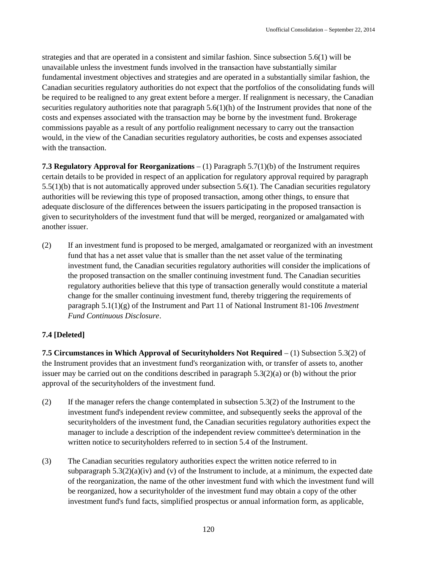strategies and that are operated in a consistent and similar fashion. Since subsection 5.6(1) will be unavailable unless the investment funds involved in the transaction have substantially similar fundamental investment objectives and strategies and are operated in a substantially similar fashion, the Canadian securities regulatory authorities do not expect that the portfolios of the consolidating funds will be required to be realigned to any great extent before a merger. If realignment is necessary, the Canadian securities regulatory authorities note that paragraph  $5.6(1)(h)$  of the Instrument provides that none of the costs and expenses associated with the transaction may be borne by the investment fund. Brokerage commissions payable as a result of any portfolio realignment necessary to carry out the transaction would, in the view of the Canadian securities regulatory authorities, be costs and expenses associated with the transaction.

**7.3 Regulatory Approval for Reorganizations** – (1) Paragraph 5.7(1)(b) of the Instrument requires certain details to be provided in respect of an application for regulatory approval required by paragraph 5.5(1)(b) that is not automatically approved under subsection 5.6(1). The Canadian securities regulatory authorities will be reviewing this type of proposed transaction, among other things, to ensure that adequate disclosure of the differences between the issuers participating in the proposed transaction is given to securityholders of the investment fund that will be merged, reorganized or amalgamated with another issuer.

(2) If an investment fund is proposed to be merged, amalgamated or reorganized with an investment fund that has a net asset value that is smaller than the net asset value of the terminating investment fund, the Canadian securities regulatory authorities will consider the implications of the proposed transaction on the smaller continuing investment fund. The Canadian securities regulatory authorities believe that this type of transaction generally would constitute a material change for the smaller continuing investment fund, thereby triggering the requirements of paragraph 5.1(1)(g) of the Instrument and Part 11 of National Instrument 81-106 *Investment Fund Continuous Disclosure*.

# **7.4 [Deleted]**

**7.5 Circumstances in Which Approval of Securityholders Not Required** – (1) Subsection 5.3(2) of the Instrument provides that an investment fund's reorganization with, or transfer of assets to, another issuer may be carried out on the conditions described in paragraph 5.3(2)(a) or (b) without the prior approval of the securityholders of the investment fund.

- (2) If the manager refers the change contemplated in subsection 5.3(2) of the Instrument to the investment fund's independent review committee, and subsequently seeks the approval of the securityholders of the investment fund, the Canadian securities regulatory authorities expect the manager to include a description of the independent review committee's determination in the written notice to securityholders referred to in section 5.4 of the Instrument.
- (3) The Canadian securities regulatory authorities expect the written notice referred to in subparagraph  $5.3(2)(a)(iv)$  and (v) of the Instrument to include, at a minimum, the expected date of the reorganization, the name of the other investment fund with which the investment fund will be reorganized, how a securityholder of the investment fund may obtain a copy of the other investment fund's fund facts, simplified prospectus or annual information form, as applicable,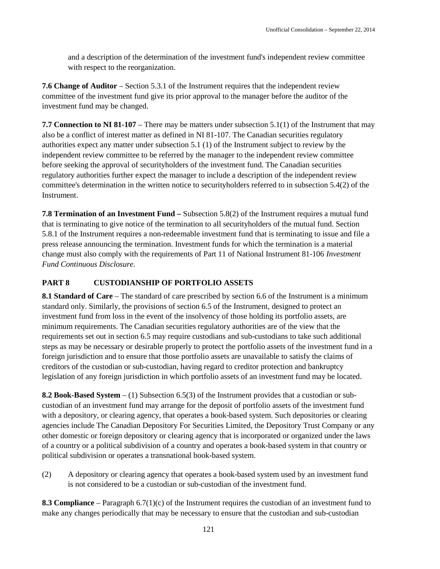and a description of the determination of the investment fund's independent review committee with respect to the reorganization.

**7.6 Change of Auditor** – Section 5.3.1 of the Instrument requires that the independent review committee of the investment fund give its prior approval to the manager before the auditor of the investment fund may be changed.

**7.7 Connection to NI 81-107** – There may be matters under subsection 5.1(1) of the Instrument that may also be a conflict of interest matter as defined in NI 81-107. The Canadian securities regulatory authorities expect any matter under subsection 5.1 (1) of the Instrument subject to review by the independent review committee to be referred by the manager to the independent review committee before seeking the approval of securityholders of the investment fund. The Canadian securities regulatory authorities further expect the manager to include a description of the independent review committee's determination in the written notice to securityholders referred to in subsection 5.4(2) of the Instrument.

**7.8 Termination of an Investment Fund –** Subsection 5.8(2) of the Instrument requires a mutual fund that is terminating to give notice of the termination to all securityholders of the mutual fund. Section 5.8.1 of the Instrument requires a non-redeemable investment fund that is terminating to issue and file a press release announcing the termination. Investment funds for which the termination is a material change must also comply with the requirements of Part 11 of National Instrument 81-106 *Investment Fund Continuous Disclosure.*

## **PART 8 CUSTODIANSHIP OF PORTFOLIO ASSETS**

**8.1 Standard of Care** – The standard of care prescribed by section 6.6 of the Instrument is a minimum standard only. Similarly, the provisions of section 6.5 of the Instrument, designed to protect an investment fund from loss in the event of the insolvency of those holding its portfolio assets, are minimum requirements. The Canadian securities regulatory authorities are of the view that the requirements set out in section 6.5 may require custodians and sub-custodians to take such additional steps as may be necessary or desirable properly to protect the portfolio assets of the investment fund in a foreign jurisdiction and to ensure that those portfolio assets are unavailable to satisfy the claims of creditors of the custodian or sub-custodian, having regard to creditor protection and bankruptcy legislation of any foreign jurisdiction in which portfolio assets of an investment fund may be located.

**8.2 Book-Based System** – (1) Subsection 6.5(3) of the Instrument provides that a custodian or subcustodian of an investment fund may arrange for the deposit of portfolio assets of the investment fund with a depository, or clearing agency, that operates a book-based system. Such depositories or clearing agencies include The Canadian Depository For Securities Limited, the Depository Trust Company or any other domestic or foreign depository or clearing agency that is incorporated or organized under the laws of a country or a political subdivision of a country and operates a book-based system in that country or political subdivision or operates a transnational book-based system.

(2) A depository or clearing agency that operates a book-based system used by an investment fund is not considered to be a custodian or sub-custodian of the investment fund.

**8.3 Compliance** – Paragraph 6.7(1)(c) of the Instrument requires the custodian of an investment fund to make any changes periodically that may be necessary to ensure that the custodian and sub-custodian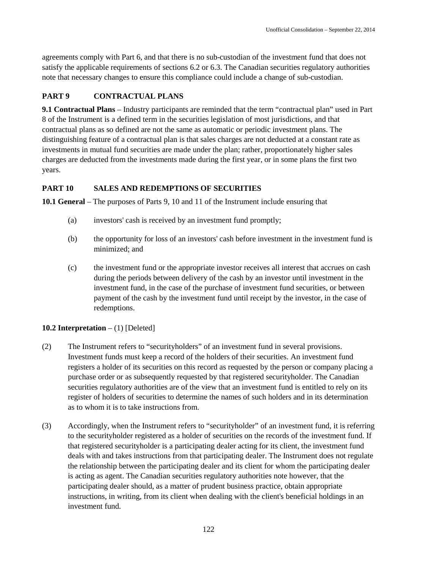agreements comply with Part 6, and that there is no sub-custodian of the investment fund that does not satisfy the applicable requirements of sections 6.2 or 6.3. The Canadian securities regulatory authorities note that necessary changes to ensure this compliance could include a change of sub-custodian.

## **PART 9 CONTRACTUAL PLANS**

**9.1 Contractual Plans** – Industry participants are reminded that the term "contractual plan" used in Part 8 of the Instrument is a defined term in the securities legislation of most jurisdictions, and that contractual plans as so defined are not the same as automatic or periodic investment plans. The distinguishing feature of a contractual plan is that sales charges are not deducted at a constant rate as investments in mutual fund securities are made under the plan; rather, proportionately higher sales charges are deducted from the investments made during the first year, or in some plans the first two years.

## **PART 10 SALES AND REDEMPTIONS OF SECURITIES**

**10.1 General** – The purposes of Parts 9, 10 and 11 of the Instrument include ensuring that

- (a) investors' cash is received by an investment fund promptly;
- (b) the opportunity for loss of an investors' cash before investment in the investment fund is minimized; and
- (c) the investment fund or the appropriate investor receives all interest that accrues on cash during the periods between delivery of the cash by an investor until investment in the investment fund, in the case of the purchase of investment fund securities, or between payment of the cash by the investment fund until receipt by the investor, in the case of redemptions.

## **10.2 Interpretation** – (1) [Deleted]

- (2) The Instrument refers to "securityholders" of an investment fund in several provisions. Investment funds must keep a record of the holders of their securities. An investment fund registers a holder of its securities on this record as requested by the person or company placing a purchase order or as subsequently requested by that registered securityholder. The Canadian securities regulatory authorities are of the view that an investment fund is entitled to rely on its register of holders of securities to determine the names of such holders and in its determination as to whom it is to take instructions from.
- (3) Accordingly, when the Instrument refers to "securityholder" of an investment fund, it is referring to the securityholder registered as a holder of securities on the records of the investment fund. If that registered securityholder is a participating dealer acting for its client, the investment fund deals with and takes instructions from that participating dealer. The Instrument does not regulate the relationship between the participating dealer and its client for whom the participating dealer is acting as agent. The Canadian securities regulatory authorities note however, that the participating dealer should, as a matter of prudent business practice, obtain appropriate instructions, in writing, from its client when dealing with the client's beneficial holdings in an investment fund.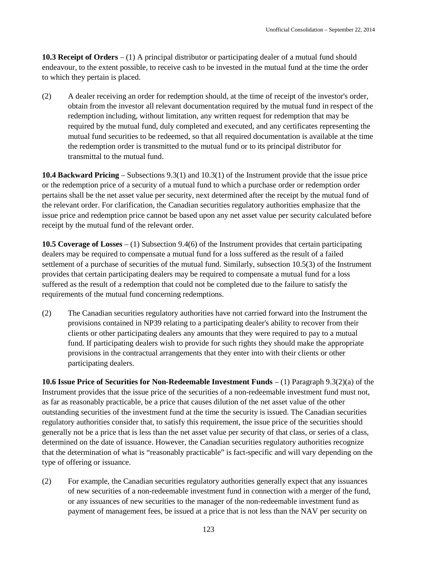**10.3 Receipt of Orders** – (1) A principal distributor or participating dealer of a mutual fund should endeavour, to the extent possible, to receive cash to be invested in the mutual fund at the time the order to which they pertain is placed.

(2) A dealer receiving an order for redemption should, at the time of receipt of the investor's order, obtain from the investor all relevant documentation required by the mutual fund in respect of the redemption including, without limitation, any written request for redemption that may be required by the mutual fund, duly completed and executed, and any certificates representing the mutual fund securities to be redeemed, so that all required documentation is available at the time the redemption order is transmitted to the mutual fund or to its principal distributor for transmittal to the mutual fund.

**10.4 Backward Pricing** – Subsections 9.3(1) and 10.3(1) of the Instrument provide that the issue price or the redemption price of a security of a mutual fund to which a purchase order or redemption order pertains shall be the net asset value per security, next determined after the receipt by the mutual fund of the relevant order. For clarification, the Canadian securities regulatory authorities emphasize that the issue price and redemption price cannot be based upon any net asset value per security calculated before receipt by the mutual fund of the relevant order.

**10.5 Coverage of Losses** – (1) Subsection 9.4(6) of the Instrument provides that certain participating dealers may be required to compensate a mutual fund for a loss suffered as the result of a failed settlement of a purchase of securities of the mutual fund. Similarly, subsection 10.5(3) of the Instrument provides that certain participating dealers may be required to compensate a mutual fund for a loss suffered as the result of a redemption that could not be completed due to the failure to satisfy the requirements of the mutual fund concerning redemptions.

(2) The Canadian securities regulatory authorities have not carried forward into the Instrument the provisions contained in NP39 relating to a participating dealer's ability to recover from their clients or other participating dealers any amounts that they were required to pay to a mutual fund. If participating dealers wish to provide for such rights they should make the appropriate provisions in the contractual arrangements that they enter into with their clients or other participating dealers.

**10.6 Issue Price of Securities for Non-Redeemable Investment Funds** – (1) Paragraph 9.3(2)(a) of the Instrument provides that the issue price of the securities of a non-redeemable investment fund must not, as far as reasonably practicable, be a price that causes dilution of the net asset value of the other outstanding securities of the investment fund at the time the security is issued. The Canadian securities regulatory authorities consider that, to satisfy this requirement, the issue price of the securities should generally not be a price that is less than the net asset value per security of that class, or series of a class, determined on the date of issuance. However, the Canadian securities regulatory authorities recognize that the determination of what is "reasonably practicable" is fact-specific and will vary depending on the type of offering or issuance.

(2) For example, the Canadian securities regulatory authorities generally expect that any issuances of new securities of a non-redeemable investment fund in connection with a merger of the fund, or any issuances of new securities to the manager of the non-redeemable investment fund as payment of management fees, be issued at a price that is not less than the NAV per security on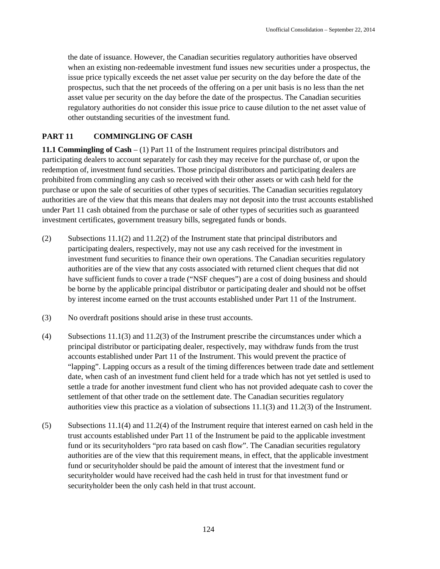the date of issuance. However, the Canadian securities regulatory authorities have observed when an existing non-redeemable investment fund issues new securities under a prospectus, the issue price typically exceeds the net asset value per security on the day before the date of the prospectus, such that the net proceeds of the offering on a per unit basis is no less than the net asset value per security on the day before the date of the prospectus. The Canadian securities regulatory authorities do not consider this issue price to cause dilution to the net asset value of other outstanding securities of the investment fund.

#### **PART 11 COMMINGLING OF CASH**

**11.1 Commingling of Cash** – (1) Part 11 of the Instrument requires principal distributors and participating dealers to account separately for cash they may receive for the purchase of, or upon the redemption of, investment fund securities. Those principal distributors and participating dealers are prohibited from commingling any cash so received with their other assets or with cash held for the purchase or upon the sale of securities of other types of securities. The Canadian securities regulatory authorities are of the view that this means that dealers may not deposit into the trust accounts established under Part 11 cash obtained from the purchase or sale of other types of securities such as guaranteed investment certificates, government treasury bills, segregated funds or bonds.

- (2) Subsections 11.1(2) and 11.2(2) of the Instrument state that principal distributors and participating dealers, respectively, may not use any cash received for the investment in investment fund securities to finance their own operations. The Canadian securities regulatory authorities are of the view that any costs associated with returned client cheques that did not have sufficient funds to cover a trade ("NSF cheques") are a cost of doing business and should be borne by the applicable principal distributor or participating dealer and should not be offset by interest income earned on the trust accounts established under Part 11 of the Instrument.
- (3) No overdraft positions should arise in these trust accounts.
- (4) Subsections 11.1(3) and 11.2(3) of the Instrument prescribe the circumstances under which a principal distributor or participating dealer, respectively, may withdraw funds from the trust accounts established under Part 11 of the Instrument. This would prevent the practice of "lapping". Lapping occurs as a result of the timing differences between trade date and settlement date, when cash of an investment fund client held for a trade which has not yet settled is used to settle a trade for another investment fund client who has not provided adequate cash to cover the settlement of that other trade on the settlement date. The Canadian securities regulatory authorities view this practice as a violation of subsections 11.1(3) and 11.2(3) of the Instrument.
- (5) Subsections 11.1(4) and 11.2(4) of the Instrument require that interest earned on cash held in the trust accounts established under Part 11 of the Instrument be paid to the applicable investment fund or its securityholders "pro rata based on cash flow". The Canadian securities regulatory authorities are of the view that this requirement means, in effect, that the applicable investment fund or securityholder should be paid the amount of interest that the investment fund or securityholder would have received had the cash held in trust for that investment fund or securityholder been the only cash held in that trust account.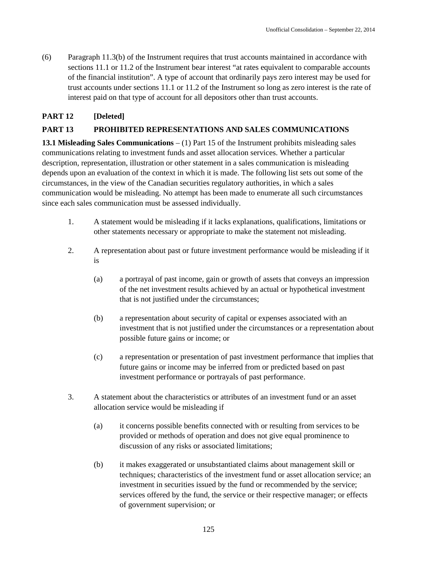(6) Paragraph 11.3(b) of the Instrument requires that trust accounts maintained in accordance with sections 11.1 or 11.2 of the Instrument bear interest "at rates equivalent to comparable accounts of the financial institution". A type of account that ordinarily pays zero interest may be used for trust accounts under sections 11.1 or 11.2 of the Instrument so long as zero interest is the rate of interest paid on that type of account for all depositors other than trust accounts.

#### **PART 12 [Deleted]**

#### **PART 13 PROHIBITED REPRESENTATIONS AND SALES COMMUNICATIONS**

**13.1 Misleading Sales Communications** – (1) Part 15 of the Instrument prohibits misleading sales communications relating to investment funds and asset allocation services. Whether a particular description, representation, illustration or other statement in a sales communication is misleading depends upon an evaluation of the context in which it is made. The following list sets out some of the circumstances, in the view of the Canadian securities regulatory authorities, in which a sales communication would be misleading. No attempt has been made to enumerate all such circumstances since each sales communication must be assessed individually.

- 1. A statement would be misleading if it lacks explanations, qualifications, limitations or other statements necessary or appropriate to make the statement not misleading.
- 2. A representation about past or future investment performance would be misleading if it is
	- (a) a portrayal of past income, gain or growth of assets that conveys an impression of the net investment results achieved by an actual or hypothetical investment that is not justified under the circumstances;
	- (b) a representation about security of capital or expenses associated with an investment that is not justified under the circumstances or a representation about possible future gains or income; or
	- (c) a representation or presentation of past investment performance that implies that future gains or income may be inferred from or predicted based on past investment performance or portrayals of past performance.
- 3. A statement about the characteristics or attributes of an investment fund or an asset allocation service would be misleading if
	- (a) it concerns possible benefits connected with or resulting from services to be provided or methods of operation and does not give equal prominence to discussion of any risks or associated limitations;
	- (b) it makes exaggerated or unsubstantiated claims about management skill or techniques; characteristics of the investment fund or asset allocation service; an investment in securities issued by the fund or recommended by the service; services offered by the fund, the service or their respective manager; or effects of government supervision; or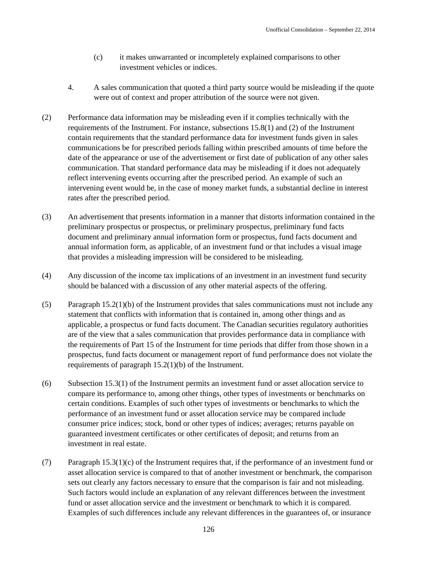- (c) it makes unwarranted or incompletely explained comparisons to other investment vehicles or indices.
- 4. A sales communication that quoted a third party source would be misleading if the quote were out of context and proper attribution of the source were not given.
- (2) Performance data information may be misleading even if it complies technically with the requirements of the Instrument. For instance, subsections 15.8(1) and (2) of the Instrument contain requirements that the standard performance data for investment funds given in sales communications be for prescribed periods falling within prescribed amounts of time before the date of the appearance or use of the advertisement or first date of publication of any other sales communication. That standard performance data may be misleading if it does not adequately reflect intervening events occurring after the prescribed period. An example of such an intervening event would be, in the case of money market funds, a substantial decline in interest rates after the prescribed period.
- (3) An advertisement that presents information in a manner that distorts information contained in the preliminary prospectus or prospectus, or preliminary prospectus, preliminary fund facts document and preliminary annual information form or prospectus, fund facts document and annual information form, as applicable, of an investment fund or that includes a visual image that provides a misleading impression will be considered to be misleading.
- (4) Any discussion of the income tax implications of an investment in an investment fund security should be balanced with a discussion of any other material aspects of the offering.
- (5) Paragraph 15.2(1)(b) of the Instrument provides that sales communications must not include any statement that conflicts with information that is contained in, among other things and as applicable, a prospectus or fund facts document. The Canadian securities regulatory authorities are of the view that a sales communication that provides performance data in compliance with the requirements of Part 15 of the Instrument for time periods that differ from those shown in a prospectus, fund facts document or management report of fund performance does not violate the requirements of paragraph 15.2(1)(b) of the Instrument.
- (6) Subsection 15.3(1) of the Instrument permits an investment fund or asset allocation service to compare its performance to, among other things, other types of investments or benchmarks on certain conditions. Examples of such other types of investments or benchmarks to which the performance of an investment fund or asset allocation service may be compared include consumer price indices; stock, bond or other types of indices; averages; returns payable on guaranteed investment certificates or other certificates of deposit; and returns from an investment in real estate.
- (7) Paragraph 15.3(1)(c) of the Instrument requires that, if the performance of an investment fund or asset allocation service is compared to that of another investment or benchmark, the comparison sets out clearly any factors necessary to ensure that the comparison is fair and not misleading. Such factors would include an explanation of any relevant differences between the investment fund or asset allocation service and the investment or benchmark to which it is compared. Examples of such differences include any relevant differences in the guarantees of, or insurance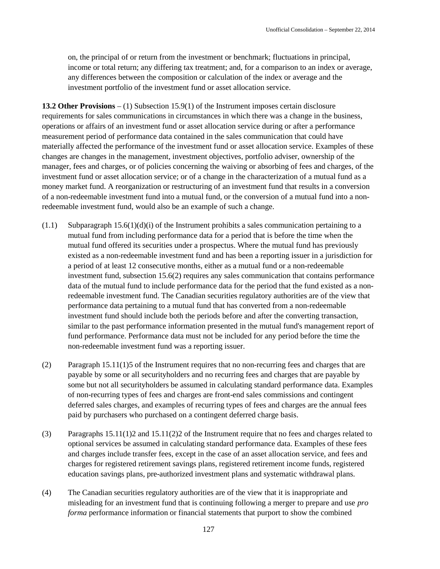on, the principal of or return from the investment or benchmark; fluctuations in principal, income or total return; any differing tax treatment; and, for a comparison to an index or average, any differences between the composition or calculation of the index or average and the investment portfolio of the investment fund or asset allocation service.

**13.2 Other Provisions** – (1) Subsection 15.9(1) of the Instrument imposes certain disclosure requirements for sales communications in circumstances in which there was a change in the business, operations or affairs of an investment fund or asset allocation service during or after a performance measurement period of performance data contained in the sales communication that could have materially affected the performance of the investment fund or asset allocation service. Examples of these changes are changes in the management, investment objectives, portfolio adviser, ownership of the manager, fees and charges, or of policies concerning the waiving or absorbing of fees and charges, of the investment fund or asset allocation service; or of a change in the characterization of a mutual fund as a money market fund. A reorganization or restructuring of an investment fund that results in a conversion of a non-redeemable investment fund into a mutual fund, or the conversion of a mutual fund into a nonredeemable investment fund, would also be an example of such a change.

- $(1.1)$  Subparagraph 15.6(1)(d)(i) of the Instrument prohibits a sales communication pertaining to a mutual fund from including performance data for a period that is before the time when the mutual fund offered its securities under a prospectus. Where the mutual fund has previously existed as a non-redeemable investment fund and has been a reporting issuer in a jurisdiction for a period of at least 12 consecutive months, either as a mutual fund or a non-redeemable investment fund, subsection 15.6(2) requires any sales communication that contains performance data of the mutual fund to include performance data for the period that the fund existed as a nonredeemable investment fund. The Canadian securities regulatory authorities are of the view that performance data pertaining to a mutual fund that has converted from a non-redeemable investment fund should include both the periods before and after the converting transaction, similar to the past performance information presented in the mutual fund's management report of fund performance. Performance data must not be included for any period before the time the non-redeemable investment fund was a reporting issuer.
- (2) Paragraph 15.11(1)5 of the Instrument requires that no non-recurring fees and charges that are payable by some or all securityholders and no recurring fees and charges that are payable by some but not all securityholders be assumed in calculating standard performance data. Examples of non-recurring types of fees and charges are front-end sales commissions and contingent deferred sales charges, and examples of recurring types of fees and charges are the annual fees paid by purchasers who purchased on a contingent deferred charge basis.
- (3) Paragraphs 15.11(1)2 and 15.11(2)2 of the Instrument require that no fees and charges related to optional services be assumed in calculating standard performance data. Examples of these fees and charges include transfer fees, except in the case of an asset allocation service, and fees and charges for registered retirement savings plans, registered retirement income funds, registered education savings plans, pre-authorized investment plans and systematic withdrawal plans.
- (4) The Canadian securities regulatory authorities are of the view that it is inappropriate and misleading for an investment fund that is continuing following a merger to prepare and use *pro forma* performance information or financial statements that purport to show the combined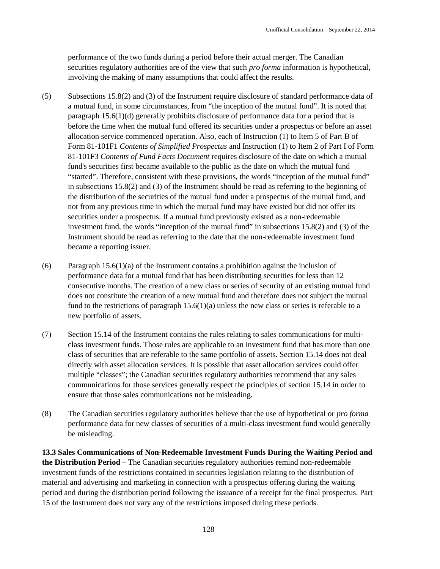performance of the two funds during a period before their actual merger. The Canadian securities regulatory authorities are of the view that such *pro forma* information is hypothetical, involving the making of many assumptions that could affect the results.

- (5) Subsections 15.8(2) and (3) of the Instrument require disclosure of standard performance data of a mutual fund, in some circumstances, from "the inception of the mutual fund". It is noted that paragraph 15.6(1)(d) generally prohibits disclosure of performance data for a period that is before the time when the mutual fund offered its securities under a prospectus or before an asset allocation service commenced operation. Also, each of Instruction (1) to Item 5 of Part B of Form 81-101F1 *Contents of Simplified Prospectus* and Instruction (1) to Item 2 of Part I of Form 81-101F3 *Contents of Fund Facts Document* requires disclosure of the date on which a mutual fund's securities first became available to the public as the date on which the mutual fund "started". Therefore, consistent with these provisions, the words "inception of the mutual fund" in subsections 15.8(2) and (3) of the Instrument should be read as referring to the beginning of the distribution of the securities of the mutual fund under a prospectus of the mutual fund, and not from any previous time in which the mutual fund may have existed but did not offer its securities under a prospectus. If a mutual fund previously existed as a non-redeemable investment fund, the words "inception of the mutual fund" in subsections 15.8(2) and (3) of the Instrument should be read as referring to the date that the non-redeemable investment fund became a reporting issuer.
- (6) Paragraph  $15.6(1)(a)$  of the Instrument contains a prohibition against the inclusion of performance data for a mutual fund that has been distributing securities for less than 12 consecutive months. The creation of a new class or series of security of an existing mutual fund does not constitute the creation of a new mutual fund and therefore does not subject the mutual fund to the restrictions of paragraph  $15.6(1)(a)$  unless the new class or series is referable to a new portfolio of assets.
- (7) Section 15.14 of the Instrument contains the rules relating to sales communications for multiclass investment funds. Those rules are applicable to an investment fund that has more than one class of securities that are referable to the same portfolio of assets. Section 15.14 does not deal directly with asset allocation services. It is possible that asset allocation services could offer multiple "classes"; the Canadian securities regulatory authorities recommend that any sales communications for those services generally respect the principles of section 15.14 in order to ensure that those sales communications not be misleading.
- (8) The Canadian securities regulatory authorities believe that the use of hypothetical or *pro forma* performance data for new classes of securities of a multi-class investment fund would generally be misleading.

**13.3 Sales Communications of Non-Redeemable Investment Funds During the Waiting Period and the Distribution Period** – The Canadian securities regulatory authorities remind non-redeemable investment funds of the restrictions contained in securities legislation relating to the distribution of material and advertising and marketing in connection with a prospectus offering during the waiting period and during the distribution period following the issuance of a receipt for the final prospectus. Part 15 of the Instrument does not vary any of the restrictions imposed during these periods.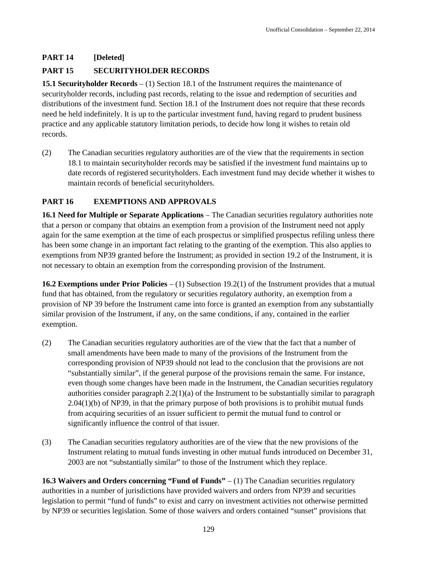# **PART 14 [Deleted]**

## **PART 15 SECURITYHOLDER RECORDS**

**15.1 Securityholder Records** – (1) Section 18.1 of the Instrument requires the maintenance of securityholder records, including past records, relating to the issue and redemption of securities and distributions of the investment fund. Section 18.1 of the Instrument does not require that these records need be held indefinitely. It is up to the particular investment fund, having regard to prudent business practice and any applicable statutory limitation periods, to decide how long it wishes to retain old records.

(2) The Canadian securities regulatory authorities are of the view that the requirements in section 18.1 to maintain securityholder records may be satisfied if the investment fund maintains up to date records of registered securityholders. Each investment fund may decide whether it wishes to maintain records of beneficial securityholders.

# **PART 16 EXEMPTIONS AND APPROVALS**

**16.1 Need for Multiple or Separate Applications** – The Canadian securities regulatory authorities note that a person or company that obtains an exemption from a provision of the Instrument need not apply again for the same exemption at the time of each prospectus or simplified prospectus refiling unless there has been some change in an important fact relating to the granting of the exemption. This also applies to exemptions from NP39 granted before the Instrument; as provided in section 19.2 of the Instrument, it is not necessary to obtain an exemption from the corresponding provision of the Instrument.

**16.2 Exemptions under Prior Policies** – (1) Subsection 19.2(1) of the Instrument provides that a mutual fund that has obtained, from the regulatory or securities regulatory authority, an exemption from a provision of NP 39 before the Instrument came into force is granted an exemption from any substantially similar provision of the Instrument, if any, on the same conditions, if any, contained in the earlier exemption.

- (2) The Canadian securities regulatory authorities are of the view that the fact that a number of small amendments have been made to many of the provisions of the Instrument from the corresponding provision of NP39 should not lead to the conclusion that the provisions are not "substantially similar", if the general purpose of the provisions remain the same. For instance, even though some changes have been made in the Instrument, the Canadian securities regulatory authorities consider paragraph  $2.2(1)(a)$  of the Instrument to be substantially similar to paragraph 2.04(1)(b) of NP39, in that the primary purpose of both provisions is to prohibit mutual funds from acquiring securities of an issuer sufficient to permit the mutual fund to control or significantly influence the control of that issuer.
- (3) The Canadian securities regulatory authorities are of the view that the new provisions of the Instrument relating to mutual funds investing in other mutual funds introduced on December 31, 2003 are not "substantially similar" to those of the Instrument which they replace.

**16.3 Waivers and Orders concerning "Fund of Funds"** – (1) The Canadian securities regulatory authorities in a number of jurisdictions have provided waivers and orders from NP39 and securities legislation to permit "fund of funds" to exist and carry on investment activities not otherwise permitted by NP39 or securities legislation. Some of those waivers and orders contained "sunset" provisions that